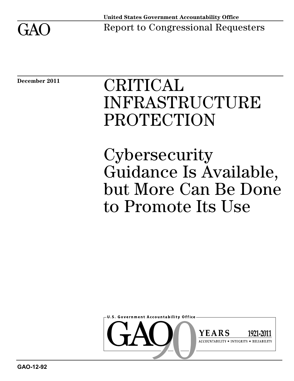

**December 2011**

# CRITICAL INFRASTRUCTURE PROTECTION

**Cybersecurity** Guidance Is Available, but More Can Be Done to Promote Its Use

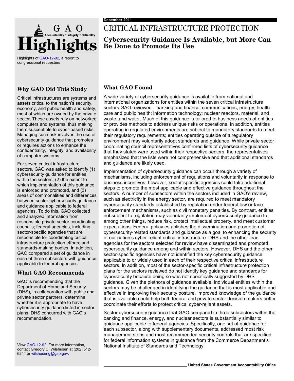

Highlights o[f GAO-12-92,](http://www.gao.gov/products/GAO-12-92) a report to congressional requesters

## **Why GAO Did This Study**

Critical infrastructures are systems and assets critical to the nation's security, economy, and public health and safety, most of which are owned by the private sector. These assets rely on networked computers and systems, thus making them susceptible to cyber-based risks. Managing such risk involves the use of cybersecurity guidance that promotes or requires actions to enhance the confidentiality, integrity, and availability of computer systems.

For seven critical infrastructure sectors, GAO was asked to identify (1) cybersecurity guidance for entities within the sectors, (2) the extent to which implementation of this guidance is enforced and promoted, and (3) areas of commonalities and differences between sector cybersecurity guidance and guidance applicable to federal agencies. To do this, GAO collected and analyzed information from responsible private sector coordinating councils; federal agencies, including sector-specific agencies that are responsible for coordinating critical infrastructure protection efforts; and standards-making bodies. In addition, GAO compared a set of guidance in each of three subsectors with guidance applicable to federal agencies.

### **What GAO Recommends**

GAO is recommending that the Department of Homeland Security (DHS), in collaboration with public and private sector partners, determine whether it is appropriate to have cybersecurity guidance listed in sector plans. DHS concurred with GAO's recommendation.

contact Gregory C. Wilshusen at (202) 512- 6244 or wilshuseng@gao.gov.

## CRITICAL INFRASTRUCTURE PROTECTION

## **Cybersecurity Guidance Is Available, but More Can Be Done to Promote Its Use**

## **What GAO Found**

A wide variety of cybersecurity guidance is available from national and international organizations for entities within the seven critical infrastructure sectors GAO reviewed—banking and finance; communications; energy; health care and public health; information technology; nuclear reactors, material, and waste; and water. Much of this guidance is tailored to business needs of entities or provides methods to address unique risks or operations. In addition, entities operating in regulated environments are subject to mandatory standards to meet their regulatory requirements; entities operating outside of a regulatory environment may voluntarily adopt standards and guidance. While private sector coordinating council representatives confirmed lists of cybersecurity guidance that they stated were used within their respective sectors, the representatives emphasized that the lists were not comprehensive and that additional standards and guidance are likely used.

Implementation of cybersecurity guidance can occur through a variety of mechanisms, including enforcement of regulations and voluntarily in response to business incentives; however, sector-specific agencies could take additional steps to promote the most applicable and effective guidance throughout the sectors. A number of subsectors within the sectors included in GAO's review, such as electricity in the energy sector, are required to meet mandatory cybersecurity standards established by regulation under federal law or face enforcement mechanisms, such as civil monetary penalties. By contrast, entities not subject to regulation may voluntarily implement cybersecurity guidance to, among other things, reduce risk, protect intellectual property, and meet customer expectations. Federal policy establishes the dissemination and promotion of cybersecurity-related standards and guidance as a goal to enhancing the security of our nation's cyber-reliant critical infrastructure. DHS and the other lead agencies for the sectors selected for review have disseminated and promoted cybersecurity guidance among and within sectors. However, DHS and the other sector-specific agencies have not identified the key cybersecurity guidance applicable to or widely used in each of their respective critical infrastructure sectors. In addition, most of the sector-specific critical infrastructure protection plans for the sectors reviewed do not identify key guidance and standards for cybersecurity because doing so was not specifically suggested by DHS guidance. Given the plethora of guidance available, individual entities within the sectors may be challenged in identifying the guidance that is most applicable and effective in improving their security posture. Improved knowledge of the guidance that is available could help both federal and private sector decision makers better coordinate their efforts to protect critical cyber-reliant assets.

Sector cybersecurity guidance that GAO compared in three subsectors within the banking and finance, energy, and nuclear sectors is substantially similar to guidance applicable to federal agencies. Specifically, one set of guidance for each subsector, along with supplementary documents, addressed most risk management steps and most recommended security controls that are specified for federal information systems in guidance from the Commerce Department's View GAO[-12-92.](http://www.gao.gov/products/GAO-12-92) For more information, National Institute of Standards and Technology.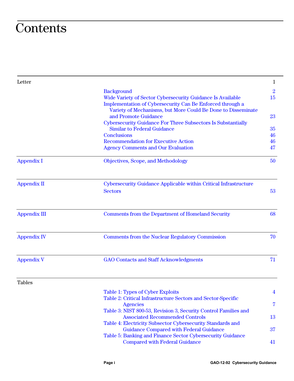## **Contents**

| Letter              |                                                                                                                                                             | 1                    |
|---------------------|-------------------------------------------------------------------------------------------------------------------------------------------------------------|----------------------|
|                     | <b>Background</b><br>Wide Variety of Sector Cybersecurity Guidance Is Available<br>Implementation of Cybersecurity Can Be Enforced through a                | $\overline{2}$<br>15 |
|                     | Variety of Mechanisms, but More Could Be Done to Disseminate<br>and Promote Guidance<br><b>Cybersecurity Guidance For Three Subsectors Is Substantially</b> | 23                   |
|                     | <b>Similar to Federal Guidance</b>                                                                                                                          | 35                   |
|                     | <b>Conclusions</b>                                                                                                                                          | 46                   |
|                     | <b>Recommendation for Executive Action</b>                                                                                                                  | 46                   |
|                     | <b>Agency Comments and Our Evaluation</b>                                                                                                                   | 47                   |
| <b>Appendix I</b>   | Objectives, Scope, and Methodology                                                                                                                          | 50                   |
| <b>Appendix II</b>  | Cybersecurity Guidance Applicable within Critical Infrastructure<br><b>Sectors</b>                                                                          | 53                   |
| <b>Appendix III</b> | <b>Comments from the Department of Homeland Security</b>                                                                                                    | 68                   |
| <b>Appendix IV</b>  | <b>Comments from the Nuclear Regulatory Commission</b>                                                                                                      | 70                   |
| <b>Appendix V</b>   | <b>GAO Contacts and Staff Acknowledgments</b>                                                                                                               | 71                   |
| <b>Tables</b>       |                                                                                                                                                             |                      |
|                     | Table 1: Types of Cyber Exploits<br>Table 2: Critical Infrastructure Sectors and Sector-Specific                                                            | 4                    |
|                     | <b>Agencies</b>                                                                                                                                             | 7                    |
|                     | Table 3: NIST 800-53, Revision 3, Security Control Families and<br><b>Associated Recommended Controls</b>                                                   | 13                   |
|                     | Table 4: Electricity Subsector Cybersecurity Standards and                                                                                                  |                      |
|                     | <b>Guidance Compared with Federal Guidance</b>                                                                                                              | 37                   |
|                     | Table 5: Banking and Finance Sector Cybersecurity Guidance<br><b>Compared with Federal Guidance</b>                                                         | 41                   |
|                     |                                                                                                                                                             |                      |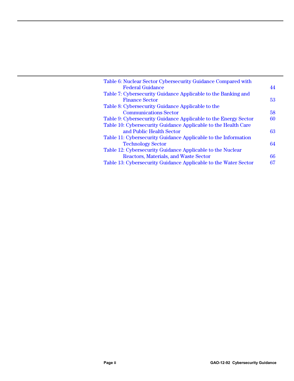| Table 6: Nuclear Sector Cybersecurity Guidance Compared with    |    |
|-----------------------------------------------------------------|----|
| <b>Federal Guidance</b>                                         | 44 |
| Table 7: Cybersecurity Guidance Applicable to the Banking and   |    |
| <b>Finance Sector</b>                                           | 53 |
| Table 8: Cybersecurity Guidance Applicable to the               |    |
| <b>Communications Sector</b>                                    | 58 |
| Table 9: Cybersecurity Guidance Applicable to the Energy Sector | 60 |
| Table 10: Cybersecurity Guidance Applicable to the Health Care  |    |
| and Public Health Sector                                        | 63 |
| Table 11: Cybersecurity Guidance Applicable to the Information  |    |
| <b>Technology Sector</b>                                        | 64 |
| Table 12: Cybersecurity Guidance Applicable to the Nuclear      |    |
| Reactors, Materials, and Waste Sector                           | 66 |
| Table 13: Cybersecurity Guidance Applicable to the Water Sector | 67 |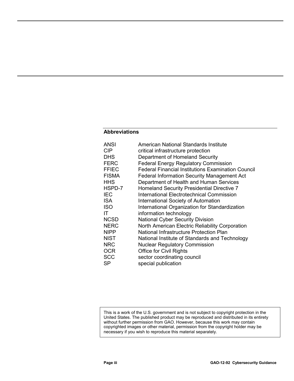#### **Abbreviations**

| <b>ANSI</b>  | American National Standards Institute                     |
|--------------|-----------------------------------------------------------|
| <b>CIP</b>   | critical infrastructure protection                        |
| <b>DHS</b>   | Department of Homeland Security                           |
| <b>FERC</b>  | <b>Federal Energy Regulatory Commission</b>               |
| <b>FFIEC</b> | <b>Federal Financial Institutions Examination Council</b> |
| <b>FISMA</b> | <b>Federal Information Security Management Act</b>        |
| <b>HHS</b>   | Department of Health and Human Services                   |
| HSPD-7       | Homeland Security Presidential Directive 7                |
| <b>IEC</b>   | International Electrotechnical Commission                 |
| <b>ISA</b>   | <b>International Society of Automation</b>                |
| <b>ISO</b>   | International Organization for Standardization            |
| IT.          | information technology                                    |
| <b>NCSD</b>  | <b>National Cyber Security Division</b>                   |
| <b>NERC</b>  | North American Electric Reliability Corporation           |
| <b>NIPP</b>  | National Infrastructure Protection Plan                   |
| <b>NIST</b>  | National Institute of Standards and Technology            |
| <b>NRC</b>   | <b>Nuclear Regulatory Commission</b>                      |
| <b>OCR</b>   | <b>Office for Civil Rights</b>                            |
| <b>SCC</b>   | sector coordinating council                               |
| <b>SP</b>    | special publication                                       |

This is a work of the U.S. government and is not subject to copyright protection in the United States. The published product may be reproduced and distributed in its entirety without further permission from GAO. However, because this work may contain copyrighted images or other material, permission from the copyright holder may be necessary if you wish to reproduce this material separately.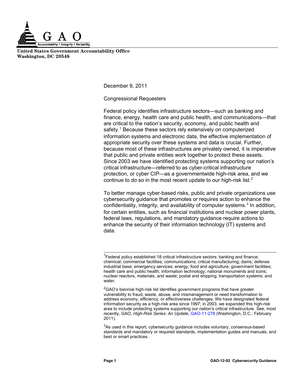

**United States Government Accountability Office Washington, DC 20548**

December 9, 2011

Congressional Requesters

Federal policy identifies infrastructure sectors—such as banking and finance, energy, health care and public health, and communications—that are critical to the nation's security, economy, and public health and safety.<sup>[1](#page-5-0)</sup> Because these sectors rely extensively on computerized information systems and electronic data, the effective implementation of appropriate security over these systems and data is crucial. Further, because most of these infrastructures are privately owned, it is imperative that public and private entities work together to protect these assets. Since 2003 we have identified protecting systems supporting our nation's critical infrastructure—referred to as cyber-critical infrastructure protection, or cyber CIP—as a governmentwide high-risk area, and we continue to do so in the most recent update to our high-risk list.<sup>[2](#page-5-1)</sup>

To better manage cyber-based risks, public and private organizations use cybersecurity guidance that promotes or requires action to enhance the confidentiality, integrity, and availability of computer systems.<sup>[3](#page-5-2)</sup> In addition, for certain entities, such as financial institutions and nuclear power plants, federal laws, regulations, and mandatory guidance require actions to enhance the security of their information technology (IT) systems and data.

<span id="page-5-2"></span> $3$ As used in this report, cybersecurity guidance includes voluntary, consensus-based standards and mandatory or required standards, implementation guides and manuals, and best or smart practices.

<span id="page-5-0"></span><sup>&</sup>lt;sup>1</sup> Federal policy established 18 critical infrastructure sectors: banking and finance; chemical; commercial facilities; communications; critical manufacturing; dams; defense industrial base; emergency services; energy; food and agriculture; government facilities; health care and public health; information technology; national monuments and icons; nuclear reactors, materials, and waste; postal and shipping; transportation systems; and water.

<span id="page-5-1"></span> ${}^{2}$ GAO's biennial high-risk list identifies government programs that have greater vulnerability to fraud, waste, abuse, and mismanagement or need transformation to address economy, efficiency, or effectiveness challenges. We have designated federal information security as a high-risk area since 1997; in 2003, we expanded this high-risk area to include protecting systems supporting our nation's critical infrastructure. See, most recently, GAO, *High-Risk Series: An Update*, [GAO-11-278](http://www.gao.gov/products/GAO-11-278) (Washington, D.C.: February 2011).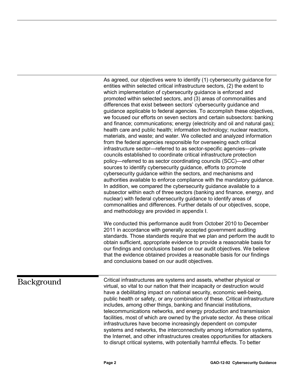As agreed, our objectives were to identify (1) cybersecurity guidance for entities within selected critical infrastructure sectors, (2) the extent to which implementation of cybersecurity guidance is enforced and promoted within selected sectors, and (3) areas of commonalities and differences that exist between sectors' cybersecurity guidance and guidance applicable to federal agencies. To accomplish these objectives, we focused our efforts on seven sectors and certain subsectors: banking and finance; communications; energy (electricity and oil and natural gas); health care and public health; information technology; nuclear reactors, materials, and waste; and water. We collected and analyzed information from the federal agencies responsible for overseeing each critical infrastructure sector—referred to as sector-specific agencies—private councils established to coordinate critical infrastructure protection policy—referred to as sector coordinating councils (SCC)—and other sources to identify cybersecurity guidance, efforts to promote cybersecurity guidance within the sectors, and mechanisms and authorities available to enforce compliance with the mandatory guidance. In addition, we compared the cybersecurity guidance available to a subsector within each of three sectors (banking and finance, energy, and nuclear) with federal cybersecurity guidance to identify areas of commonalities and differences. Further details of our objectives, scope, and methodology are provided in appendix I.

We conducted this performance audit from October 2010 to December 2011 in accordance with generally accepted government auditing standards. Those standards require that we plan and perform the audit to obtain sufficient, appropriate evidence to provide a reasonable basis for our findings and conclusions based on our audit objectives. We believe that the evidence obtained provides a reasonable basis for our findings and conclusions based on our audit objectives.

## <span id="page-6-0"></span>Background

Critical infrastructures are systems and assets, whether physical or virtual, so vital to our nation that their incapacity or destruction would have a debilitating impact on national security, economic well-being, public health or safety, or any combination of these. Critical infrastructure includes, among other things, banking and financial institutions, telecommunications networks, and energy production and transmission facilities, most of which are owned by the private sector. As these critical infrastructures have become increasingly dependent on computer systems and networks, the interconnectivity among information systems, the Internet, and other infrastructures creates opportunities for attackers to disrupt critical systems, with potentially harmful effects. To better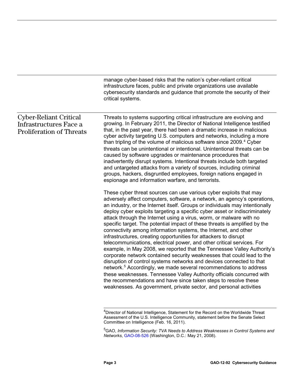manage cyber-based risks that the nation's cyber-reliant critical infrastructure faces, public and private organizations use available cybersecurity standards and guidance that promote the security of their critical systems.

#### Threats to systems supporting critical infrastructure are evolving and growing. In February 2011, the Director of National Intelligence testified that, in the past year, there had been a dramatic increase in malicious cyber activity targeting U.S. computers and networks, including a more than tripling of the volume of malicious software since 2009.<sup>[4](#page-7-0)</sup> Cyber These cyber threat sources can use various cyber exploits that may adversely affect computers, software, a network, an agency's operations, an industry, or the Internet itself. Groups or individuals may intentionally deploy cyber exploits targeting a specific cyber asset or indiscriminately attack through the Internet using a virus, worm, or malware with no specific target. The potential impact of these threats is amplified by the connectivity among information systems, the Internet, and other infrastructures, creating opportunities for attackers to disrupt telecommunications, electrical power, and other critical services. For example, in May 2008, we reported that the Tennessee Valley Authority's corporate network contained security weaknesses that could lead to the disruption of control systems networks and devices connected to that network. [5](#page-7-1) Accordingly, we made several recommendations to address threats can be unintentional or intentional. Unintentional threats can be caused by software upgrades or maintenance procedures that inadvertently disrupt systems. Intentional threats include both targeted and untargeted attacks from a variety of sources, including criminal groups, hackers, disgruntled employees, foreign nations engaged in espionage and information warfare, and terrorists. these weaknesses. Tennessee Valley Authority officials concurred with the recommendations and have since taken steps to resolve these weaknesses. As government, private sector, and personal activities Cyber-Reliant Critical Infrastructures Face a Proliferation of Threats

<span id="page-7-0"></span> 4 Director of National Intelligence, Statement for the Record on the Worldwide Threat Assessment of the U.S. Intelligence Community, statement before the Senate Select Committee on Intelligence (Feb. 16, 2011).

<span id="page-7-1"></span><sup>5</sup> GAO, *Information Security: TVA Needs to Address Weaknesses in Control Systems and Networks*[, GAO-08-526](http://www.gao.gov/products/GAO-08-526) (Washington, D.C.: May 21, 2008).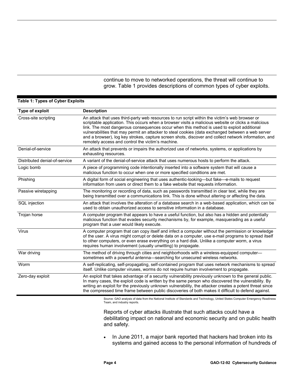continue to move to networked operations, the threat will continue to grow. Table 1 provides descriptions of common types of cyber exploits.

#### <span id="page-8-0"></span>**Table 1: Types of Cyber Exploits**

| Type of exploit               | <b>Description</b>                                                                                                                                                                                                                                                                                                                                                                                                                                                                                                                                                    |
|-------------------------------|-----------------------------------------------------------------------------------------------------------------------------------------------------------------------------------------------------------------------------------------------------------------------------------------------------------------------------------------------------------------------------------------------------------------------------------------------------------------------------------------------------------------------------------------------------------------------|
| Cross-site scripting          | An attack that uses third-party web resources to run script within the victim's web browser or<br>scriptable application. This occurs when a browser visits a malicious website or clicks a malicious<br>link. The most dangerous consequences occur when this method is used to exploit additional<br>vulnerabilities that may permit an attacker to steal cookies (data exchanged between a web server<br>and a browser), log key strokes, capture screen shots, discover and collect network information, and<br>remotely access and control the victim's machine. |
| Denial-of-service             | An attack that prevents or impairs the authorized use of networks, systems, or applications by<br>exhausting resources.                                                                                                                                                                                                                                                                                                                                                                                                                                               |
| Distributed denial-of-service | A variant of the denial-of-service attack that uses numerous hosts to perform the attack.                                                                                                                                                                                                                                                                                                                                                                                                                                                                             |
| Logic bomb                    | A piece of programming code intentionally inserted into a software system that will cause a<br>malicious function to occur when one or more specified conditions are met.                                                                                                                                                                                                                                                                                                                                                                                             |
| Phishing                      | A digital form of social engineering that uses authentic-looking—but fake—e-mails to request<br>information from users or direct them to a fake website that requests information.                                                                                                                                                                                                                                                                                                                                                                                    |
| Passive wiretapping           | The monitoring or recording of data, such as passwords transmitted in clear text, while they are<br>being transmitted over a communications link. This is done without altering or affecting the data.                                                                                                                                                                                                                                                                                                                                                                |
| SQL injection                 | An attack that involves the alteration of a database search in a web-based application, which can be<br>used to obtain unauthorized access to sensitive information in a database.                                                                                                                                                                                                                                                                                                                                                                                    |
| Trojan horse                  | A computer program that appears to have a useful function, but also has a hidden and potentially<br>malicious function that evades security mechanisms by, for example, masquerading as a useful<br>program that a user would likely execute.                                                                                                                                                                                                                                                                                                                         |
| Virus                         | A computer program that can copy itself and infect a computer without the permission or knowledge<br>of the user. A virus might corrupt or delete data on a computer, use e-mail programs to spread itself<br>to other computers, or even erase everything on a hard disk. Unlike a computer worm, a virus<br>requires human involvement (usually unwitting) to propagate.                                                                                                                                                                                            |
| War driving                   | The method of driving through cities and neighborhoods with a wireless-equipped computer-<br>sometimes with a powerful antenna-searching for unsecured wireless networks.                                                                                                                                                                                                                                                                                                                                                                                             |
| Worm                          | A self-replicating, self-propagating, self-contained program that uses network mechanisms to spread<br>itself. Unlike computer viruses, worms do not require human involvement to propagate.                                                                                                                                                                                                                                                                                                                                                                          |
| Zero-day exploit              | An exploit that takes advantage of a security vulnerability previously unknown to the general public.<br>In many cases, the exploit code is written by the same person who discovered the vulnerability. By<br>writing an exploit for the previously unknown vulnerability, the attacker creates a potent threat since<br>the compressed time frame between public discoveries of both makes it difficult to defend against.                                                                                                                                          |

Source: GAO analysis of data from the National Institute of Standards and Technology, United States Computer Emergency Readiness Team, and industry reports.

Reports of cyber attacks illustrate that such attacks could have a debilitating impact on national and economic security and on public health and safety.

• In June 2011, a major bank reported that hackers had broken into its systems and gained access to the personal information of hundreds of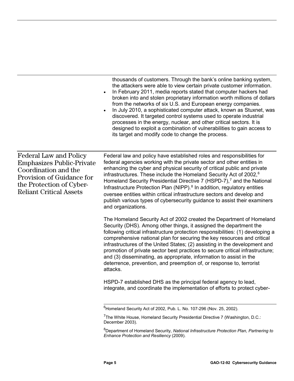thousands of customers. Through the bank's online banking system, the attackers were able to view certain private customer information.

- In February 2011, media reports stated that computer hackers had broken into and stolen proprietary information worth millions of dollars from the networks of six U.S. and European energy companies.
- In July 2010, a sophisticated computer attack, known as Stuxnet, was discovered. It targeted control systems used to operate industrial processes in the energy, nuclear, and other critical sectors. It is designed to exploit a combination of vulnerabilities to gain access to its target and modify code to change the process.

Federal Law and Policy Emphasizes Public-Private Coordination and the Provision of Guidance for the Protection of Cyber-Reliant Critical Assets

Federal law and policy have established roles and responsibilities for federal agencies working with the private sector and other entities in enhancing the cyber and physical security of critical public and private infrastructures. These include the Homeland Security Act of 2002,<sup>[6](#page-9-0)</sup> Homeland Security Presidential Directive [7](#page-9-1) (HSPD-7),<sup>7</sup> and the National Infrastructure Protection Plan (NIPP).<sup>[8](#page-9-2)</sup> In addition, regulatory entities oversee entities within critical infrastructure sectors and develop and publish various types of cybersecurity guidance to assist their examiners and organizations.

The Homeland Security Act of 2002 created the Department of Homeland Security (DHS). Among other things, it assigned the department the following critical infrastructure protection responsibilities: (1) developing a comprehensive national plan for securing the key resources and critical infrastructures of the United States; (2) assisting in the development and promotion of private sector best practices to secure critical infrastructure; and (3) disseminating, as appropriate, information to assist in the deterrence, prevention, and preemption of, or response to, terrorist attacks.

HSPD-7 established DHS as the principal federal agency to lead, integrate, and coordinate the implementation of efforts to protect cyber-

<span id="page-9-0"></span> $\overline{\phantom{a}}$ 6 Homeland Security Act of 2002, Pub. L. No. 107-296 (Nov. 25, 2002).

<span id="page-9-1"></span><sup>&</sup>lt;sup>7</sup>The White House, Homeland Security Presidential Directive 7 (Washington, D.C.: December 2003).

<span id="page-9-2"></span><sup>8</sup> Department of Homeland Security, *National Infrastructure Protection Plan, Partnering to Enhance Protection and Resiliency* (2009).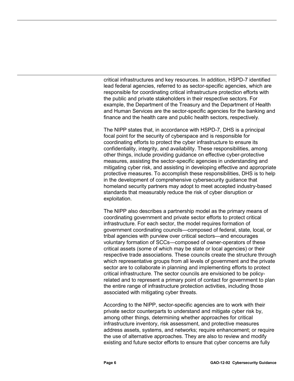critical infrastructures and key resources. In addition, HSPD-7 identified lead federal agencies, referred to as sector-specific agencies, which are responsible for coordinating critical infrastructure protection efforts with the public and private stakeholders in their respective sectors. For example, the Department of the Treasury and the Department of Health and Human Services are the sector-specific agencies for the banking and finance and the health care and public health sectors, respectively.

The NIPP states that, in accordance with HSPD-7, DHS is a principal focal point for the security of cyberspace and is responsible for coordinating efforts to protect the cyber infrastructure to ensure its confidentiality, integrity, and availability. These responsibilities, among other things, include providing guidance on effective cyber-protective measures, assisting the sector-specific agencies in understanding and mitigating cyber risk, and assisting in developing effective and appropriate protective measures. To accomplish these responsibilities, DHS is to help in the development of comprehensive cybersecurity guidance that homeland security partners may adopt to meet accepted industry-based standards that measurably reduce the risk of cyber disruption or exploitation.

The NIPP also describes a partnership model as the primary means of coordinating government and private sector efforts to protect critical infrastructure. For each sector, the model requires formation of government coordinating councils—composed of federal, state, local, or tribal agencies with purview over critical sectors—and encourages voluntary formation of SCCs—composed of owner-operators of these critical assets (some of which may be state or local agencies) or their respective trade associations. These councils create the structure through which representative groups from all levels of government and the private sector are to collaborate in planning and implementing efforts to protect critical infrastructure. The sector councils are envisioned to be policyrelated and to represent a primary point of contact for government to plan the entire range of infrastructure protection activities, including those associated with mitigating cyber threats.

According to the NIPP, sector-specific agencies are to work with their private sector counterparts to understand and mitigate cyber risk by, among other things, determining whether approaches for critical infrastructure inventory, risk assessment, and protective measures address assets, systems, and networks; require enhancement; or require the use of alternative approaches. They are also to review and modify existing and future sector efforts to ensure that cyber concerns are fully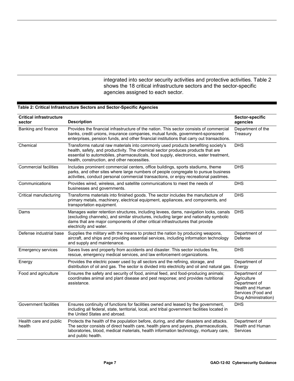integrated into sector security activities and protective activities. Table 2 shows the 18 critical infrastructure sectors and the sector-specific agencies assigned to each sector.

| <b>Critical infrastructure</b><br>sector | <b>Description</b>                                                                                                                                                                                                                                                                                             | Sector-specific<br>agencies                                                                                     |
|------------------------------------------|----------------------------------------------------------------------------------------------------------------------------------------------------------------------------------------------------------------------------------------------------------------------------------------------------------------|-----------------------------------------------------------------------------------------------------------------|
| Banking and finance                      | Provides the financial infrastructure of the nation. This sector consists of commercial<br>banks, credit unions, insurance companies, mutual funds, government-sponsored<br>enterprises, pension funds, and other financial institutions that carry out transactions.                                          | Department of the<br>Treasury                                                                                   |
| Chemical                                 | Transforms natural raw materials into commonly used products benefiting society's<br>health, safety, and productivity. The chemical sector produces products that are<br>essential to automobiles, pharmaceuticals, food supply, electronics, water treatment,<br>health, construction, and other necessities. | <b>DHS</b>                                                                                                      |
| Commercial facilities                    | Includes prominent commercial centers, office buildings, sports stadiums, theme<br>parks, and other sites where large numbers of people congregate to pursue business<br>activities, conduct personal commercial transactions, or enjoy recreational pastimes.                                                 | <b>DHS</b>                                                                                                      |
| Communications                           | Provides wired, wireless, and satellite communications to meet the needs of<br>businesses and governments.                                                                                                                                                                                                     | <b>DHS</b>                                                                                                      |
| Critical manufacturing                   | Transforms materials into finished goods. The sector includes the manufacture of<br>primary metals, machinery, electrical equipment, appliances, and components, and<br>transportation equipment.                                                                                                              | <b>DHS</b>                                                                                                      |
| Dams                                     | Manages water retention structures, including levees, dams, navigation locks, canals<br>(excluding channels), and similar structures, including larger and nationally symbolic<br>dams that are major components of other critical infrastructures that provide<br>electricity and water.                      | <b>DHS</b>                                                                                                      |
| Defense industrial base                  | Supplies the military with the means to protect the nation by producing weapons,<br>aircraft, and ships and providing essential services, including information technology<br>and supply and maintenance.                                                                                                      | Department of<br>Defense                                                                                        |
| <b>Emergency services</b>                | Saves lives and property from accidents and disaster. This sector includes fire,<br>rescue, emergency medical services, and law enforcement organizations.                                                                                                                                                     | <b>DHS</b>                                                                                                      |
| Energy                                   | Provides the electric power used by all sectors and the refining, storage, and<br>distribution of oil and gas. The sector is divided into electricity and oil and natural gas.                                                                                                                                 | Department of<br>Energy                                                                                         |
| Food and agriculture                     | Ensures the safety and security of food, animal feed, and food-producing animals;<br>coordinates animal and plant disease and pest response; and provides nutritional<br>assistance.                                                                                                                           | Department of<br>Agriculture<br>Department of<br>Health and Human<br>Services (Food and<br>Drug Administration) |
| Government facilities                    | Ensures continuity of functions for facilities owned and leased by the government,<br>including all federal, state, territorial, local, and tribal government facilities located in<br>the United States and abroad.                                                                                           | <b>DHS</b>                                                                                                      |
| Health care and public<br>health         | Protects the health of the population before, during, and after disasters and attacks.<br>The sector consists of direct health care, health plans and payers, pharmaceuticals,<br>laboratories, blood, medical materials, health information technology, mortuary care,<br>and public health.                  | Department of<br>Health and Human<br>Services                                                                   |

#### <span id="page-11-0"></span>**Table 2: Critical Infrastructure Sectors and Sector-Specific Agencies**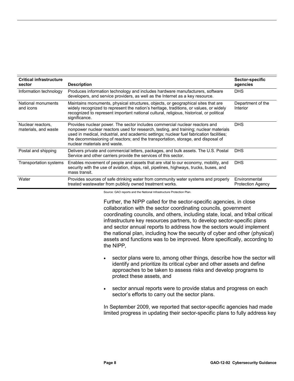| <b>Critical infrastructure</b><br>sector  | <b>Description</b>                                                                                                                                                                                                                                                                                                                                                                    | Sector-specific<br>agencies               |
|-------------------------------------------|---------------------------------------------------------------------------------------------------------------------------------------------------------------------------------------------------------------------------------------------------------------------------------------------------------------------------------------------------------------------------------------|-------------------------------------------|
| Information technology                    | Produces information technology and includes hardware manufacturers, software<br>developers, and service providers, as well as the Internet as a key resource.                                                                                                                                                                                                                        | <b>DHS</b>                                |
| National monuments<br>and icons           | Maintains monuments, physical structures, objects, or geographical sites that are<br>widely recognized to represent the nation's heritage, traditions, or values, or widely<br>recognized to represent important national cultural, religious, historical, or political<br>significance.                                                                                              | Department of the<br><b>Interior</b>      |
| Nuclear reactors.<br>materials, and waste | Provides nuclear power. The sector includes commercial nuclear reactors and<br>nonpower nuclear reactors used for research, testing, and training; nuclear materials<br>used in medical, industrial, and academic settings; nuclear fuel fabrication facilities;<br>the decommissioning of reactors; and the transportation, storage, and disposal of<br>nuclear materials and waste. | <b>DHS</b>                                |
| Postal and shipping                       | Delivers private and commercial letters, packages, and bulk assets. The U.S. Postal<br>Service and other carriers provide the services of this sector.                                                                                                                                                                                                                                | <b>DHS</b>                                |
| Transportation systems                    | Enables movement of people and assets that are vital to our economy, mobility, and<br>security with the use of aviation, ships, rail, pipelines, highways, trucks, buses, and<br>mass transit.                                                                                                                                                                                        | <b>DHS</b>                                |
| Water                                     | Provides sources of safe drinking water from community water systems and properly<br>treated wastewater from publicly owned treatment works.                                                                                                                                                                                                                                          | Environmental<br><b>Protection Agency</b> |

Source: GAO reports and the National Infrastructure Protection Plan.

Further, the NIPP called for the sector-specific agencies, in close collaboration with the sector coordinating councils, government coordinating councils, and others, including state, local, and tribal critical infrastructure key resources partners, to develop sector-specific plans and sector annual reports to address how the sectors would implement the national plan, including how the security of cyber and other (physical) assets and functions was to be improved. More specifically, according to the NIPP,

- sector plans were to, among other things, describe how the sector will identify and prioritize its critical cyber and other assets and define approaches to be taken to assess risks and develop programs to protect these assets, and
- sector annual reports were to provide status and progress on each sector's efforts to carry out the sector plans.

In September 2009, we reported that sector-specific agencies had made limited progress in updating their sector-specific plans to fully address key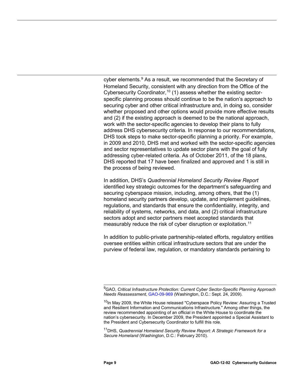cyber elements.<sup>[9](#page-13-0)</sup> As a result, we recommended that the Secretary of Homeland Security, consistent with any direction from the Office of the Cybersecurity Coordinator,<sup>[10](#page-13-1)</sup> (1) assess whether the existing sectorspecific planning process should continue to be the nation's approach to securing cyber and other critical infrastructure and, in doing so, consider whether proposed and other options would provide more effective results and (2) if the existing approach is deemed to be the national approach, work with the sector-specific agencies to develop their plans to fully address DHS cybersecurity criteria. In response to our recommendations, DHS took steps to make sector-specific planning a priority. For example, in 2009 and 2010, DHS met and worked with the sector-specific agencies and sector representatives to update sector plans with the goal of fully addressing cyber-related criteria. As of October 2011, of the 18 plans, DHS reported that 17 have been finalized and approved and 1 is still in the process of being reviewed.

In addition, DHS's *Quadrennial Homeland Security Review Report* identified key strategic outcomes for the department's safeguarding and securing cyberspace mission, including, among others, that the (1) homeland security partners develop, update, and implement guidelines, regulations, and standards that ensure the confidentiality, integrity, and reliability of systems, networks, and data, and (2) critical infrastructure sectors adopt and sector partners meet accepted standards that measurably reduce the risk of cyber disruption or exploitation.<sup>[11](#page-13-2)</sup>

In addition to public-private partnership-related efforts, regulatory entities oversee entities within critical infrastructure sectors that are under the purview of federal law, regulation, or mandatory standards pertaining to

<span id="page-13-2"></span><sup>11</sup>DHS, *Quadrennial Homeland Security Review Report: A Strategic Framework for a Secure Homeland* (Washington, D.C.: February 2010).

<span id="page-13-0"></span> 9 GAO, *Critical Infrastructure Protection: Current Cyber Sector-Specific Planning Approach Needs Reassessment,* [GAO-09-969](http://www.gao.gov/products/GAO-09-969) (Washington, D.C.: Sept. 24, 2009).

<span id="page-13-1"></span> $10$ In May 2009, the White House released "Cyberspace Policy Review: Assuring a Trusted and Resilient Information and Communications Infrastructure." Among other things, the review recommended appointing of an official in the White House to coordinate the nation's cybersecurity. In December 2009, the President appointed a Special Assistant to the President and Cybersecurity Coordinator to fulfill this role.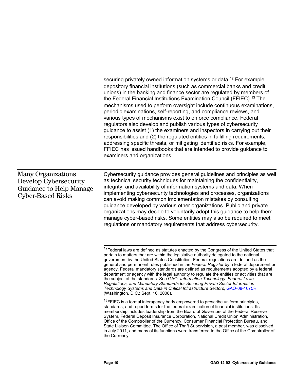securing privately owned information systems or data.<sup>[12](#page-14-0)</sup> For example, depository financial institutions (such as commercial banks and credit unions) in the banking and finance sector are regulated by members of the Federal Financial Institutions Examination Council (FFIEC).<sup>[13](#page-14-1)</sup> The mechanisms used to perform oversight include continuous examinations, periodic examinations, self-reporting, and compliance reviews, and various types of mechanisms exist to enforce compliance. Federal regulators also develop and publish various types of cybersecurity guidance to assist (1) the examiners and inspectors in carrying out their responsibilities and (2) the regulated entities in fulfilling requirements, addressing specific threats, or mitigating identified risks. For example, FFIEC has issued handbooks that are intended to provide guidance to examiners and organizations.

## <span id="page-14-0"></span>Many Organizations Develop Cybersecurity Guidance to Help Manage Cyber-Based Risks

Cybersecurity guidance provides general guidelines and principles as well as technical security techniques for maintaining the confidentiality, integrity, and availability of information systems and data. When implementing cybersecurity technologies and processes, organizations can avoid making common implementation mistakes by consulting guidance developed by various other organizations. Public and private organizations may decide to voluntarily adopt this guidance to help them manage cyber-based risks. Some entities may also be required to meet regulations or mandatory requirements that address cybersecurity.

<span id="page-14-1"></span><sup>13</sup>FFIEC is a formal interagency body empowered to prescribe uniform principles, standards, and report forms for the federal examination of financial institutions. Its membership includes leadership from the Board of Governors of the Federal Reserve System, Federal Deposit Insurance Corporation, National Credit Union Administration, Office of the Comptroller of the Currency, Consumer Financial Protection Bureau, and State Liaison Committee. The Office of Thrift Supervision, a past member, was dissolved in July 2011, and many of its functions were transferred to the Office of the Comptroller of the Currency.

 $\overline{a}$  $12$ Federal laws are defined as statutes enacted by the Congress of the United States that pertain to matters that are within the legislative authority delegated to the national government by the United States Constitution. Federal regulations are defined as the general and permanent rules published in the *Federal Register* by a federal department or agency. Federal mandatory standards are defined as requirements adopted by a federal department or agency with the legal authority to regulate the entities or activities that are the subject of the standards. See GAO*, Information Technology: Federal Laws, Regulations, and Mandatory Standards for Securing Private Sector Information Technology Systems and Data in Critical Infrastructure Sectors*[, GAO-08-1075R](http://www.gao.gov/products/GAO-08-1075R) (Washington, D.C.: Sept. 16, 2008).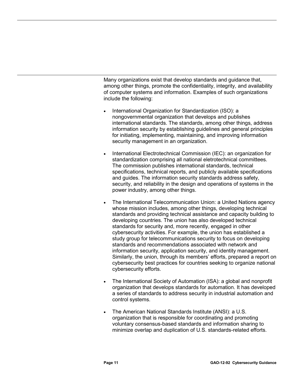Many organizations exist that develop standards and guidance that, among other things, promote the confidentiality, integrity, and availability of computer systems and information. Examples of such organizations include the following:

- International Organization for Standardization (ISO): a nongovernmental organization that develops and publishes international standards. The standards, among other things, address information security by establishing guidelines and general principles for initiating, implementing, maintaining, and improving information security management in an organization.
- International Electrotechnical Commission (IEC): an organization for standardization comprising all national eletrotechnical committees. The commission publishes international standards, technical specifications, technical reports, and publicly available specifications and guides. The information security standards address safety, security, and reliability in the design and operations of systems in the power industry, among other things.
- The International Telecommunication Union: a United Nations agency whose mission includes, among other things, developing technical standards and providing technical assistance and capacity building to developing countries. The union has also developed technical standards for security and, more recently, engaged in other cybersecurity activities. For example, the union has established a study group for telecommunications security to focus on developing standards and recommendations associated with network and information security, application security, and identity management. Similarly, the union, through its members' efforts, prepared a report on cybersecurity best practices for countries seeking to organize national cybersecurity efforts.
- The International Society of Automation (ISA): a global and nonprofit organization that develops standards for automation. It has developed a series of standards to address security in industrial automation and control systems.
- The American National Standards Institute (ANSI): a U.S. organization that is responsible for coordinating and promoting voluntary consensus-based standards and information sharing to minimize overlap and duplication of U.S. standards-related efforts.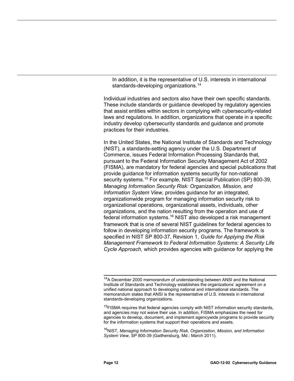In addition, it is the representative of U.S. interests in international standards-developing organizations.<sup>[14](#page-16-0)</sup>

Individual industries and sectors also have their own specific standards. These include standards or guidance developed by regulatory agencies that assist entities within sectors in complying with cybersecurity-related laws and regulations. In addition, organizations that operate in a specific industry develop cybersecurity standards and guidance and promote practices for their industries.

In the United States, the National Institute of Standards and Technology (NIST), a standards-setting agency under the U.S. Department of Commerce, issues Federal Information Processing Standards that, pursuant to the Federal Information Security Management Act of 2002 (FISMA), are mandatory for federal agencies and special publications that provide guidance for information systems security for non-national security systems.<sup>[15](#page-16-1)</sup> For example, NIST Special Publication (SP) 800-39, *Managing Information Security Risk: Organization, Mission, and Information System View,* provides guidance for an integrated, organizationwide program for managing information security risk to organizational operations, organizational assets, individuals, other organizations, and the nation resulting from the operation and use of federal information systems.<sup>[16](#page-16-2)</sup> NIST also developed a risk management framework that is one of several NIST guidelines for federal agencies to follow in developing information security programs. The framework is specified in NIST SP 800-37, Revision 1, *Guide for Applying the Risk Management Framework to Federal Information Systems: A Security Life Cycle Approach,* which provides agencies with guidance for applying the

<span id="page-16-2"></span>16NIST, *Managing Information Security Risk, Organization, Mission, and Information System View*, SP 800-39 (Gaithersburg, Md.: March 2011).

 $\overline{a}$ 

<span id="page-16-0"></span><sup>&</sup>lt;sup>14</sup>A December 2000 memorandum of understanding between ANSI and the National Institute of Standards and Technology establishes the organizations' agreement on a unified national approach to developing national and international standards. The memorandum states that ANSI is the representative of U.S. interests in international standards-developing organizations.

<span id="page-16-1"></span><sup>&</sup>lt;sup>15</sup>FISMA requires that federal agencies comply with NIST information security standards, and agencies may not waive their use. In addition, FISMA emphasizes the need for agencies to develop, document, and implement agencywide programs to provide security for the information systems that support their operations and assets.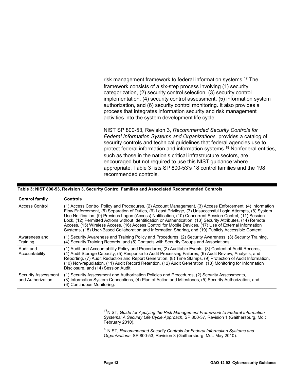risk management framework to federal information systems.<sup>[17](#page-17-1)</sup> The framework consists of a six-step process involving (1) security categorization, (2) security control selection, (3) security control implementation, (4) security control assessment, (5) information system authorization, and (6) security control monitoring. It also provides a process that integrates information security and risk management activities into the system development life cycle.

NIST SP 800-53, Revision 3, *Recommended Security Controls for Federal Information Systems and Organizations,* provides a catalog of security controls and technical guidelines that federal agencies use to protect federal information and information systems. [18](#page-17-2) Nonfederal entities, such as those in the nation's critical infrastructure sectors, are encouraged but not required to use this NIST guidance where appropriate. Table 3 lists SP 800-53's 18 control families and the 198 recommended controls.

#### <span id="page-17-0"></span>**Table 3: NIST 800-53, Revision 3, Security Control Families and Associated Recommended Controls**

| <b>Control family</b>                    | <b>Controls</b>                                                                                                                                                                                                                                                                                                                                                                                                                                                                                                                                                                                                                                                           |
|------------------------------------------|---------------------------------------------------------------------------------------------------------------------------------------------------------------------------------------------------------------------------------------------------------------------------------------------------------------------------------------------------------------------------------------------------------------------------------------------------------------------------------------------------------------------------------------------------------------------------------------------------------------------------------------------------------------------------|
| Access Control                           | (1) Access Control Policy and Procedures, (2) Account Management, (3) Access Enforcement, (4) Information<br>Flow Enforcement, (5) Separation of Duties, (6) Least Privilege, (7) Unsuccessful Login Attempts, (8) System<br>Use Notification, (9) Previous Logon (Access) Notification, (10) Concurrent Session Control, (11) Session<br>Lock, (12) Permitted Actions without Identification or Authentication, (13) Security Attributes, (14) Remote<br>Access, (15) Wireless Access, (16) Access Control for Mobile Devices, (17) Use of External Information<br>Systems, (18) User-Based Collaboration and Information Sharing, and (19) Publicly Accessible Content. |
| Awareness and<br>Training                | (1) Security Awareness and Training Policy and Procedures, (2) Security Awareness, (3) Security Training,<br>(4) Security Training Records, and (5) Contacts with Security Groups and Associations.                                                                                                                                                                                                                                                                                                                                                                                                                                                                       |
| Audit and<br>Accountability              | (1) Audit and Accountability Policy and Procedures, (2) Auditable Events, (3) Content of Audit Records,<br>(4) Audit Storage Capacity, (5) Response to Audit Processing Failures, (6) Audit Review, Analysis, and<br>Reporting, (7) Audit Reduction and Report Generation, (8) Time Stamps, (9) Protection of Audit Information,<br>(10) Non-repudiation, (11) Audit Record Retention, (12) Audit Generation, (13) Monitoring for Information<br>Disclosure, and (14) Session Audit.                                                                                                                                                                                      |
| Security Assessment<br>and Authorization | (1) Security Assessment and Authorization Policies and Procedures, (2) Security Assessments,<br>(3) Information System Connections, (4) Plan of Action and Milestones, (5) Security Authorization, and<br>(6) Continuous Monitoring.                                                                                                                                                                                                                                                                                                                                                                                                                                      |

<span id="page-17-1"></span> $\overline{a}$ <sup>17</sup>NIST, *Guide for Applying the Risk Management Framework to Federal Information Systems: A Security Life Cycle Approach*, SP 800-37, Revision 1 (Gaithersburg, Md.: February 2010).

<span id="page-17-2"></span>18NIST, *Recommended Security Controls for Federal Information Systems and Organizations*, SP 800-53, Revision 3 (Gaithersburg, Md.: May 2010).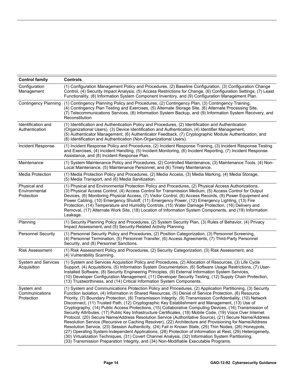| <b>Control family</b>                       | <b>Controls</b>                                                                                                                                                                                                                                                                                                                                                                                                                                                                                                                                                                                                                                                                                                                                                                                                                                                                                                                                                                                                                                                                                                                                                                                                                                                                                                        |
|---------------------------------------------|------------------------------------------------------------------------------------------------------------------------------------------------------------------------------------------------------------------------------------------------------------------------------------------------------------------------------------------------------------------------------------------------------------------------------------------------------------------------------------------------------------------------------------------------------------------------------------------------------------------------------------------------------------------------------------------------------------------------------------------------------------------------------------------------------------------------------------------------------------------------------------------------------------------------------------------------------------------------------------------------------------------------------------------------------------------------------------------------------------------------------------------------------------------------------------------------------------------------------------------------------------------------------------------------------------------------|
| Configuration<br>Management                 | (1) Configuration Management Policy and Procedures, (2) Baseline Configuration, (3) Configuration Change<br>Control, (4) Security Impact Analysis, (5) Access Restrictions for Change, (6) Configuration Settings, (7) Least<br>Functionality, (8) Information System Component Inventory, and (9) Configuration Management Plan.                                                                                                                                                                                                                                                                                                                                                                                                                                                                                                                                                                                                                                                                                                                                                                                                                                                                                                                                                                                      |
| <b>Contingency Planning</b>                 | (1) Contingency Planning Policy and Procedures, (2) Contingency Plan, (3) Contingency Training,<br>(4) Contingency Plan Testing and Exercises, (5) Alternate Storage Site, (6) Alternate Processing Site,<br>(7) Telecommunications Services, (8) Information System Backup, and (9) Information System Recovery, and<br>Reconstitution.                                                                                                                                                                                                                                                                                                                                                                                                                                                                                                                                                                                                                                                                                                                                                                                                                                                                                                                                                                               |
| Identification and<br>Authentication        | (1) Identification and Authentication Policy and Procedures, (2) Identification and Authentication<br>(Organizational Users), (3) Device Identification and Authentication, (4) Identifier Management,<br>(5) Authenticator Management, (6) Authenticator Feedback, (7) Cryptographic Module Authentication, and<br>(8) Identification and Authentication (Non-Organizational Users).                                                                                                                                                                                                                                                                                                                                                                                                                                                                                                                                                                                                                                                                                                                                                                                                                                                                                                                                  |
| Incident Response                           | (1) Incident Response Policy and Procedures, (2) Incident Response Training, (3) Incident Response Testing<br>and Exercises, (4) Incident Handling, (5) Incident Monitoring, (6) Incident Reporting, (7) Incident Response<br>Assistance, and (8) Incident Response Plan.                                                                                                                                                                                                                                                                                                                                                                                                                                                                                                                                                                                                                                                                                                                                                                                                                                                                                                                                                                                                                                              |
| Maintenance                                 | (1) System Maintenance Policy and Procedures, (2) Controlled Maintenance, (3) Maintenance Tools, (4) Non-<br>Local Maintenance, (5) Maintenance Personnel, and (6) Timely Maintenance.                                                                                                                                                                                                                                                                                                                                                                                                                                                                                                                                                                                                                                                                                                                                                                                                                                                                                                                                                                                                                                                                                                                                 |
| <b>Media Protection</b>                     | (1) Media Protection Policy and Procedures, (2) Media Access, (3) Media Marking, (4) Media Storage,<br>(5) Media Transport, and (6) Media Sanitization.                                                                                                                                                                                                                                                                                                                                                                                                                                                                                                                                                                                                                                                                                                                                                                                                                                                                                                                                                                                                                                                                                                                                                                |
| Physical and<br>Environmental<br>Protection | (1) Physical and Environmental Protection Policy and Procedures, (2) Physical Access Authorizations,<br>(3) Physical Access Control, (4) Access Control for Transmission Medium, (5) Access Control for Output<br>Devices, (6) Monitoring Physical Access, (7) Visitor Control, (8) Access Records, (9) Power Equipment and<br>Power Cabling, (10) Emergency Shutoff, (11) Emergency Power, (12) Emergency Lighting, (13) Fire<br>Protection, (14) Temperature and Humidity Controls, (15) Water Damage Protection, (16) Delivery and<br>Removal, (17) Alternate Work Site, (18) Location of Information System Components, and (19) Information<br>Leakage.                                                                                                                                                                                                                                                                                                                                                                                                                                                                                                                                                                                                                                                           |
| Planning                                    | (1) Security Planning Policy and Procedures, (2) System Security Plan, (3) Rules of Behavior, (4) Privacy<br>Impact Assessment, and (5) Security-Related Activity Planning.                                                                                                                                                                                                                                                                                                                                                                                                                                                                                                                                                                                                                                                                                                                                                                                                                                                                                                                                                                                                                                                                                                                                            |
| <b>Personnel Security</b>                   | (1) Personnel Security Policy and Procedures, (2) Position Categorization, (3) Personnel Screening,<br>(4) Personnel Termination, (5) Personnel Transfer, (6) Access Agreements, (7) Third-Party Personnel<br>Security, and (8) Personnel Sanctions.                                                                                                                                                                                                                                                                                                                                                                                                                                                                                                                                                                                                                                                                                                                                                                                                                                                                                                                                                                                                                                                                   |
| <b>Risk Assessment</b>                      | (1) Risk Assessment Policy and Procedures, (2) Security Categorization, (3) Risk Assessment, and<br>(4) Vulnerability Scanning.                                                                                                                                                                                                                                                                                                                                                                                                                                                                                                                                                                                                                                                                                                                                                                                                                                                                                                                                                                                                                                                                                                                                                                                        |
| <b>System and Services</b><br>Acquisition   | (1) System and Services Acquisition Policy and Procedures, (2) Allocation of Resources, (3) Life Cycle<br>Support, (4) Acquisitions, (5) Information System Documentation, (6) Software Usage Restrictions, (7) User-<br>Installed Software, (8) Security Engineering Principles, (9) External Information System Services,<br>(10) Developer Configuration Management, (11) Developer Security Testing, (12) Supply Chain Protection,<br>(13) Trustworthiness, and (14) Critical Information System Components.                                                                                                                                                                                                                                                                                                                                                                                                                                                                                                                                                                                                                                                                                                                                                                                                       |
| System and<br>Communications<br>Protection  | (1) System and Communications Protection Policy and Procedures, (2) Application Partitioning, (3) Security<br>Function Isolation, (4) Information in Shared Resources, (5) Denial of Service Protection, (6) Resource<br>Priority, (7) Boundary Protection, (8) Transmission Integrity, (9) Transmission Confidentiality, (10) Network<br>Disconnect, (11) Trusted Path, (12) Cryptographic Key Establishment and Management, (13) Use of<br>Cryptography, (14) Public Access Protections, (15) Collaborative Computing Devices, (16) Transmission of<br>Security Attributes, (17) Public Key Infrastructure Certificates, (18) Mobile Code, (19) Voice Over Internet<br>Protocol, (20) Secure Name/Address Resolution Service (Authoritative Source), (21) Secure Name/Address<br>Resolution Service (Recursive or Caching Resolver), (22) Architecture and Provisioning for Name/Address<br>Resolution Service, (23) Session Authenticity, (24) Fail in Known State, (25) Thin Nodes, (26) Honeypots,<br>(27) Operating System-Independent Applications, (28) Protection of Information at Rest, (29) Heterogeneity,<br>(30) Virtualization Techniques, (31) Covert Channel Analysis, (32) Information System Partitioning,<br>(33) Transmission Preparation Integrity, and (34) Non-Modifiable Executable Programs. |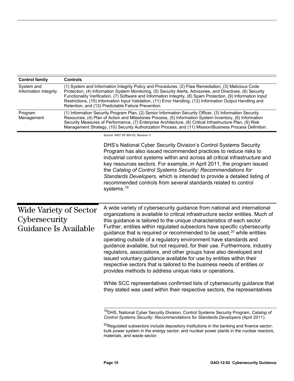<span id="page-19-0"></span>

| <b>Control family</b>                                            | <b>Controls</b>                                                                                                                                                                                                                                                                                                                                                                                                                                                                                             |                                                                                                                                                                                                                                                                                                                                                                                                                                                                                                                                                                                                                                                                                                                                                                                                                                                                                                                                                                                                |
|------------------------------------------------------------------|-------------------------------------------------------------------------------------------------------------------------------------------------------------------------------------------------------------------------------------------------------------------------------------------------------------------------------------------------------------------------------------------------------------------------------------------------------------------------------------------------------------|------------------------------------------------------------------------------------------------------------------------------------------------------------------------------------------------------------------------------------------------------------------------------------------------------------------------------------------------------------------------------------------------------------------------------------------------------------------------------------------------------------------------------------------------------------------------------------------------------------------------------------------------------------------------------------------------------------------------------------------------------------------------------------------------------------------------------------------------------------------------------------------------------------------------------------------------------------------------------------------------|
| System and<br>Information Integrity                              | (1) System and Information Integrity Policy and Procedures, (2) Flaw Remediation, (3) Malicious Code<br>Protection, (4) Information System Monitoring, (5) Security Alerts, Advisories, and Directives, (6) Security<br>Functionality Verification, (7) Software and Information Integrity, (8) Spam Protection, (9) Information Input<br>Restrictions, (10) Information Input Validation, (11) Error Handling, (12) Information Output Handling and<br>Retention, and (13) Predictable Failure Prevention. |                                                                                                                                                                                                                                                                                                                                                                                                                                                                                                                                                                                                                                                                                                                                                                                                                                                                                                                                                                                                |
| Program<br>Management                                            |                                                                                                                                                                                                                                                                                                                                                                                                                                                                                                             | (1) Information Security Program Plan, (2) Senior Information Security Officer, (3) Information Security<br>Resources, (4) Plan of Action and Milestones Process, (5) Information System Inventory, (6) Information<br>Security Measures of Performance, (7) Enterprise Architecture, (8) Critical Infrastructure Plan, (9) Risk<br>Management Strategy, (10) Security Authorization Process, and (11) Mission/Business Process Definition.                                                                                                                                                                                                                                                                                                                                                                                                                                                                                                                                                    |
|                                                                  |                                                                                                                                                                                                                                                                                                                                                                                                                                                                                                             | Source: NIST SP 800-53, Revision 3.                                                                                                                                                                                                                                                                                                                                                                                                                                                                                                                                                                                                                                                                                                                                                                                                                                                                                                                                                            |
|                                                                  |                                                                                                                                                                                                                                                                                                                                                                                                                                                                                                             | DHS's National Cyber Security Division's Control Systems Security<br>Program has also issued recommended practices to reduce risks to<br>industrial control systems within and across all critical infrastructure and<br>key resources sectors. For example, in April 2011, the program issued<br>the Catalog of Control Systems Security: Recommendations for<br>Standards Developers, which is intended to provide a detailed listing of<br>recommended controls from several standards related to control<br>systems. <sup>19</sup>                                                                                                                                                                                                                                                                                                                                                                                                                                                         |
| Wide Variety of Sector<br>Cybersecurity<br>Guidance Is Available |                                                                                                                                                                                                                                                                                                                                                                                                                                                                                                             | A wide variety of cybersecurity guidance from national and international<br>organizations is available to critical infrastructure sector entities. Much of<br>this guidance is tailored to the unique characteristics of each sector.<br>Further, entities within regulated subsectors have specific cybersecurity<br>guidance that is required or recommended to be used, $20$ while entities<br>operating outside of a regulatory environment have standards and<br>guidance available, but not required, for their use. Furthermore, industry<br>regulators, associations, and other groups have also developed and<br>issued voluntary guidance available for use by entities within their<br>respective sectors that is tailored to the business needs of entities or<br>provides methods to address unique risks or operations.<br>While SCC representatives confirmed lists of cybersecurity guidance that<br>they stated was used within their respective sectors, the representatives |
|                                                                  |                                                                                                                                                                                                                                                                                                                                                                                                                                                                                                             | <sup>19</sup> DHS, National Cyber Security Division, Control Systems Security Program, Catalog of<br>Control Systems Security: Recommendations for Standards Developers (April 2011).                                                                                                                                                                                                                                                                                                                                                                                                                                                                                                                                                                                                                                                                                                                                                                                                          |
|                                                                  |                                                                                                                                                                                                                                                                                                                                                                                                                                                                                                             | <sup>20</sup> Regulated subsectors include depository institutions in the banking and finance sector;<br>bulk power system in the energy sector; and nuclear power plants in the nuclear reactors,                                                                                                                                                                                                                                                                                                                                                                                                                                                                                                                                                                                                                                                                                                                                                                                             |

<span id="page-19-2"></span><span id="page-19-1"></span>materials, and waste sector.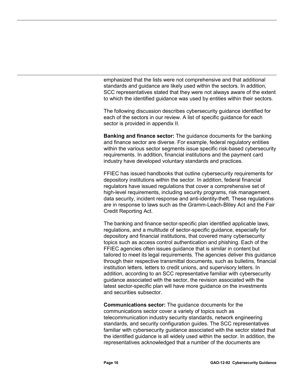emphasized that the lists were not comprehensive and that additional standards and guidance are likely used within the sectors. In addition, SCC representatives stated that they were not always aware of the extent to which the identified guidance was used by entities within their sectors.

The following discussion describes cybersecurity guidance identified for each of the sectors in our review. A list of specific guidance for each sector is provided in appendix II.

**Banking and finance sector:** The guidance documents for the banking and finance sector are diverse. For example, federal regulatory entities within the various sector segments issue specific risk-based cybersecurity requirements. In addition, financial institutions and the payment card industry have developed voluntary standards and practices.

FFIEC has issued handbooks that outline cybersecurity requirements for depository institutions within the sector. In addition, federal financial regulators have issued regulations that cover a comprehensive set of high-level requirements, including security programs, risk management, data security, incident response and anti-identity-theft. These regulations are in response to laws such as the Gramm-Leach-Bliley Act and the Fair Credit Reporting Act.

The banking and finance sector-specific plan identified applicable laws, regulations, and a multitude of sector-specific guidance, especially for depository and financial institutions, that covered many cybersecurity topics such as access control authentication and phishing. Each of the FFIEC agencies often issues guidance that is similar in content but tailored to meet its legal requirements. The agencies deliver this guidance through their respective transmittal documents, such as bulletins, financial institution letters, letters to credit unions, and supervisory letters. In addition, according to an SCC representative familiar with cybersecurity guidance associated with the sector, the revision associated with the latest sector-specific plan will have more guidance on the investments and securities subsector.

**Communications sector:** The guidance documents for the communications sector cover a variety of topics such as telecommunication industry security standards, network engineering standards, and security configuration guides. The SCC representatives familiar with cybersecurity guidance associated with the sector stated that the identified guidance is all widely used within the sector. In addition, the representatives acknowledged that a number of the documents are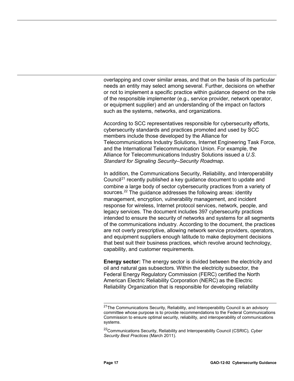overlapping and cover similar areas, and that on the basis of its particular needs an entity may select among several. Further, decisions on whether or not to implement a specific practice within guidance depend on the role of the responsible implementer (e.g., service provider, network operator, or equipment supplier) and an understanding of the impact on factors such as the systems, networks, and organizations.

According to SCC representatives responsible for cybersecurity efforts, cybersecurity standards and practices promoted and used by SCC members include those developed by the Alliance for Telecommunications Industry Solutions, Internet Engineering Task Force, and the International Telecommunication Union. For example, the Alliance for Telecommunications Industry Solutions issued a *U.S. Standard for Signaling Security–Security Roadmap*.

In addition, the Communications Security, Reliability, and Interoperability Council<sup>[21](#page-21-0)</sup> recently published a key guidance document to update and combine a large body of sector cybersecurity practices from a variety of sources.<sup>[22](#page-21-1)</sup> The guidance addresses the following areas: identity management, encryption, vulnerability management, and incident response for wireless, Internet protocol services, network, people, and legacy services. The document includes 397 cybersecurity practices intended to ensure the security of networks and systems for all segments of the communications industry. According to the document, the practices are not overly prescriptive, allowing network service providers, operators, and equipment suppliers enough latitude to make deployment decisions that best suit their business practices, which revolve around technology, capability, and customer requirements.

**Energy sector:** The energy sector is divided between the electricity and oil and natural gas subsectors. Within the electricity subsector, the Federal Energy Regulatory Commission (FERC) certified the North American Electric Reliability Corporation (NERC) as the Electric Reliability Organization that is responsible for developing reliability

<span id="page-21-0"></span> $\overline{a}$ <sup>21</sup>The Communications Security, Reliability, and Interoperability Council is an advisory committee whose purpose is to provide recommendations to the Federal Communications Commission to ensure optimal security, reliability, and interoperability of communications systems.

<span id="page-21-1"></span><sup>22</sup>Communications Security, Reliability and Interoperability Council (CSRIC)*, Cyber Security Best Practices* (March 2011).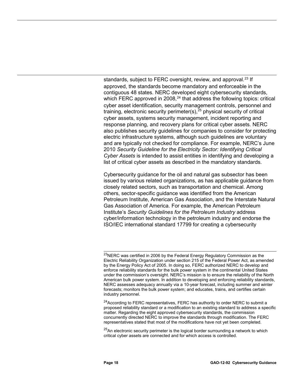standards, subject to FERC oversight, review, and approval.<sup>[23](#page-22-0)</sup> If approved, the standards become mandatory and enforceable in the contiguous 48 states. NERC developed eight cybersecurity standards, which FERC approved in 2008, $^{24}$  $^{24}$  $^{24}$  that address the following topics: critical cyber asset identification, security management controls, personnel and training, electronic security perimeter(s),<sup>[25](#page-22-2)</sup> physical security of critical cyber assets, systems security management, incident reporting and response planning, and recovery plans for critical cyber assets. NERC also publishes security guidelines for companies to consider for protecting electric infrastructure systems, although such guidelines are voluntary and are typically not checked for compliance. For example, NERC's June 2010 *Security Guideline for the Electricity Sector: Identifying Critical Cyber Assets* is intended to assist entities in identifying and developing a list of critical cyber assets as described in the mandatory standards.

Cybersecurity guidance for the oil and natural gas subsector has been issued by various related organizations, as has applicable guidance from closely related sectors, such as transportation and chemical. Among others, sector-specific guidance was identified from the American Petroleum Institute, American Gas Association, and the Interstate Natural Gas Association of America. For example, the American Petroleum Institute's *Security Guidelines for the Petroleum Industry* address cyber/information technology in the petroleum industry and endorse the ISO/IEC international standard 17799 for creating a cybersecurity

<span id="page-22-1"></span><sup>24</sup>According to FERC representatives, FERC has authority to order NERC to submit a proposed reliability standard or a modification to an existing standard to address a specific matter. Regarding the eight approved cybersecurity standards, the commission concurrently directed NERC to improve the standards through modification. The FERC representatives stated that most of the modifications have not yet been completed.

<span id="page-22-2"></span> $25$ An electronic security perimeter is the logical border surrounding a network to which critical cyber assets are connected and for which access is controlled.

<span id="page-22-0"></span> $\overline{a}$  $^{23}$ NERC was certified in 2006 by the Federal Energy Regulatory Commission as the Electric Reliability Organization under section 215 of the Federal Power Act, as amended by the Energy Policy Act of 2005. In doing so, FERC authorized NERC to develop and enforce reliability standards for the bulk power system in the continental United States under the commission's oversight. NERC's mission is to ensure the reliability of the North American bulk power system. In addition to developing and enforcing reliability standards, NERC assesses adequacy annually via a 10-year forecast, including summer and winter forecasts; monitors the bulk power system; and educates, trains, and certifies certain industry personnel.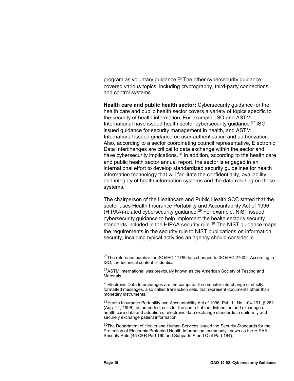program as voluntary guidance.<sup>[26](#page-23-0)</sup> The other cybersecurity guidance covered various topics, including cryptography, third-party connections, and control systems.

**Health care and public health sector:** Cybersecurity guidance for the health care and public health sector covers a variety of topics specific to the security of health information. For example, ISO and ASTM International have issued health sector cybersecurity guidance. [27](#page-23-1) ISO issued guidance for security management in health, and ASTM International issued guidance on user authentication and authorization. Also, according to a sector coordinating council representative, Electronic Data Interchanges are critical to data exchange within the sector and have cybersecurity implications.<sup>[28](#page-23-2)</sup> In addition, according to the health care and public health sector annual report, the sector is engaged in an international effort to develop standardized security guidelines for health information technology that will facilitate the confidentiality, availability, and integrity of health information systems and the data residing on those systems.

The chairperson of the Healthcare and Public Health SCC stated that the sector uses Health Insurance Portability and Accountability Act of 1996 (HIPAA)-related cybersecurity guidance. [29](#page-23-3) For example, NIST issued cybersecurity guidance to help implement the health sector's security standards included in the HIPAA security rule. $^{30}$  $^{30}$  $^{30}$  The NIST guidance maps the requirements in the security rule to NIST publications on information security, including typical activities an agency should consider in

<span id="page-23-2"></span><sup>28</sup>Electronic Data Interchanges are the computer-to-computer interchange of strictly formatted messages, also called transaction sets, that represent documents other than monetary instruments.

<span id="page-23-3"></span><sup>29</sup>Health Insurance Portability and Accountability Act of 1996, Pub. L. No. 104-191, § 262 (Aug. 21, 1996), as amended, calls for the control of the distribution and exchange of health care data and adoption of electronic data exchange standards to uniformly and securely exchange patient information.

<span id="page-23-4"></span><sup>30</sup>The Department of Health and Human Services issued the Security Standards for the Protection of Electronic Protected Health Information, commonly known as the HIPAA Security Rule (45 CFR Part 160 and Subparts A and C of Part 164).

<span id="page-23-0"></span> $\overline{a}$ <sup>26</sup>The reference number for ISO/IEC 17799 has changed to ISO/IEC 27002. According to ISO, the technical content is identical.

<span id="page-23-1"></span><sup>&</sup>lt;sup>27</sup>ASTM International was previously known as the American Society of Testing and Materials.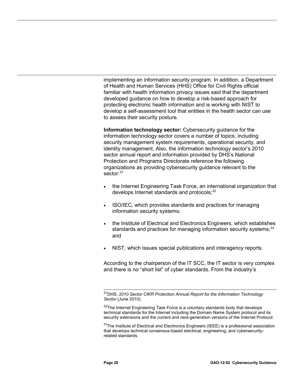implementing an information security program. In addition, a Department of Health and Human Services (HHS) Office for Civil Rights official familiar with health information privacy issues said that the department developed guidance on how to develop a risk-based approach for protecting electronic health information and is working with NIST to develop a self-assessment tool that entities in the health sector can use to assess their security posture.

**Information technology sector:** Cybersecurity guidance for the information technology sector covers a number of topics, including security management system requirements, operational security, and identity management. Also, the information technology sector's 2010 sector annual report and information provided by DHS's National Protection and Programs Directorate reference the following organizations as providing cybersecurity guidance relevant to the sector:<sup>31</sup>

- the Internet Engineering Task Force, an international organization that develops Internet standards and protocols;<sup>[32](#page-24-1)</sup>
- ISO/IEC, which provides standards and practices for managing information security systems;
- the Institute of Electrical and Electronics Engineers, which establishes standards and practices for managing information security systems;<sup>[33](#page-24-2)</sup> and
- NIST, which issues special publications and interagency reports.

According to the chairperson of the IT SCC, the IT sector is very complex and there is no "short list" of cyber standards. From the industry's

<span id="page-24-0"></span> $\overline{\phantom{0}}$ 31DHS, *2010 Sector CIKR Protection Annual Report for the Information Technology Sector* (June 2010).

<span id="page-24-1"></span><sup>32</sup>The Internet Engineering Task Force is a voluntary standards body that develops technical standards for the Internet including the Domain Name System protocol and its security extensions and the current and next-generation versions of the Internet Protocol.

<span id="page-24-2"></span> $33$ The Institute of Electrical and Electronics Engineers (IEEE) is a professional association that develops technical consensus-based electrical, engineering, and cybersecurityrelated standards.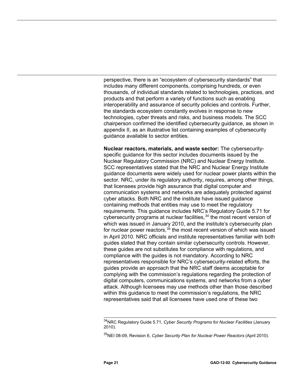perspective, there is an "ecosystem of cybersecurity standards" that includes many different components, comprising hundreds, or even thousands, of individual standards related to technologies, practices, and products and that perform a variety of functions such as enabling interoperability and assurance of security policies and controls. Further, the standards ecosystem constantly evolves in response to new technologies, cyber threats and risks, and business models. The SCC chairperson confirmed the identified cybersecurity guidance, as shown in appendix II, as an illustrative list containing examples of cybersecurity guidance available to sector entities.

**Nuclear reactors, materials, and waste sector:** The cybersecurityspecific guidance for this sector includes documents issued by the Nuclear Regulatory Commission (NRC) and Nuclear Energy Institute. SCC representatives stated that the NRC and Nuclear Energy Institute guidance documents were widely used for nuclear power plants within the sector. NRC, under its regulatory authority, requires, among other things, that licensees provide high assurance that digital computer and communication systems and networks are adequately protected against cyber attacks. Both NRC and the institute have issued guidance containing methods that entities may use to meet the regulatory requirements. This guidance includes NRC's Regulatory Guide 5.71 for cybersecurity programs at nuclear facilities,  $34$  the most recent version of which was issued in January 2010, and the institute's cybersecurity plan for nuclear power reactors,<sup>[35](#page-25-1)</sup> the most recent version of which was issued in April 2010. NRC officials and institute representatives familiar with both guides stated that they contain similar cybersecurity controls. However, these guides are not substitutes for compliance with regulations, and compliance with the guides is not mandatory. According to NRC representatives responsible for NRC's cybersecurity-related efforts, the guides provide an approach that the NRC staff deems acceptable for complying with the commission's regulations regarding the protection of digital computers, communications systems, and networks from a cyber attack. Although licensees may use methods other than those described within this guidance to meet the commission's regulations, the NRC representatives said that all licensees have used one of these two

<span id="page-25-0"></span> $\overline{a}$ 34NRC Regulatory Guide 5.71, *Cyber Security Programs for Nuclear Facilities* (January 2010).

<span id="page-25-1"></span><sup>35</sup>NEI 08-09, Revision 6, *Cyber Security Plan for Nuclear Power Reactors* (April 2010).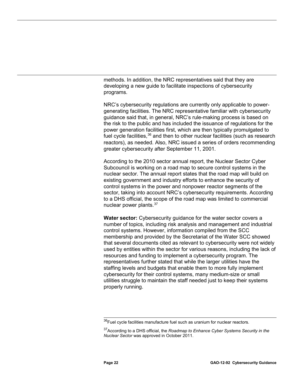methods. In addition, the NRC representatives said that they are developing a new guide to facilitate inspections of cybersecurity programs.

NRC's cybersecurity regulations are currently only applicable to powergenerating facilities. The NRC representative familiar with cybersecurity guidance said that, in general, NRC's rule-making process is based on the risk to the public and has included the issuance of regulations for the power generation facilities first, which are then typically promulgated to fuel cycle facilities,<sup>[36](#page-26-0)</sup> and then to other nuclear facilities (such as research reactors), as needed. Also, NRC issued a series of orders recommending greater cybersecurity after September 11, 2001.

According to the 2010 sector annual report, the Nuclear Sector Cyber Subcouncil is working on a road map to secure control systems in the nuclear sector. The annual report states that the road map will build on existing government and industry efforts to enhance the security of control systems in the power and nonpower reactor segments of the sector, taking into account NRC's cybersecurity requirements. According to a DHS official, the scope of the road map was limited to commercial nuclear power plants.<sup>[37](#page-26-1)</sup>

**Water sector:** Cybersecurity guidance for the water sector covers a number of topics, including risk analysis and management and industrial control systems. However, information compiled from the SCC membership and provided by the Secretariat of the Water SCC showed that several documents cited as relevant to cybersecurity were not widely used by entities within the sector for various reasons, including the lack of resources and funding to implement a cybersecurity program. The representatives further stated that while the larger utilities have the staffing levels and budgets that enable them to more fully implement cybersecurity for their control systems, many medium-size or small utilities struggle to maintain the staff needed just to keep their systems properly running.

<span id="page-26-0"></span> $\overline{a}$  $36$ Fuel cycle facilities manufacture fuel such as uranium for nuclear reactors.

<span id="page-26-1"></span><sup>37</sup>According to a DHS official, the *Roadmap to Enhance Cyber Systems Security in the Nuclear Sector* was approved in October 2011.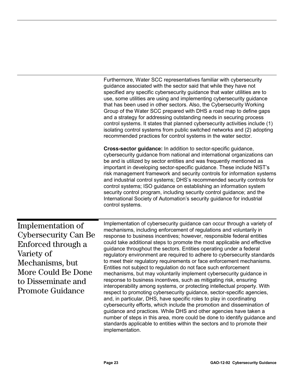Furthermore, Water SCC representatives familiar with cybersecurity guidance associated with the sector said that while they have not specified any specific cybersecurity guidance that water utilities are to use, some utilities are using and implementing cybersecurity guidance that has been used in other sectors. Also, the Cybersecurity Working Group of the Water SCC prepared with DHS a road map to define gaps and a strategy for addressing outstanding needs in securing process control systems. It states that planned cybersecurity activities include (1) isolating control systems from public switched networks and (2) adopting recommended practices for control systems in the water sector.

**Cross-sector guidance:** In addition to sector-specific guidance, cybersecurity guidance from national and international organizations can be and is utilized by sector entities and was frequently mentioned as important in developing sector-specific guidance. These include NIST's risk management framework and security controls for information systems and industrial control systems; DHS's recommended security controls for control systems; ISO guidance on establishing an information system security control program, including security control guidance; and the International Society of Automation's security guidance for industrial control systems.

<span id="page-27-0"></span>Implementation of Cybersecurity Can Be Enforced through a Variety of Mechanisms, but More Could Be Done to Disseminate and Promote Guidance

Implementation of cybersecurity guidance can occur through a variety of mechanisms, including enforcement of regulations and voluntarily in response to business incentives; however, responsible federal entities could take additional steps to promote the most applicable and effective guidance throughout the sectors. Entities operating under a federal regulatory environment are required to adhere to cybersecurity standards to meet their regulatory requirements or face enforcement mechanisms. Entities not subject to regulation do not face such enforcement mechanisms, but may voluntarily implement cybersecurity guidance in response to business incentives, such as mitigating risk, ensuring interoperability among systems, or protecting intellectual property. With respect to promoting cybersecurity guidance, sector-specific agencies, and, in particular, DHS, have specific roles to play in coordinating cybersecurity efforts, which include the promotion and dissemination of guidance and practices. While DHS and other agencies have taken a number of steps in this area, more could be done to identify guidance and standards applicable to entities within the sectors and to promote their implementation.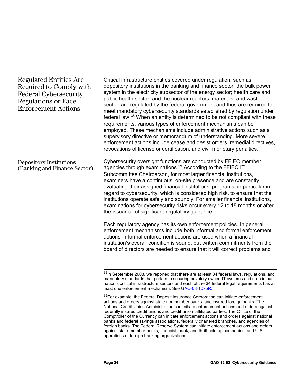## Regulated Entities Are Required to Comply with Federal Cybersecurity Regulations or Face Enforcement Actions

Critical infrastructure entities covered under regulation, such as depository institutions in the banking and finance sector; the bulk power system in the electricity subsector of the energy sector; health care and public health sector; and the nuclear reactors, materials, and waste sector, are regulated by the federal government and thus are required to meet mandatory cybersecurity standards established by regulation under federal law.<sup>[38](#page-28-0)</sup> When an entity is determined to be not compliant with these requirements, various types of enforcement mechanisms can be employed. These mechanisms include administrative actions such as a supervisory directive or memorandum of understanding. More severe enforcement actions include cease and desist orders, remedial directives, revocations of license or certification, and civil monetary penalties.

Cybersecurity oversight functions are conducted by FFIEC member agencies through examinations.<sup>[39](#page-28-1)</sup> According to the FFIEC IT Subcommittee Chairperson, for most larger financial institutions, examiners have a continuous, on-site presence and are constantly evaluating their assigned financial institutions' programs, in particular in regard to cybersecurity, which is considered high risk, to ensure that the institutions operate safely and soundly. For smaller financial institutions, examinations for cybersecurity risks occur every 12 to 18 months or after the issuance of significant regulatory guidance. Depository Institutions (Banking and Finance Sector)

> Each regulatory agency has its own enforcement policies. In general, enforcement mechanisms include both informal and formal enforcement actions. Informal enforcement actions are used when a financial institution's overall condition is sound, but written commitments from the board of directors are needed to ensure that it will correct problems and

<span id="page-28-0"></span> $\overline{\phantom{0}}$  $^{38}$ In September 2008, we reported that there are at least 34 federal laws, regulations, and mandatory standards that pertain to securing privately owned IT systems and data in our nation's critical infrastructure sectors and each of the 34 federal legal requirements has at least one enforcement mechanism. See [GAO-08-1075R.](http://www.gao.gov/products/GAO-08-1075R)

<span id="page-28-1"></span><sup>&</sup>lt;sup>39</sup>For example, the Federal Deposit Insurance Corporation can initiate enforcement actions and orders against state nonmember banks, and insured foreign banks. The National Credit Union Administration can initiate enforcement actions and orders against federally insured credit unions and credit union–affiliated parties. The Office of the Comptroller of the Currency can initiate enforcement actions and orders against national banks and federal savings associations, federally chartered branches, and agencies of foreign banks. The Federal Reserve System can initiate enforcement actions and orders against state member banks; financial, bank, and thrift holding companies; and U.S. operations of foreign banking organizations.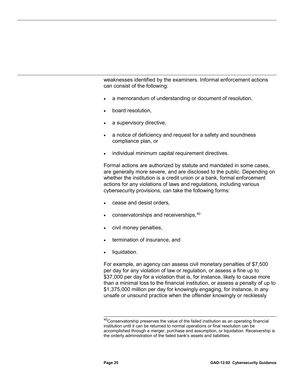weaknesses identified by the examiners. Informal enforcement actions can consist of the following:

- a memorandum of understanding or document of resolution,
- board resolution,
- a supervisory directive,
- a notice of deficiency and request for a safety and soundness compliance plan, or
- individual minimum capital requirement directives.

Formal actions are authorized by statute and mandated in some cases, are generally more severe, and are disclosed to the public. Depending on whether the institution is a credit union or a bank, formal enforcement actions for any violations of laws and regulations, including various cybersecurity provisions, can take the following forms:

- cease and desist orders,
- conservatorships and receiverships, [40](#page-29-0)
- civil money penalties,
- termination of insurance, and
- liquidation.

For example, an agency can assess civil monetary penalties of \$7,500 per day for any violation of law or regulation, or assess a fine up to \$37,000 per day for a violation that is, for instance, likely to cause more than a minimal loss to the financial institution, or assess a penalty of up to \$1,375,000 million per day for knowingly engaging, for instance, in any unsafe or unsound practice when the offender knowingly or recklessly

<span id="page-29-0"></span> $\overline{a}$ <sup>40</sup>Conservatorship preserves the value of the failed institution as an operating financial institution until it can be returned to normal operations or final resolution can be accomplished through a merger, purchase and assumption, or liquidation. Receivership is the orderly administration of the failed bank's assets and liabilities.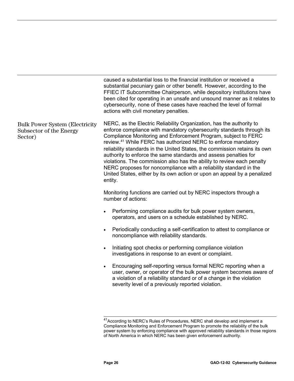caused a substantial loss to the financial institution or received a substantial pecuniary gain or other benefit. However, according to the FFIEC IT Subcommittee Chairperson, while depository institutions have been cited for operating in an unsafe and unsound manner as it relates to cybersecurity, none of these cases have reached the level of formal actions with civil monetary penalties. NERC, as the Electric Reliability Organization, has the authority to enforce compliance with mandatory cybersecurity standards through its Compliance Monitoring and Enforcement Program, subject to FERC review.[41](#page-30-0) While FERC has authorized NERC to enforce mandatory Monitoring functions are carried out by NERC inspectors through a number of actions: reliability standards in the United States, the commission retains its own authority to enforce the same standards and assess penalties for violations. The commission also has the ability to review each penalty NERC proposes for noncompliance with a reliability standard in the United States, either by its own action or upon an appeal by a penalized entity. Performing compliance audits for bulk power system owners, operators, and users on a schedule established by NERC. • Periodically conducting a self-certification to attest to compliance or noncompliance with reliability standards. • Initiating spot checks or performing compliance violation investigations in response to an event or complaint. • Encouraging self-reporting versus formal NERC reporting when a user, owner, or operator of the bulk power system becomes aware of a violation of a reliability standard or of a change in the violation severity level of a previously reported violation. Bulk Power System (Electricity Subsector of the Energy Sector)

 $\overline{a}$ 

<span id="page-30-0"></span><sup>&</sup>lt;sup>41</sup>According to NERC's Rules of Procedures, NERC shall develop and implement a Compliance Monitoring and Enforcement Program to promote the reliability of the bulk power system by enforcing compliance with approved reliability standards in those regions of North America in which NERC has been given enforcement authority.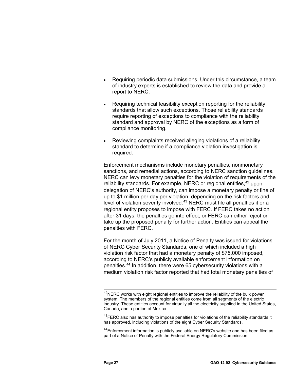- Requiring periodic data submissions. Under this circumstance, a team of industry experts is established to review the data and provide a report to NERC.
- Requiring technical feasibility exception reporting for the reliability standards that allow such exceptions. Those reliability standards require reporting of exceptions to compliance with the reliability standard and approval by NERC of the exceptions as a form of compliance monitoring.
- Reviewing complaints received alleging violations of a reliability standard to determine if a compliance violation investigation is required.

Enforcement mechanisms include monetary penalties, nonmonetary sanctions, and remedial actions, according to NERC sanction guidelines. NERC can levy monetary penalties for the violation of requirements of the reliability standards. For example, NERC or regional entities,<sup>[42](#page-31-0)</sup> upon delegation of NERC's authority, can impose a monetary penalty or fine of up to \$1 million per day per violation, depending on the risk factors and level of violation severity involved.<sup>[43](#page-31-1)</sup> NERC must file all penalties it or a regional entity proposes to impose with FERC. If FERC takes no action after 31 days, the penalties go into effect, or FERC can either reject or take up the proposed penalty for further action. Entities can appeal the penalties with FERC.

For the month of July 2011, a Notice of Penalty was issued for violations of NERC Cyber Security Standards, one of which included a high violation risk factor that had a monetary penalty of \$75,000 imposed, according to NERC's publicly available enforcement information on penalties. [44](#page-31-2) In addition, there were 65 cybersecurity violations with a medium violation risk factor reported that had total monetary penalties of

<span id="page-31-2"></span><span id="page-31-1"></span> $44$ Enforcement information is publicly available on NERC's website and has been filed as part of a Notice of Penalty with the Federal Energy Regulatory Commission.

<span id="page-31-0"></span> $\overline{a}$  $^{42}$ NERC works with eight regional entities to improve the reliability of the bulk power system. The members of the regional entities come from all segments of the electric industry. These entities account for virtually all the electricity supplied in the United States, Canada, and a portion of Mexico.

 $43$ FERC also has authority to impose penalties for violations of the reliability standards it has approved, including violations of the eight Cyber Security Standards.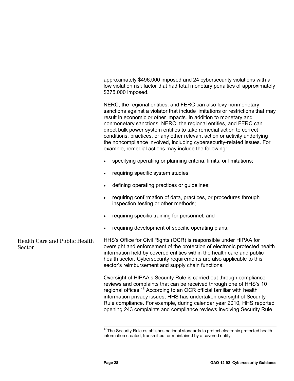approximately \$496,000 imposed and 24 cybersecurity violations with a low violation risk factor that had total monetary penalties of approximately \$375,000 imposed.

NERC, the regional entities, and FERC can also levy nonmonetary sanctions against a violator that include limitations or restrictions that may result in economic or other impacts. In addition to monetary and nonmonetary sanctions, NERC, the regional entities, and FERC can direct bulk power system entities to take remedial action to correct conditions, practices, or any other relevant action or activity underlying the noncompliance involved, including cybersecurity-related issues. For example, remedial actions may include the following:

- specifying operating or planning criteria, limits, or limitations;
- requiring specific system studies;
- defining operating practices or guidelines;
- requiring confirmation of data, practices, or procedures through inspection testing or other methods;
- requiring specific training for personnel; and
- requiring development of specific operating plans.

<span id="page-32-0"></span>HHS's Office for Civil Rights (OCR) is responsible under HIPAA for oversight and enforcement of the protection of electronic protected health information held by covered entities within the health care and public health sector. Cybersecurity requirements are also applicable to this sector's reimbursement and supply chain functions. Health Care and Public Health **Sector** 

> Oversight of HIPAA's Security Rule is carried out through compliance reviews and complaints that can be received through one of HHS's 10 regional offices.<sup>[45](#page-32-0)</sup> According to an OCR official familiar with health information privacy issues, HHS has undertaken oversight of Security Rule compliance. For example, during calendar year 2010, HHS reported opening 243 complaints and compliance reviews involving Security Rule

 $\overline{\phantom{a}}$ <sup>45</sup>The Security Rule establishes national standards to protect electronic protected health information created, transmitted, or maintained by a covered entity.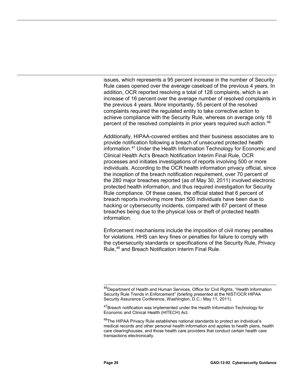issues, which represents a 95 percent increase in the number of Security Rule cases opened over the average caseload of the previous 4 years. In addition, OCR reported resolving a total of 128 complaints, which is an increase of 16 percent over the average number of resolved complaints in the previous 4 years. More importantly, 55 percent of the resolved complaints required the regulated entity to take corrective action to achieve compliance with the Security Rule, whereas on average only 18 percent of the resolved complaints in prior years required such action.[46](#page-33-0)

Additionally, HIPAA-covered entities and their business associates are to provide notification following a breach of unsecured protected health information.<sup>[47](#page-33-1)</sup> Under the Health Information Technology for Economic and Clinical Health Act's Breach Notification Interim Final Rule, OCR processes and initiates investigations of reports involving 500 or more individuals. According to the OCR health information privacy official, since the inception of the breach notification requirement, over 70 percent of the 280 major breaches reported (as of May 30, 2011) involved electronic protected health information, and thus required investigation for Security Rule compliance. Of these cases, the official stated that 6 percent of breach reports involving more than 500 individuals have been due to hacking or cybersecurity incidents, compared with 67 percent of these breaches being due to the physical loss or theft of protected health information.

Enforcement mechanisms include the imposition of civil money penalties for violations. HHS can levy fines or penalties for failure to comply with the cybersecurity standards or specifications of the Security Rule, Privacy Rule, [48](#page-33-2) and Breach Notification Interim Final Rule.

<span id="page-33-0"></span> $\overline{a}$ <sup>46</sup>Department of Health and Human Services, Office for Civil Rights, "Health Information Security Rule Trends in Enforcement" (briefing presented at the NIST/OCR HIPAA Security Assurance Conference, Washington, D.C.: May 11, 2011).

<span id="page-33-1"></span><sup>&</sup>lt;sup>47</sup>Breach notification was implemented under the Health Information Technology for Economic and Clinical Health (HITECH) Act.

<span id="page-33-2"></span><sup>&</sup>lt;sup>48</sup>The HIPAA Privacy Rule establishes national standards to protect an individual's medical records and other personal health information and applies to health plans, health care clearinghouses, and those health care providers that conduct certain health care transactions electronically.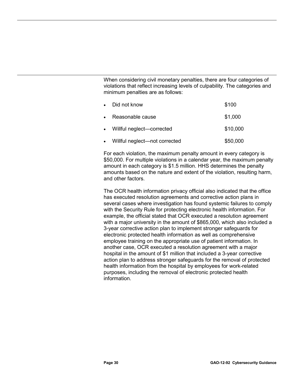When considering civil monetary penalties, there are four categories of violations that reflect increasing levels of culpability. The categories and minimum penalties are as follows:

| $\bullet$ | Did not know                  | \$100    |
|-----------|-------------------------------|----------|
|           | Reasonable cause              | \$1,000  |
|           | • Willful neglect—corrected   | \$10,000 |
|           | Willful neglect—not corrected | \$50,000 |

For each violation, the maximum penalty amount in every category is \$50,000. For multiple violations in a calendar year, the maximum penalty amount in each category is \$1.5 million. HHS determines the penalty amounts based on the nature and extent of the violation, resulting harm, and other factors.

The OCR health information privacy official also indicated that the office has executed resolution agreements and corrective action plans in several cases where investigation has found systemic failures to comply with the Security Rule for protecting electronic health information. For example, the official stated that OCR executed a resolution agreement with a major university in the amount of \$865,000, which also included a 3-year corrective action plan to implement stronger safeguards for electronic protected health information as well as comprehensive employee training on the appropriate use of patient information. In another case, OCR executed a resolution agreement with a major hospital in the amount of \$1 million that included a 3-year corrective action plan to address stronger safeguards for the removal of protected health information from the hospital by employees for work-related purposes, including the removal of electronic protected health information.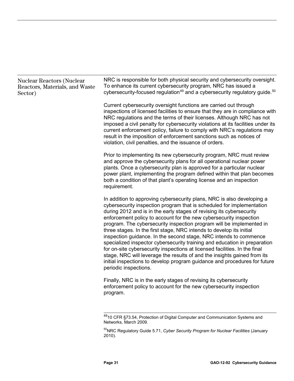## Nuclear Reactors (Nuclear Reactors, Materials, and Waste Sector)

NRC is responsible for both physical security and cybersecurity oversight. To enhance its current cybersecurity program, NRC has issued a cybersecurity-focused regulation<sup>[49](#page-35-0)</sup> and a cybersecurity regulatory guide.<sup>[50](#page-35-1)</sup>

Current cybersecurity oversight functions are carried out through inspections of licensed facilities to ensure that they are in compliance with NRC regulations and the terms of their licenses. Although NRC has not imposed a civil penalty for cybersecurity violations at its facilities under its current enforcement policy, failure to comply with NRC's regulations may result in the imposition of enforcement sanctions such as notices of violation, civil penalties, and the issuance of orders.

Prior to implementing its new cybersecurity program, NRC must review and approve the cybersecurity plans for all operational nuclear power plants. Once a cybersecurity plan is approved for a particular nuclear power plant, implementing the program defined within that plan becomes both a condition of that plant's operating license and an inspection requirement.

In addition to approving cybersecurity plans, NRC is also developing a cybersecurity inspection program that is scheduled for implementation during 2012 and is in the early stages of revising its cybersecurity enforcement policy to account for the new cybersecurity inspection program. The cybersecurity inspection program will be implemented in three stages. In the first stage, NRC intends to develop its initial inspection guidance. In the second stage, NRC intends to commence specialized inspector cybersecurity training and education in preparation for on-site cybersecurity inspections at licensed facilities. In the final stage, NRC will leverage the results of and the insights gained from its initial inspections to develop program guidance and procedures for future periodic inspections.

Finally, NRC is in the early stages of revising its cybersecurity enforcement policy to account for the new cybersecurity inspection program.

<span id="page-35-0"></span> $\overline{a}$ <sup>49</sup>10 CFR §73.54, Protection of Digital Computer and Communication Systems and Networks, March 2009.

<span id="page-35-1"></span><sup>50</sup>NRC Regulatory Guide 5.71, *Cyber Security Program for Nuclear Facilities* (January 2010).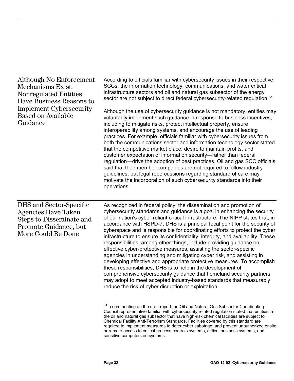Although No Enforcement Mechanisms Exist, Nonregulated Entities Have Business Reasons to Implement Cybersecurity Based on Available Guidance

According to officials familiar with cybersecurity issues in their respective SCCs, the information technology, communications, and water critical infrastructure sectors and oil and natural gas subsector of the energy sector are not subject to direct federal cybersecurity-related regulation.<sup>[51](#page-36-0)</sup>

Although the use of cybersecurity guidance is not mandatory, entities may voluntarily implement such guidance in response to business incentives, including to mitigate risks, protect intellectual property, ensure interoperability among systems, and encourage the use of leading practices. For example, officials familiar with cybersecurity issues from both the communications sector and information technology sector stated that the competitive market place, desire to maintain profits, and customer expectation of information security—rather than federal regulation—drive the adoption of best practices. Oil and gas SCC officials said that their member companies are not required to follow industry guidelines, but legal repercussions regarding standard of care may motivate the incorporation of such cybersecurity standards into their operations.

DHS and Sector-Specific Agencies Have Taken Steps to Disseminate and Promote Guidance, but More Could Be Done

As recognized in federal policy, the dissemination and promotion of cybersecurity standards and guidance is a goal in enhancing the security of our nation's cyber-reliant critical infrastructure. The NIPP states that, in accordance with HSPD-7, DHS is a principal focal point for the security of cyberspace and is responsible for coordinating efforts to protect the cyber infrastructure to ensure its confidentiality, integrity, and availability. These responsibilities, among other things, include providing guidance on effective cyber-protective measures, assisting the sector-specific agencies in understanding and mitigating cyber risk, and assisting in developing effective and appropriate protective measures. To accomplish these responsibilities, DHS is to help in the development of comprehensive cybersecurity guidance that homeland security partners may adopt to meet accepted industry-based standards that measurably reduce the risk of cyber disruption or exploitation.

<span id="page-36-0"></span> $\overline{a}$ <sup>51</sup>In commenting on the draft report, an Oil and Natural Gas Subsector Coordinating Council representative familiar with cybersecurity-related regulation stated that entities in the oil and natural gas subsector that have high-risk chemical facilities are subject to Chemical Facility Anti-Terrorism Standards. Facilities covered by this standard are required to implement measures to deter cyber sabotage, and prevent unauthorized onsite or remote access to critical process controls systems, critical business systems, and sensitive computerized systems.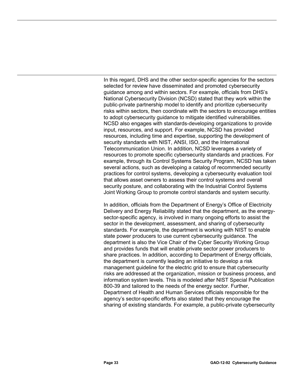In this regard, DHS and the other sector-specific agencies for the sectors selected for review have disseminated and promoted cybersecurity guidance among and within sectors. For example, officials from DHS's National Cybersecurity Division (NCSD) stated that they work within the public-private partnership model to identify and prioritize cybersecurity risks within sectors, then coordinate with the sectors to encourage entities to adopt cybersecurity guidance to mitigate identified vulnerabilities. NCSD also engages with standards-developing organizations to provide input, resources, and support. For example, NCSD has provided resources, including time and expertise, supporting the development of security standards with NIST, ANSI, ISO, and the International Telecommunication Union. In addition, NCSD leverages a variety of resources to promote specific cybersecurity standards and practices. For example, through its Control Systems Security Program, NCSD has taken several actions, such as developing a catalog of recommended security practices for control systems, developing a cybersecurity evaluation tool that allows asset owners to assess their control systems and overall security posture, and collaborating with the Industrial Control Systems Joint Working Group to promote control standards and system security.

In addition, officials from the Department of Energy's Office of Electricity Delivery and Energy Reliability stated that the department, as the energysector-specific agency, is involved in many ongoing efforts to assist the sector in the development, assessment, and sharing of cybersecurity standards. For example, the department is working with NIST to enable state power producers to use current cybersecurity guidance. The department is also the Vice Chair of the Cyber Security Working Group and provides funds that will enable private sector power producers to share practices. In addition, according to Department of Energy officials, the department is currently leading an initiative to develop a risk management guideline for the electric grid to ensure that cybersecurity risks are addressed at the organization, mission or business process, and information system levels. This is modeled after NIST Special Publication 800-39 and tailored to the needs of the energy sector. Further, Department of Health and Human Services officials responsible for the agency's sector-specific efforts also stated that they encourage the sharing of existing standards. For example, a public-private cybersecurity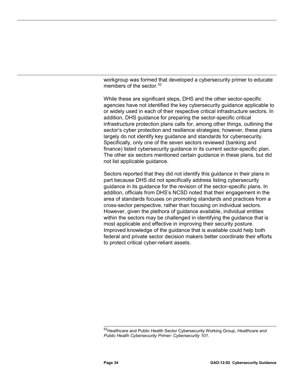workgroup was formed that developed a cybersecurity primer to educate members of the sector.<sup>[52](#page-38-0)</sup>

While these are significant steps, DHS and the other sector-specific agencies have not identified the key cybersecurity guidance applicable to or widely used in each of their respective critical infrastructure sectors. In addition, DHS guidance for preparing the sector-specific critical infrastructure protection plans calls for, among other things, outlining the sector's cyber protection and resilience strategies; however, these plans largely do not identify key guidance and standards for cybersecurity. Specifically, only one of the seven sectors reviewed (banking and finance) listed cybersecurity guidance in its current sector-specific plan. The other six sectors mentioned certain guidance in these plans, but did not list applicable guidance.

Sectors reported that they did not identify this guidance in their plans in part because DHS did not specifically address listing cybersecurity guidance in its guidance for the revision of the sector-specific plans. In addition, officials from DHS's NCSD noted that their engagement in the area of standards focuses on promoting standards and practices from a cross-sector perspective, rather than focusing on individual sectors. However, given the plethora of guidance available, individual entities within the sectors may be challenged in identifying the guidance that is most applicable and effective in improving their security posture. Improved knowledge of the guidance that is available could help both federal and private sector decision makers better coordinate their efforts to protect critical cyber-reliant assets.

<span id="page-38-0"></span> $\overline{a}$ 52Healthcare and Public Health Sector Cybersecurity Working Group, *Healthcare and Public Health Cybersecurity Primer: Cybersecurity 101*.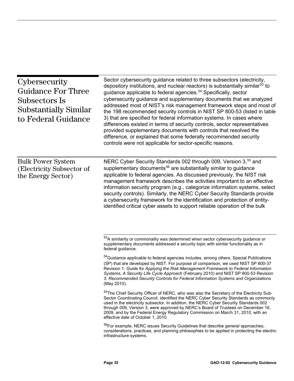<span id="page-39-3"></span><span id="page-39-2"></span><span id="page-39-1"></span><span id="page-39-0"></span>

| Cybersecurity<br><b>Guidance For Three</b><br>Subsectors Is<br><b>Substantially Similar</b><br>to Federal Guidance | Sector cybersecurity guidance related to three subsectors (electricity,<br>depository institutions, and nuclear reactors) is substantially similar <sup>53</sup> to<br>guidance applicable to federal agencies. <sup>54</sup> Specifically, sector<br>cybersecurity guidance and supplementary documents that we analyzed<br>addressed most of NIST's risk management framework steps and most of<br>the 198 recommended security controls in NIST SP 800-53 (listed in table<br>3) that are specified for federal information systems. In cases where<br>differences existed in terms of security controls, sector representatives<br>provided supplementary documents with controls that resolved the<br>difference, or explained that some federally recommended security<br>controls were not applicable for sector-specific reasons. |
|--------------------------------------------------------------------------------------------------------------------|-------------------------------------------------------------------------------------------------------------------------------------------------------------------------------------------------------------------------------------------------------------------------------------------------------------------------------------------------------------------------------------------------------------------------------------------------------------------------------------------------------------------------------------------------------------------------------------------------------------------------------------------------------------------------------------------------------------------------------------------------------------------------------------------------------------------------------------------|
| <b>Bulk Power System</b><br>(Electricity Subsector of<br>the Energy Sector)                                        | NERC Cyber Security Standards 002 through 009, Version 3, <sup>55</sup> and<br>supplementary documents <sup>56</sup> are substantially similar to guidance<br>applicable to federal agencies. As discussed previously, the NIST risk<br>management framework describes the activities important to an effective<br>information security program (e.g., categorize information systems, select<br>security controls). Similarly, the NERC Cyber Security Standards provide<br>a cybersecurity framework for the identification and protection of entity-<br>identified critical cyber assets to support reliable operation of the bulk                                                                                                                                                                                                     |
|                                                                                                                    | 53A similarity or commonality was determined when sector cybersecurity guidance or<br>supplementary documents addressed a security topic with similar functionality as in<br>federal guidance.                                                                                                                                                                                                                                                                                                                                                                                                                                                                                                                                                                                                                                            |
|                                                                                                                    | 54 Guidance applicable to federal agencies includes, among others, Special Publications<br>(SP) that are developed by NIST. For purpose of comparison, we used NIST SP 800-37<br>Revision 1: Guide for Applying the Risk Management Framework to Federal Information<br>Systems, A Security Life Cycle Approach (February 2010) and NIST SP 800-53 Revision<br>3: Recommended Security Controls for Federal Information Systems and Organizations<br>(May 2010).                                                                                                                                                                                                                                                                                                                                                                          |
|                                                                                                                    | 55The Chief Security Officer of NERC, who was also the Secretary of the Electricity Sub-<br>Sector Coordinating Council, identified the NERC Cyber Security Standards as commonly<br>used in the electricity subsector. In addition, the NERC Cyber Security Standards 002<br>through 009, Version 3, were approved by NERC's Board of Trustees on December 16,<br>2009, and by the Federal Energy Regulatory Commission on March 31, 2010, with an<br>effective date of October 1, 2010.                                                                                                                                                                                                                                                                                                                                                 |
|                                                                                                                    | <sup>56</sup> For example, NERC issues Security Guidelines that describe general approaches,<br>considerations, practices, and planning philosophies to be applied in protecting the electric<br>infrastructure systems.                                                                                                                                                                                                                                                                                                                                                                                                                                                                                                                                                                                                                  |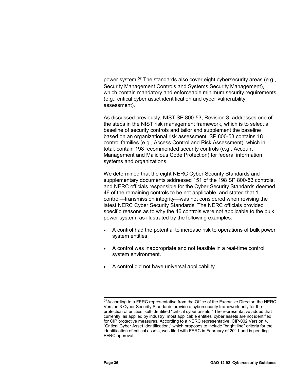power system.<sup>[57](#page-40-0)</sup> The standards also cover eight cybersecurity areas (e.g., Security Management Controls and Systems Security Management), which contain mandatory and enforceable minimum security requirements (e.g., critical cyber asset identification and cyber vulnerability assessment).

As discussed previously, NIST SP 800-53, Revision 3, addresses one of the steps in the NIST risk management framework, which is to select a baseline of security controls and tailor and supplement the baseline based on an organizational risk assessment. SP 800-53 contains 18 control families (e.g., Access Control and Risk Assessment), which in total, contain 198 recommended security controls (e.g., Account Management and Malicious Code Protection) for federal information systems and organizations.

We determined that the eight NERC Cyber Security Standards and supplementary documents addressed 151 of the 198 SP 800-53 controls, and NERC officials responsible for the Cyber Security Standards deemed 46 of the remaining controls to be not applicable, and stated that 1 control—transmission integrity—was not considered when revising the latest NERC Cyber Security Standards. The NERC officials provided specific reasons as to why the 46 controls were not applicable to the bulk power system, as illustrated by the following examples:

- A control had the potential to increase risk to operations of bulk power system entities.
- A control was inappropriate and not feasible in a real-time control system environment.
- A control did not have universal applicability.

<span id="page-40-0"></span> $\overline{a}$ <sup>57</sup>According to a FERC representative from the Office of the Executive Director, the NERC Version 3 Cyber Security Standards provide a cybersecurity framework only for the protection of entities' self-identified "critical cyber assets." The representative added that currently, as applied by industry, most applicable entities' cyber assets are not identified for CIP protective measures. According to a NERC representative, CIP-002 Version 4, "Critical Cyber Asset Identification," which proposes to include "bright line" criteria for the identification of critical assets, was filed with FERC in February of 2011 and is pending FERC approval.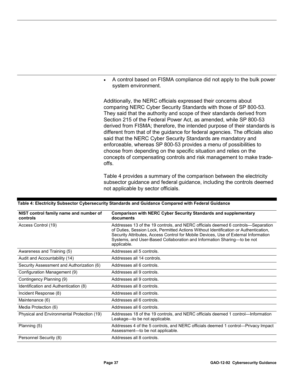• A control based on FISMA compliance did not apply to the bulk power system environment.

Additionally, the NERC officials expressed their concerns about comparing NERC Cyber Security Standards with those of SP 800-53. They said that the authority and scope of their standards derived from Section 215 of the Federal Power Act, as amended, while SP 800-53 derived from FISMA; therefore, the intended purpose of their standards is different from that of the guidance for federal agencies. The officials also said that the NERC Cyber Security Standards are mandatory and enforceable, whereas SP 800-53 provides a menu of possibilities to choose from depending on the specific situation and relies on the concepts of compensating controls and risk management to make tradeoffs.

Table 4 provides a summary of the comparison between the electricity subsector guidance and federal guidance, including the controls deemed not applicable by sector officials.

| NIST control family name and number of<br>controls | <b>Comparison with NERC Cyber Security Standards and supplementary</b><br>documents                                                                                                                                                                                                                                                                       |
|----------------------------------------------------|-----------------------------------------------------------------------------------------------------------------------------------------------------------------------------------------------------------------------------------------------------------------------------------------------------------------------------------------------------------|
| Access Control (19)                                | Addresses 13 of the 19 controls, and NERC officials deemed 6 controls—Separation<br>of Duties, Session Lock, Permitted Actions Without Identification or Authentication,<br>Security Attributes, Access Control for Mobile Devices, Use of External Information<br>Systems, and User-Based Collaboration and Information Sharing-to be not<br>applicable. |
| Awareness and Training (5)                         | Addresses all 5 controls.                                                                                                                                                                                                                                                                                                                                 |
| Audit and Accountability (14)                      | Addresses all 14 controls.                                                                                                                                                                                                                                                                                                                                |
| Security Assessment and Authorization (6)          | Addresses all 6 controls.                                                                                                                                                                                                                                                                                                                                 |
| Configuration Management (9)                       | Addresses all 9 controls.                                                                                                                                                                                                                                                                                                                                 |
| Contingency Planning (9)                           | Addresses all 9 controls.                                                                                                                                                                                                                                                                                                                                 |
| Identification and Authentication (8)              | Addresses all 8 controls.                                                                                                                                                                                                                                                                                                                                 |
| Incident Response (8)                              | Addresses all 8 controls.                                                                                                                                                                                                                                                                                                                                 |
| Maintenance (6)                                    | Addresses all 6 controls.                                                                                                                                                                                                                                                                                                                                 |
| Media Protection (6)                               | Addresses all 6 controls.                                                                                                                                                                                                                                                                                                                                 |
| Physical and Environmental Protection (19)         | Addresses 18 of the 19 controls, and NERC officials deemed 1 control—Information<br>Leakage—to be not applicable.                                                                                                                                                                                                                                         |
| Planning (5)                                       | Addresses 4 of the 5 controls, and NERC officials deemed 1 control—Privacy Impact<br>Assessment-to be not applicable.                                                                                                                                                                                                                                     |
| Personnel Security (8)                             | Addresses all 8 controls.                                                                                                                                                                                                                                                                                                                                 |

# **Table 4: Electricity Subsector Cybersecurity Standards and Guidance Compared with Federal Guidance**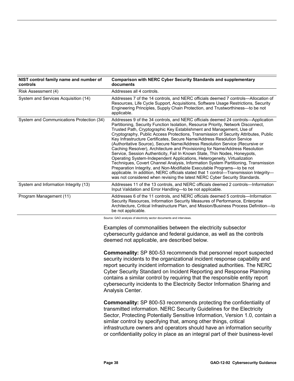| NIST control family name and number of<br>controls | <b>Comparison with NERC Cyber Security Standards and supplementary</b><br>documents                                                                                                                                                                                                                                                                                                                                                                                                                                                                                                                                                                                                                                                                                                                                                                                                                                                                                                                                                                                                 |
|----------------------------------------------------|-------------------------------------------------------------------------------------------------------------------------------------------------------------------------------------------------------------------------------------------------------------------------------------------------------------------------------------------------------------------------------------------------------------------------------------------------------------------------------------------------------------------------------------------------------------------------------------------------------------------------------------------------------------------------------------------------------------------------------------------------------------------------------------------------------------------------------------------------------------------------------------------------------------------------------------------------------------------------------------------------------------------------------------------------------------------------------------|
| Risk Assessment (4)                                | Addresses all 4 controls.                                                                                                                                                                                                                                                                                                                                                                                                                                                                                                                                                                                                                                                                                                                                                                                                                                                                                                                                                                                                                                                           |
| System and Services Acquisition (14)               | Addresses 7 of the 14 controls, and NERC officials deemed 7 controls-Allocation of<br>Resources, Life Cycle Support, Acquisitions, Software Usage Restrictions, Security<br>Engineering Principles, Supply Chain Protection, and Trustworthiness-to be not<br>applicable.                                                                                                                                                                                                                                                                                                                                                                                                                                                                                                                                                                                                                                                                                                                                                                                                           |
| System and Communications Protection (34)          | Addresses 9 of the 34 controls, and NERC officials deemed 24 controls—Application<br>Partitioning, Security Function Isolation, Resource Priority, Network Disconnect,<br>Trusted Path, Cryptographic Key Establishment and Management, Use of<br>Cryptography, Public Access Protections, Transmission of Security Attributes, Public<br>Key Infrastructure Certificates, Secure Name/Address Resolution Service<br>(Authoritative Source), Secure Name/Address Resolution Service (Recursive or<br>Caching Resolver), Architecture and Provisioning for Name/Address Resolution<br>Service, Session Authenticity, Fail In Known State, Thin Nodes, Honeypots,<br>Operating System-Independent Applications, Heterogeneity, Virtualization<br>Techniques, Covert Channel Analysis, Information System Partitioning, Transmission<br>Preparation Integrity, and Non-Modifiable Executable Programs-to be not<br>applicable. In addition, NERC officials stated that 1 control—Transmission Integrity—<br>was not considered when revising the latest NERC Cyber Security Standards. |
| System and Information Integrity (13)              | Addresses 11 of the 13 controls, and NERC officials deemed 2 controls—Information<br>Input Validation and Error Handling-to be not applicable.                                                                                                                                                                                                                                                                                                                                                                                                                                                                                                                                                                                                                                                                                                                                                                                                                                                                                                                                      |
| Program Management (11)                            | Addresses 6 of the 11 controls, and NERC officials deemed 5 controls—Information<br>Security Resources, Information Security Measures of Performance, Enterprise<br>Architecture, Critical Infrastructure Plan, and Mission/Business Process Definition-to<br>be not applicable.                                                                                                                                                                                                                                                                                                                                                                                                                                                                                                                                                                                                                                                                                                                                                                                                    |
|                                                    | Source: GAO analysis of electricity sector documents and interviews.                                                                                                                                                                                                                                                                                                                                                                                                                                                                                                                                                                                                                                                                                                                                                                                                                                                                                                                                                                                                                |
|                                                    | Examples of commonalities between the electricity subsector<br>cybersecurity guidance and federal guidance, as well as the controls<br>deemed not applicable, are described below.                                                                                                                                                                                                                                                                                                                                                                                                                                                                                                                                                                                                                                                                                                                                                                                                                                                                                                  |
|                                                    | <b>Commonality:</b> SP 800-53 recommends that personnel report suspected<br>security incidents to the organizational incident response capability and<br>report security incident information to designated authorities. The NERC<br>Cyber Security Standard on Incident Reporting and Response Planning<br>contains a similar control by requiring that the responsible entity report<br>cybersecurity incidents to the Electricity Sector Information Sharing and<br>Analysis Center.                                                                                                                                                                                                                                                                                                                                                                                                                                                                                                                                                                                             |
|                                                    | <b>Commonality:</b> SP 800-53 recommends protecting the confidentiality of<br>transmitted information. NERC Security Guidelines for the Electricity<br>Sector, Protecting Potentially Sensitive Information, Version 1.0, contain a<br>similar control by specifying that, among other things, critical<br>infrastructure owners and operators should have an information security<br>or confidentiality policy in place as an integral part of their business-level                                                                                                                                                                                                                                                                                                                                                                                                                                                                                                                                                                                                                |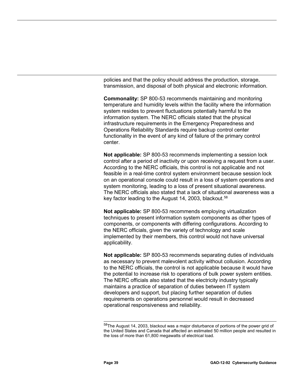policies and that the policy should address the production, storage, transmission, and disposal of both physical and electronic information.

**Commonality:** SP 800-53 recommends maintaining and monitoring temperature and humidity levels within the facility where the information system resides to prevent fluctuations potentially harmful to the information system. The NERC officials stated that the physical infrastructure requirements in the Emergency Preparedness and Operations Reliability Standards require backup control center functionality in the event of any kind of failure of the primary control center.

**Not applicable:** SP 800-53 recommends implementing a session lock control after a period of inactivity or upon receiving a request from a user. According to the NERC officials, this control is not applicable and not feasible in a real-time control system environment because session lock on an operational console could result in a loss of system operations and system monitoring, leading to a loss of present situational awareness. The NERC officials also stated that a lack of situational awareness was a key factor leading to the August 14, 2003, blackout.<sup>[58](#page-43-0)</sup>

**Not applicable:** SP 800-53 recommends employing virtualization techniques to present information system components as other types of components, or components with differing configurations. According to the NERC officials, given the variety of technology and scale implemented by their members, this control would not have universal applicability.

**Not applicable:** SP 800-53 recommends separating duties of individuals as necessary to prevent malevolent activity without collusion. According to the NERC officials, the control is not applicable because it would have the potential to increase risk to operations of bulk power system entities. The NERC officials also stated that the electricity industry typically maintains a practice of separation of duties between IT system developers and support, but placing further separation of duties requirements on operations personnel would result in decreased operational responsiveness and reliability.

<span id="page-43-0"></span> $\overline{a}$  $^{58}$ The August 14, 2003, blackout was a major disturbance of portions of the power grid of the United States and Canada that affected an estimated 50 million people and resulted in the loss of more than 61,800 megawatts of electrical load.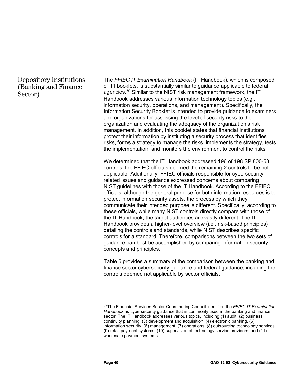# Depository Institutions (Banking and Finance Sector)

The *FFIEC IT Examination Handbook* (IT Handbook), which is composed of 11 booklets, is substantially similar to guidance applicable to federal agencies.<sup>[59](#page-44-0)</sup> Similar to the NIST risk management framework, the IT Handbook addresses various information technology topics (e.g., information security, operations, and management). Specifically, the Information Security Booklet is intended to provide guidance to examiners and organizations for assessing the level of security risks to the organization and evaluating the adequacy of the organization's risk management. In addition, this booklet states that financial institutions protect their information by instituting a security process that identifies risks, forms a strategy to manage the risks, implements the strategy, tests the implementation, and monitors the environment to control the risks.

We determined that the IT Handbook addressed 196 of 198 SP 800-53 controls; the FFIEC officials deemed the remaining 2 controls to be not applicable. Additionally, FFIEC officials responsible for cybersecurityrelated issues and guidance expressed concerns about comparing NIST guidelines with those of the IT Handbook. According to the FFIEC officials, although the general purpose for both information resources is to protect information security assets, the process by which they communicate their intended purpose is different. Specifically, according to these officials, while many NIST controls directly compare with those of the IT Handbook, the target audiences are vastly different. The IT Handbook provides a higher-level overview (i.e., risk-based principles) detailing the controls and standards, while NIST describes specific controls for a standard. Therefore, comparisons between the two sets of guidance can best be accomplished by comparing information security concepts and principles.

Table 5 provides a summary of the comparison between the banking and finance sector cybersecurity guidance and federal guidance, including the controls deemed not applicable by sector officials.

<span id="page-44-0"></span> $\overline{a}$ 59The Financial Services Sector Coordinating Council identified the *FFIEC IT Examination Handbook* as cybersecurity guidance that is commonly used in the banking and finance sector. The IT Handbook addresses various topics, including (1) audit, (2) business continuity planning, (3) development and acquisition, (4) electronic banking, (5) information security, (6) management, (7) operations, (8) outsourcing technology services, (9) retail payment systems, (10) supervision of technology service providers, and (11) wholesale payment systems.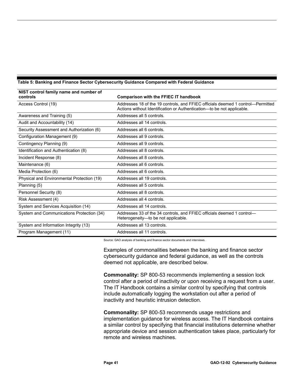| NIST control family name and number of<br>controls | <b>Comparison with the FFIEC IT handbook</b>                                                                                                              |
|----------------------------------------------------|-----------------------------------------------------------------------------------------------------------------------------------------------------------|
|                                                    |                                                                                                                                                           |
| Access Control (19)                                | Addresses 18 of the 19 controls, and FFIEC officials deemed 1 control-Permitted<br>Actions without Identification or Authentication—to be not applicable. |
| Awareness and Training (5)                         | Addresses all 5 controls.                                                                                                                                 |
| Audit and Accountability (14)                      | Addresses all 14 controls.                                                                                                                                |
| Security Assessment and Authorization (6)          | Addresses all 6 controls.                                                                                                                                 |
| Configuration Management (9)                       | Addresses all 9 controls.                                                                                                                                 |
| Contingency Planning (9)                           | Addresses all 9 controls.                                                                                                                                 |
| Identification and Authentication (8)              | Addresses all 8 controls.                                                                                                                                 |
| Incident Response (8)                              | Addresses all 8 controls.                                                                                                                                 |
| Maintenance (6)                                    | Addresses all 6 controls.                                                                                                                                 |
| Media Protection (6)                               | Addresses all 6 controls.                                                                                                                                 |
| Physical and Environmental Protection (19)         | Addresses all 19 controls.                                                                                                                                |
| Planning (5)                                       | Addresses all 5 controls.                                                                                                                                 |
| Personnel Security (8)                             | Addresses all 8 controls.                                                                                                                                 |
| Risk Assessment (4)                                | Addresses all 4 controls.                                                                                                                                 |
| System and Services Acquisition (14)               | Addresses all 14 controls.                                                                                                                                |
| System and Communications Protection (34)          | Addresses 33 of the 34 controls, and FFIEC officials deemed 1 control-<br>Heterogeneity-to be not applicable.                                             |
| System and Information Integrity (13)              | Addresses all 13 controls.                                                                                                                                |
| Program Management (11)                            | Addresses all 11 controls.                                                                                                                                |

# **Table 5: Banking and Finance Sector Cybersecurity Guidance Compared with Federal Guidance**

Source: GAO analysis of banking and finance sector documents and interviews.

Examples of commonalities between the banking and finance sector cybersecurity guidance and federal guidance, as well as the controls deemed not applicable, are described below.

**Commonality:** SP 800-53 recommends implementing a session lock control after a period of inactivity or upon receiving a request from a user. The IT Handbook contains a similar control by specifying that controls include automatically logging the workstation out after a period of inactivity and heuristic intrusion detection.

**Commonality:** SP 800-53 recommends usage restrictions and implementation guidance for wireless access. The IT Handbook contains a similar control by specifying that financial institutions determine whether appropriate device and session authentication takes place, particularly for remote and wireless machines.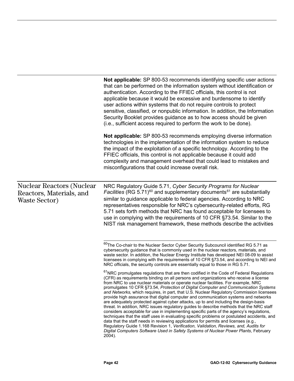<span id="page-46-1"></span><span id="page-46-0"></span>

|                                                                               | Not applicable: SP 800-53 recommends identifying specific user actions<br>that can be performed on the information system without identification or<br>authentication. According to the FFIEC officials, this control is not<br>applicable because it would be excessive and burdensome to identify<br>user actions within systems that do not require controls to protect<br>sensitive, classified, or nonpublic information. In addition, the Information<br>Security Booklet provides guidance as to how access should be given<br>(i.e., sufficient access required to perform the work to be done).                                                                                                                                                                                                                                                                                                                                                                                                                                                                                                                                                                                                                   |
|-------------------------------------------------------------------------------|----------------------------------------------------------------------------------------------------------------------------------------------------------------------------------------------------------------------------------------------------------------------------------------------------------------------------------------------------------------------------------------------------------------------------------------------------------------------------------------------------------------------------------------------------------------------------------------------------------------------------------------------------------------------------------------------------------------------------------------------------------------------------------------------------------------------------------------------------------------------------------------------------------------------------------------------------------------------------------------------------------------------------------------------------------------------------------------------------------------------------------------------------------------------------------------------------------------------------|
|                                                                               | Not applicable: SP 800-53 recommends employing diverse information<br>technologies in the implementation of the information system to reduce<br>the impact of the exploitation of a specific technology. According to the<br>FFIEC officials, this control is not applicable because it could add<br>complexity and management overhead that could lead to mistakes and<br>misconfigurations that could increase overall risk.                                                                                                                                                                                                                                                                                                                                                                                                                                                                                                                                                                                                                                                                                                                                                                                             |
| <b>Nuclear Reactors (Nuclear</b><br>Reactors, Materials, and<br>Waste Sector) | NRC Regulatory Guide 5.71, Cyber Security Programs for Nuclear<br><i>Facilities</i> (RG 5.71) <sup>60</sup> and supplementary documents <sup>61</sup> are substantially<br>similar to guidance applicable to federal agencies. According to NRC<br>representatives responsible for NRC's cybersecurity-related efforts, RG<br>5.71 sets forth methods that NRC has found acceptable for licensees to<br>use in complying with the requirements of 10 CFR §73.54. Similar to the<br>NIST risk management framework, these methods describe the activities                                                                                                                                                                                                                                                                                                                                                                                                                                                                                                                                                                                                                                                                   |
|                                                                               | 60 The Co-chair to the Nuclear Sector Cyber Security Subcouncil identified RG 5.71 as<br>cybersecurity guidance that is commonly used in the nuclear reactors, materials, and<br>waste sector. In addition, the Nuclear Energy Institute has developed NEI 08-09 to assist<br>licensees in complying with the requirements of 10 CFR §73.54, and according to NEI and<br>NRC officials, the security controls are essentially equal to those in RG 5.71.                                                                                                                                                                                                                                                                                                                                                                                                                                                                                                                                                                                                                                                                                                                                                                   |
|                                                                               | <sup>61</sup> NRC promulgates regulations that are then codified in the Code of Federal Regulations<br>(CFR) as requirements binding on all persons and organizations who receive a license<br>from NRC to use nuclear materials or operate nuclear facilities. For example, NRC<br>promulgates 10 CFR §73.54, Protection of Digital Computer and Communication Systems<br>and Networks, which requires, in part, that U.S. Nuclear Regulatory Commission licensees<br>provide high assurance that digital computer and communication systems and networks<br>are adequately protected against cyber attacks, up to and including the design-basis<br>threat. In addition, NRC issues regulatory guides to describe methods that the NRC staff<br>considers acceptable for use in implementing specific parts of the agency's regulations,<br>techniques that the staff uses in evaluating specific problems or postulated accidents, and<br>data that the staff needs in reviewing applications for permits and licenses (e.g.,<br>Regulatory Guide 1.168 Revision 1, Verification, Validation, Reviews, and, Audits for<br>Digital Computers Software Used in Safety Systems of Nuclear Power Plants, February<br>2004). |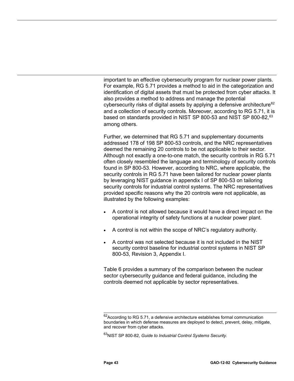important to an effective cybersecurity program for nuclear power plants. For example, RG 5.71 provides a method to aid in the categorization and identification of digital assets that must be protected from cyber attacks. It also provides a method to address and manage the potential cybersecurity risks of digital assets by applying a defensive architecture<sup>62</sup> and a collection of security controls. Moreover, according to RG 5.71, it is based on standards provided in NIST SP 800-53 and NIST SP 800-82,<sup>[63](#page-47-1)</sup> among others.

Further, we determined that RG 5.71 and supplementary documents addressed 178 of 198 SP 800-53 controls, and the NRC representatives deemed the remaining 20 controls to be not applicable to their sector. Although not exactly a one-to-one match, the security controls in RG 5.71 often closely resembled the language and terminology of security controls found in SP 800-53. However, according to NRC, where applicable, the security controls in RG 5.71 have been tailored for nuclear power plants by leveraging NIST guidance in appendix I of SP 800-53 on tailoring security controls for industrial control systems. The NRC representatives provided specific reasons why the 20 controls were not applicable, as illustrated by the following examples:

- A control is not allowed because it would have a direct impact on the operational integrity of safety functions at a nuclear power plant.
- A control is not within the scope of NRC's regulatory authority.
- A control was not selected because it is not included in the NIST security control baseline for industrial control systems in NIST SP 800-53, Revision 3, Appendix I.

Table 6 provides a summary of the comparison between the nuclear sector cybersecurity guidance and federal guidance, including the controls deemed not applicable by sector representatives.

<span id="page-47-0"></span> $\overline{\phantom{a}}$  $^{62}$ According to RG 5.71, a defensive architecture establishes formal communication boundaries in which defense measures are deployed to detect, prevent, delay, mitigate, and recover from cyber attacks.

<span id="page-47-1"></span><sup>63</sup>NIST SP 800-82, *Guide to Industrial Control Systems Security.*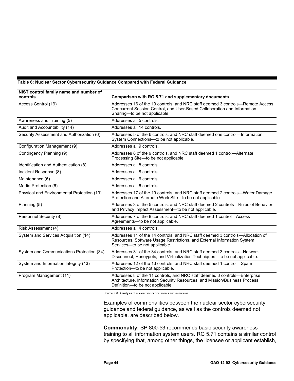# **Table 6: Nuclear Sector Cybersecurity Guidance Compared with Federal Guidance**

| NIST control family name and number of     |                                                                                                                                                                                              |
|--------------------------------------------|----------------------------------------------------------------------------------------------------------------------------------------------------------------------------------------------|
| controls                                   | Comparison with RG 5.71 and supplementary documents                                                                                                                                          |
| Access Control (19)                        | Addresses 16 of the 19 controls, and NRC staff deemed 3 controls—Remote Access,<br>Concurrent Session Control, and User-Based Collaboration and Information<br>Sharing-to be not applicable. |
| Awareness and Training (5)                 | Addresses all 5 controls.                                                                                                                                                                    |
| Audit and Accountability (14)              | Addresses all 14 controls.                                                                                                                                                                   |
| Security Assessment and Authorization (6)  | Addresses 5 of the 6 controls, and NRC staff deemed one control—Information<br>System Connections-to be not applicable.                                                                      |
| Configuration Management (9)               | Addresses all 9 controls.                                                                                                                                                                    |
| Contingency Planning (9)                   | Addresses 8 of the 9 controls, and NRC staff deemed 1 control-Alternate<br>Processing Site-to be not applicable.                                                                             |
| Identification and Authentication (8)      | Addresses all 8 controls.                                                                                                                                                                    |
| Incident Response (8)                      | Addresses all 8 controls.                                                                                                                                                                    |
| Maintenance (6)                            | Addresses all 6 controls.                                                                                                                                                                    |
| Media Protection (6)                       | Addresses all 6 controls.                                                                                                                                                                    |
| Physical and Environmental Protection (19) | Addresses 17 of the 19 controls, and NRC staff deemed 2 controls—Water Damage<br>Protection and Alternate Work Site-to be not applicable.                                                    |
| Planning (5)                               | Addresses 3 of the 5 controls, and NRC staff deemed 2 controls—Rules of Behavior<br>and Privacy Impact Assessment-to be not applicable.                                                      |
| Personnel Security (8)                     | Addresses 7 of the 8 controls, and NRC staff deemed 1 control-Access<br>Agreements-to be not applicable.                                                                                     |
| Risk Assessment (4)                        | Addresses all 4 controls.                                                                                                                                                                    |
| System and Services Acquisition (14)       | Addresses 11 of the 14 controls, and NRC staff deemed 3 controls-Allocation of<br>Resources, Software Usage Restrictions, and External Information System<br>Services-to be not applicable.  |
| System and Communications Protection (34)  | Addresses 31 of the 34 controls, and NRC staff deemed 3 controls-Network<br>Disconnect, Honeypots, and Virtualization Techniques-to be not applicable.                                       |
| System and Information Integrity (13)      | Addresses 12 of the 13 controls, and NRC staff deemed 1 control-Spam<br>Protection-to be not applicable.                                                                                     |
| Program Management (11)                    | Addresses 8 of the 11 controls, and NRC staff deemed 3 controls-Enterprise<br>Architecture, Information Security Resources, and Mission/Business Process<br>Definition-to be not applicable. |

Source: GAO analysis of nuclear sector documents and interviews.

Examples of commonalities between the nuclear sector cybersecurity guidance and federal guidance, as well as the controls deemed not applicable, are described below.

**Commonality:** SP 800-53 recommends basic security awareness training to all information system users. RG 5.71 contains a similar control by specifying that, among other things, the licensee or applicant establish,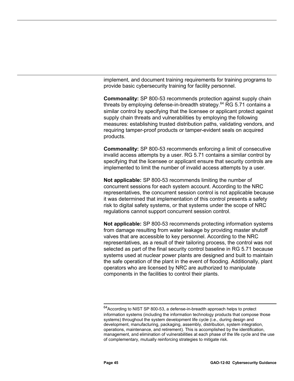implement, and document training requirements for training programs to provide basic cybersecurity training for facility personnel.

**Commonality:** SP 800-53 recommends protection against supply chain threats by employing defense-in-breadth strategy.<sup>[64](#page-49-0)</sup> RG 5.71 contains a similar control by specifying that the licensee or applicant protect against supply chain threats and vulnerabilities by employing the following measures: establishing trusted distribution paths, validating vendors, and requiring tamper-proof products or tamper-evident seals on acquired products.

**Commonality:** SP 800-53 recommends enforcing a limit of consecutive invalid access attempts by a user. RG 5.71 contains a similar control by specifying that the licensee or applicant ensure that security controls are implemented to limit the number of invalid access attempts by a user.

**Not applicable:** SP 800-53 recommends limiting the number of concurrent sessions for each system account. According to the NRC representatives, the concurrent session control is not applicable because it was determined that implementation of this control presents a safety risk to digital safety systems, or that systems under the scope of NRC regulations cannot support concurrent session control.

**Not applicable:** SP 800-53 recommends protecting information systems from damage resulting from water leakage by providing master shutoff valves that are accessible to key personnel. According to the NRC representatives, as a result of their tailoring process, the control was not selected as part of the final security control baseline in RG 5.71 because systems used at nuclear power plants are designed and built to maintain the safe operation of the plant in the event of flooding. Additionally, plant operators who are licensed by NRC are authorized to manipulate components in the facilities to control their plants.

 $\overline{a}$ 

<span id="page-49-0"></span> $64}$ According to NIST SP 800-53, a defense-in-breadth approach helps to protect information systems (including the information technology products that compose those systems) throughout the system development life cycle (i.e., during design and development, manufacturing, packaging, assembly, distribution, system integration, operations, maintenance, and retirement). This is accomplished by the identification, management, and elimination of vulnerabilities at each phase of the life cycle and the use of complementary, mutually reinforcing strategies to mitigate risk.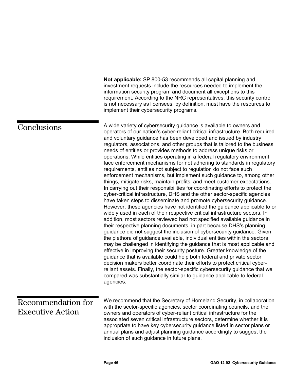investment requests include the resources needed to implement the information security program and document all exceptions to this requirement. According to the NRC representatives, this security control is not necessary as licensees, by definition, must have the resources to implement their cybersecurity programs. A wide variety of cybersecurity guidance is available to owners and operators of our nation's cyber-reliant critical infrastructure. Both required and voluntary guidance has been developed and issued by industry regulators, associations, and other groups that is tailored to the business needs of entities or provides methods to address unique risks or operations. While entities operating in a federal regulatory environment face enforcement mechanisms for not adhering to standards in regulatory requirements, entities not subject to regulation do not face such enforcement mechanisms, but implement such guidance to, among other things, mitigate risks, maintain profits, and meet customer expectations. In carrying out their responsibilities for coordinating efforts to protect the cyber-critical infrastructure, DHS and the other sector-specific agencies have taken steps to disseminate and promote cybersecurity guidance. However, these agencies have not identified the guidance applicable to or widely used in each of their respective critical infrastructure sectors. In addition, most sectors reviewed had not specified available guidance in their respective planning documents, in part because DHS's planning guidance did not suggest the inclusion of cybersecurity guidance. Given the plethora of guidance available, individual entities within the sectors may be challenged in identifying the guidance that is most applicable and effective in improving their security posture. Greater knowledge of the guidance that is available could help both federal and private sector decision makers better coordinate their efforts to protect critical cyberreliant assets. Finally, the sector-specific cybersecurity guidance that we compared was substantially similar to guidance applicable to federal agencies. We recommend that the Secretary of Homeland Security, in collaboration with the sector-specific agencies, sector coordinating councils, and the owners and operators of cyber-reliant critical infrastructure for the associated seven critical infrastructure sectors, determine whether it is appropriate to have key cybersecurity guidance listed in sector plans or annual plans and adjust planning guidance accordingly to suggest the inclusion of such guidance in future plans. **Conclusions** Recommendation for Executive Action

**Not applicable:** SP 800-53 recommends all capital planning and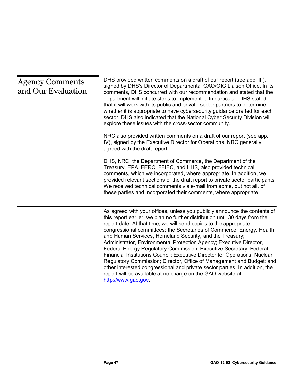| <b>Agency Comments</b><br>and Our Evaluation | DHS provided written comments on a draft of our report (see app. III),<br>signed by DHS's Director of Departmental GAO/OIG Liaison Office. In its<br>comments, DHS concurred with our recommendation and stated that the<br>department will initiate steps to implement it. In particular, DHS stated<br>that it will work with its public and private sector partners to determine<br>whether it is appropriate to have cybersecurity guidance drafted for each<br>sector. DHS also indicated that the National Cyber Security Division will<br>explore these issues with the cross-sector community.<br>NRC also provided written comments on a draft of our report (see app.<br>IV), signed by the Executive Director for Operations. NRC generally<br>agreed with the draft report.                                                     |
|----------------------------------------------|---------------------------------------------------------------------------------------------------------------------------------------------------------------------------------------------------------------------------------------------------------------------------------------------------------------------------------------------------------------------------------------------------------------------------------------------------------------------------------------------------------------------------------------------------------------------------------------------------------------------------------------------------------------------------------------------------------------------------------------------------------------------------------------------------------------------------------------------|
|                                              | DHS, NRC, the Department of Commerce, the Department of the<br>Treasury, EPA, FERC, FFIEC, and HHS, also provided technical<br>comments, which we incorporated, where appropriate. In addition, we<br>provided relevant sections of the draft report to private sector participants.<br>We received technical comments via e-mail from some, but not all, of<br>these parties and incorporated their comments, where appropriate.                                                                                                                                                                                                                                                                                                                                                                                                           |
|                                              | As agreed with your offices, unless you publicly announce the contents of<br>this report earlier, we plan no further distribution until 30 days from the<br>report date. At that time, we will send copies to the appropriate<br>congressional committees; the Secretaries of Commerce, Energy, Health<br>and Human Services, Homeland Security, and the Treasury;<br>Administrator, Environmental Protection Agency; Executive Director,<br>Federal Energy Regulatory Commission; Executive Secretary, Federal<br>Financial Institutions Council; Executive Director for Operations, Nuclear<br>Regulatory Commission; Director, Office of Management and Budget; and<br>other interested congressional and private sector parties. In addition, the<br>report will be available at no charge on the GAO website at<br>http://www.gao.gov. |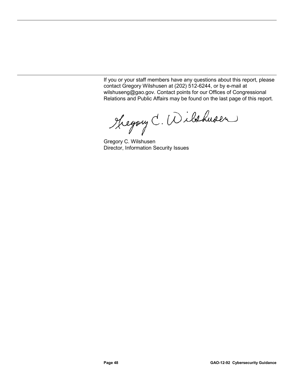If you or your staff members have any questions about this report, please contact Gregory Wilshusen at (202) 512-6244, or by e-mail at wilshuseng@gao.gov. Contact points for our Offices of Congressional Relations and Public Affairs may be found on the last page of this report.

Theyang C. Wilshusen

Gregory C. Wilshusen Director, Information Security Issues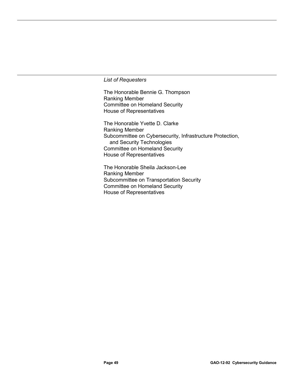# *List of Requesters*

The Honorable Bennie G. Thompson Ranking Member Committee on Homeland Security House of Representatives

The Honorable Yvette D. Clarke Ranking Member Subcommittee on Cybersecurity, Infrastructure Protection, and Security Technologies Committee on Homeland Security House of Representatives

The Honorable Sheila Jackson-Lee Ranking Member Subcommittee on Transportation Security Committee on Homeland Security House of Representatives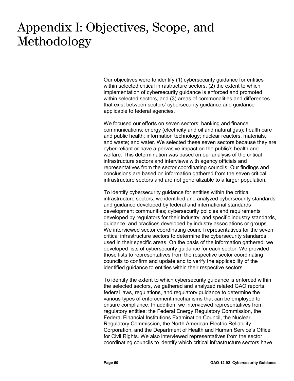# $: \bullet \bullet \bullet \bullet \bullet \bullet \bullet \bullet \bullet \bullet \bullet \bullet$ Appendix I: Objectives, Scope, and Methodology

Our objectives were to identify (1) cybersecurity guidance for entities within selected critical infrastructure sectors, (2) the extent to which implementation of cybersecurity guidance is enforced and promoted within selected sectors, and (3) areas of commonalities and differences that exist between sectors' cybersecurity guidance and guidance applicable to federal agencies.

We focused our efforts on seven sectors: banking and finance; communications; energy (electricity and oil and natural gas); health care and public health; information technology; nuclear reactors, materials, and waste; and water. We selected these seven sectors because they are cyber-reliant or have a pervasive impact on the public's health and welfare. This determination was based on our analysis of the critical infrastructure sectors and interviews with agency officials and representatives from the sector coordinating councils. Our findings and conclusions are based on information gathered from the seven critical infrastructure sectors and are not generalizable to a larger population.

To identify cybersecurity guidance for entities within the critical infrastructure sectors, we identified and analyzed cybersecurity standards and guidance developed by federal and international standards development communities; cybersecurity policies and requirements developed by regulators for their industry; and specific industry standards, guidance, and practices developed by industry associations or groups. We interviewed sector coordinating council representatives for the seven critical infrastructure sectors to determine the cybersecurity standards used in their specific areas. On the basis of the information gathered, we developed lists of cybersecurity guidance for each sector. We provided those lists to representatives from the respective sector coordinating councils to confirm and update and to verify the applicability of the identified guidance to entities within their respective sectors.

To identify the extent to which cybersecurity guidance is enforced within the selected sectors, we gathered and analyzed related GAO reports, federal laws, regulations, and regulatory guidance to determine the various types of enforcement mechanisms that can be employed to ensure compliance. In addition, we interviewed representatives from regulatory entities: the Federal Energy Regulatory Commission, the Federal Financial Institutions Examination Council, the Nuclear Regulatory Commission, the North American Electric Reliability Corporation, and the Department of Health and Human Service's Office for Civil Rights. We also interviewed representatives from the sector coordinating councils to identify which critical infrastructure sectors have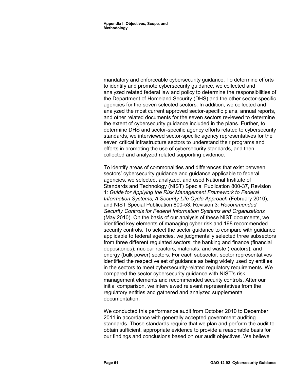mandatory and enforceable cybersecurity guidance. To determine efforts to identify and promote cybersecurity guidance, we collected and analyzed related federal law and policy to determine the responsibilities of the Department of Homeland Security (DHS) and the other sector-specific agencies for the seven selected sectors. In addition, we collected and analyzed the most current approved sector-specific plans, annual reports, and other related documents for the seven sectors reviewed to determine the extent of cybersecurity guidance included in the plans. Further, to determine DHS and sector-specific agency efforts related to cybersecurity standards, we interviewed sector-specific agency representatives for the seven critical infrastructure sectors to understand their programs and efforts in promoting the use of cybersecurity standards, and then collected and analyzed related supporting evidence.

To identify areas of commonalities and differences that exist between sectors' cybersecurity guidance and guidance applicable to federal agencies, we selected, analyzed, and used National Institute of Standards and Technology (NIST) Special Publication 800-37, Revision 1: *Guide for Applying the Risk Management Framework to Federal Information Systems, A Security Life Cycle Approach* (February 2010), and NIST Special Publication 800-53, Revision 3*: Recommended Security Controls for Federal Information Systems and Organizations* (May 2010). On the basis of our analysis of these NIST documents, we identified key elements of managing cyber risk and 198 recommended security controls. To select the sector guidance to compare with guidance applicable to federal agencies, we judgmentally selected three subsectors from three different regulated sectors: the banking and finance (financial depositories); nuclear reactors, materials, and waste (reactors); and energy (bulk power) sectors. For each subsector, sector representatives identified the respective set of guidance as being widely used by entities in the sectors to meet cybersecurity-related regulatory requirements. We compared the sector cybersecurity guidance with NIST's risk management elements and recommended security controls. After our initial comparison, we interviewed relevant representatives from the regulatory entities and gathered and analyzed supplemental documentation.

We conducted this performance audit from October 2010 to December 2011 in accordance with generally accepted government auditing standards. Those standards require that we plan and perform the audit to obtain sufficient, appropriate evidence to provide a reasonable basis for our findings and conclusions based on our audit objectives. We believe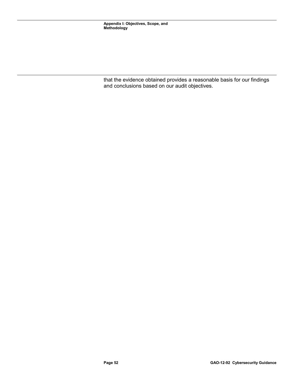that the evidence obtained provides a reasonable basis for our findings and conclusions based on our audit objectives.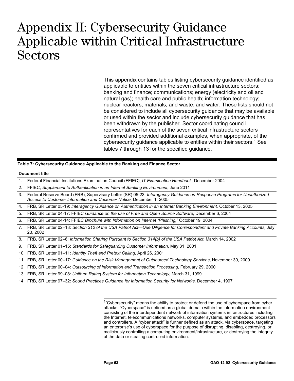# $\lambda$   $\sim$   $\sim$   $\sim$   $\sim$   $\sim$   $\sim$   $\sim$ **Applicable within Critical Infrastructure**  Appendix II: Cybersecurity Guidance Applicable within Critical Infrastructure Sectors

This appendix contains tables listing cybersecurity guidance identified as applicable to entities within the seven critical infrastructure sectors: banking and finance; communications; energy (electricity and oil and natural gas); health care and public health; information technology; nuclear reactors, materials, and waste; and water. These lists should not be considered to include all cybersecurity guidance that may be available or used within the sector and include cybersecurity guidance that has been withdrawn by the publisher. Sector coordinating council representatives for each of the seven critical infrastructure sectors confirmed and provided additional examples, when appropriate, of the cybersecurity guidance applicable to entities within their sectors.<sup>[1](#page-57-0)</sup> See tables 7 through 13 for the specified guidance.

# **Table 7: Cybersecurity Guidance Applicable to the Banking and Finance Sector**

# **Document title**

1. Federal Financial Institutions Examination Council (FFIEC), *IT Examination Handbook*, December 2004

2. FFIEC, *Supplement to Authentication in an Internet Banking Environment*, June 2011

3. Federal Reserve Board (FRB), Supervisory Letter (SR) 05-23: *Interagency Guidance on Response Programs for Unauthorized Access to Customer Information and Customer Notice,* December 1, 2005

4. FRB, SR Letter 05-19: *Interagency Guidance on Authentication in an Internet Banking Environment,* October 13, 2005

5. FRB, SR Letter 04-17: FFIEC *Guidance on the use of Free and Open Source Software*, December 6, 2004

6. FRB, SR Letter 04-14: FFIEC *Brochure with Information on Internet "Phishing,"* October 19, 2004

7. FRB, SR Letter 02–18: *Section 312 of the USA Patriot Act—Due Diligence for Correspondent and Private Banking Accounts,* July 23, 2002

8. FRB, SR Letter 02–6: *Information Sharing Pursuant to Section 314(b) of the USA Patriot Act,* March 14, 2002

9. FRB, SR Letter 01–15: *Standards for Safeguarding Customer Information*, May 31, 2001

10. FRB, SR Letter 01–11: *Identity Theft and Pretext Calling*, April 26, 2001

11. FRB, SR Letter 00–17: *Guidance on the Risk Management of Outsourced Technology Services*, November 30, 2000

12. FRB, SR Letter 00–04: *Outsourcing of Information and Transaction Processing,* February 29, 2000

13. FRB, SR Letter 99–08: *Uniform Rating System for Information Technology,* March 31, 1999

<span id="page-57-0"></span>14. FRB, SR Letter 97–32: *Sound Practices Guidance for Information Security for Networks,* December 4, 1997

 $\overline{a}$ <sup>1</sup>"Cybersecurity" means the ability to protect or defend the use of cyberspace from cyber attacks. "Cyberspace" is defined as a global domain within the information environment consisting of the interdependent network of information systems infrastructures including the Internet, telecommunications networks, computer systems, and embedded processors and controllers. A "cyber attack" is further defined as an attack, via cyberspace, targeting an enterprise's use of cyberspace for the purpose of disrupting, disabling, destroying, or maliciously controlling a computing environment/infrastructure, or destroying the integrity of the data or stealing controlled information.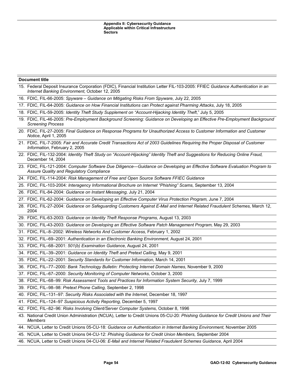| <b>Document title</b>                                                                                                                                                              |
|------------------------------------------------------------------------------------------------------------------------------------------------------------------------------------|
| 15. Federal Deposit Insurance Corporation (FDIC), Financial Institution Letter FIL-103-2005: FFIEC Guidance Authentication in an<br>Internet Banking Environment, October 12, 2005 |
| 16. FDIC, FIL-66-2005: Spyware - Guidance on Mitigating Risks From Spyware, July 22, 2005                                                                                          |
| 17. FDIC, FIL-64-2005: Guidance on How Financial Institutions can Protect against Pharming Attacks, July 18, 2005                                                                  |
| 18. FDIC, FIL-59-2005: Identity Theft Study Supplement on "Account-Hijacking Identity Theft," July 5, 2005                                                                         |
| 19. FDIC, FIL-46-2005: Pre-Employment Background Screening: Guidance on Developing an Effective Pre-Employment Background<br><b>Screening Process</b>                              |
| 20. FDIC, FIL-27-2005: Final Guidance on Response Programs for Unauthorized Access to Customer Information and Customer<br>Notice, April 1, 2005                                   |
| 21. FDIC, FIL-7-2005: Fair and Accurate Credit Transactions Act of 2003 Guidelines Requiring the Proper Disposal of Customer<br>Information, February 2, 2005                      |
| 22. FDIC, FIL-132-2004: Identity Theft Study on "Account-Hijacking" Identity Theft and Suggestions for Reducing Online Fraud,<br>December 14, 2004                                 |
| 23. FDIC, FIL-121-2004: Computer Software Due Diligence-Guidance on Developing an Effective Software Evaluation Program to<br>Assure Quality and Regulatory Compliance             |
| 24. FDIC, FIL-114-2004: Risk Management of Free and Open Source Software FFIEC Guidance                                                                                            |
| 25. FDIC, FIL-103-2004: Interagency Informational Brochure on Internet "Phishing" Scams, September 13, 2004                                                                        |
| 26. FDIC, FIL-84-2004: Guidance on Instant Messaging, July 21, 2004                                                                                                                |
| 27. FDIC, FIL-62-2004: Guidance on Developing an Effective Computer Virus Protection Program, June 7, 2004                                                                         |
| 28. FDIC, FIL-27-2004: Guidance on Safeguarding Customers Against E-Mail and Internet Related Fraudulent Schemes, March 12,<br>2004                                                |
| 29. FDIC, FIL-63-2003: Guidance on Identity Theft Response Programs, August 13, 2003                                                                                               |
| 30. FDIC, FIL-43-2003: Guidance on Developing an Effective Software Patch Management Program, May 29, 2003                                                                         |
| 31. FDIC, FIL-8-2002: Wireless Networks And Customer Access, February 1, 2002                                                                                                      |
| 32. FDIC, FIL-69-2001: Authentication in an Electronic Banking Environment, August 24, 2001                                                                                        |
| 33. FDIC, FIL-68-2001: 501(b) Examination Guidance, August 24, 2001                                                                                                                |
| 34. FDIC, FIL-39-2001: Guidance on Identity Theft and Pretext Calling, May 9, 2001                                                                                                 |
| 35. FDIC, FIL-22-2001: Security Standards for Customer Information, March 14, 2001                                                                                                 |
| 36. FDIC, FIL-77-2000: Bank Technology Bulletin: Protecting Internet Domain Names, November 9, 2000                                                                                |
| 37. FDIC, FIL-67-2000: Security Monitoring of Computer Networks, October 3, 2000                                                                                                   |
| 38. FDIC, FIL-68-99: Risk Assessment Tools and Practices for Information System Security, July 7, 1999                                                                             |
| 39. FDIC, FIL-98-98: Pretext Phone Calling, September 2, 1998                                                                                                                      |
| 40. FDIC, FIL-131-97: Security Risks Associated with the Internet, December 18, 1997                                                                                               |
| 41. FDIC, FIL-124-97 Suspicious Activity Reporting, December 5, 1997                                                                                                               |
| 42. FDIC, FIL-82-96: Risks Involving Client/Server Computer Systems, October 8, 1996                                                                                               |
| 43. National Credit Union Administration (NCUA), Letter to Credit Unions 05-CU-20: Phishing Guidance for Credit Unions and Their<br>Members                                        |
| 44. NCUA, Letter to Credit Unions 05-CU-18: Guidance on Authentication in Internet Banking Environment, November 2005                                                              |
| 45. NCUA, Letter to Credit Unions 04-CU-12: Phishing Guidance for Credit Union Members, September 2004                                                                             |

46. NCUA, Letter to Credit Unions 04-CU-06: *E-Mail and Internet Related Fraudulent Schemes Guidance,* April 2004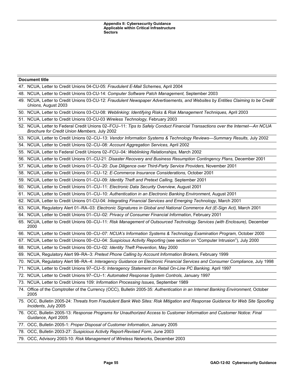# 48. NCUA, Letter to Credit Unions 03-CU-14: *Computer Software Patch Management,* September 2003 49. NCUA, Letter to Credit Unions 03-CU-12: *Fraudulent Newspaper Advertisements, and Websites by Entities Claiming to be Credit Unions,* August 2003 50. NCUA, Letter to Credit Unions 03-CU-08: *Weblinking: Identifying Risks & Risk Management Techniques,* April 2003 51. NCUA, Letter to Credit Unions 03-CU-03 *Wireless Technology,* February 2003 52. NCUA, Letter to Federal Credit Unions 02–FCU–11: *Tips to Safely Conduct Financial Transactions over the Internet—An NCUA Brochure for Credit Union Members,* July 2002 53. NCUA, Letter to Credit Unions 02–CU–13: *Vendor Information Systems & Technology Reviews—Summary Results,* July 2002 54. NCUA, Letter to Credit Unions 02–CU–08: *Account Aggregation Services,* April 2002 55. NCUA, Letter to Federal Credit Unions 02–FCU–04*: Weblinking Relationships,* March 2002 56. NCUA, Letter to Credit Unions 01–CU-21: *Disaster Recovery and Business Resumption Contingency Plans,* December 2001 57. NCUA, Letter to Credit Unions 01–CU–20: *Due Diligence over Third-Party Service Providers,* November 2001 58. NCUA, Letter to Credit Unions 01–CU–12: *E-Commerce Insurance Considerations,* October 2001 59. NCUA, Letter to Credit Unions 01–CU–09: *Identity Theft and Pretext Calling,* September 2001 60. NCUA, Letter to Credit Unions 01–CU–11: *Electronic Data Security Overview,* August 2001 61. NCUA, Letter to Credit Unions 01–CU–10: *Authentication in an Electronic Banking Environment,* August 2001 62. NCUA, Letter to Credit Unions 01-CU-04: *Integrating Financial Services and Emerging Technology*, March 2001 63. NCUA, Regulatory Alert 01–RA–03: *Electronic Signatures in Global and National Commerce Act (E-Sign Act),* March 2001 64. NCUA, Letter to Credit Unions 01–CU–02: *Privacy of Consumer Financial Information,* February 2001 65. NCUA, Letter to Credit Unions 00–CU–11: *Risk Management of Outsourced Technology Services (with Enclosure),* December 2000 66. NCUA, Letter to Credit Unions 00–CU–07: *NCUA's Information Systems & Technology Examination Program,* October 2000 67. NCUA, Letter to Credit Unions 00–CU–04: *Suspicious Activity Reporting* (see section on "Computer Intrusion"), July 2000 68. NCUA, Letter to Credit Unions 00–CU–02: *Identity Theft Prevention,* May 2000 69. NCUA, Regulatory Alert 99–RA–3: *Pretext Phone Calling by Account Information Brokers,* February 1999

70. NCUA, Regulatory Alert 98–RA–4: *Interagency Guidance on Electronic Financial Services and Consumer Compliance,* July 1998

71. NCUA, Letter to Credit Unions 97–CU–5: *Interagency Statement on Retail On-Line PC Banking,* April 1997

72. NCUA, Letter to Credit Unions 97–CU–1: *Automated Response System Controls,* January 1997

73. NCUA, Letter to Credit Unions 109: *Information Processing Issues,* September 1989

47. NCUA, Letter to Credit Unions 04-CU-05: *Fraudulent E-Mail Schemes,* April 2004

**Document title**

- 74. Office of the Comptroller of the Currency (OCC), Bulletin 2005-35: *Authentication in an Internet Banking Environment,* October 2005
- 75. OCC, Bulletin 2005-24: *Threats from Fraudulent Bank Web Sites: Risk Mitigation and Response Guidance for Web Site Spoofing Incidents*, July 2005

76. OCC, Bulletin 2005-13: *Response Programs for Unauthorized Access to Customer Information and Customer Notice: Final Guidance*, April 2005

77. OCC, Bulletin 2005-1: *Proper Disposal of Customer Information,* January 2005

78. OCC, Bulletin 2003-27: *Suspicious Activity Report-Revised Form,* June 2003

79. OCC, Advisory 2003-10*: Risk Management of Wireless Networks,* December 2003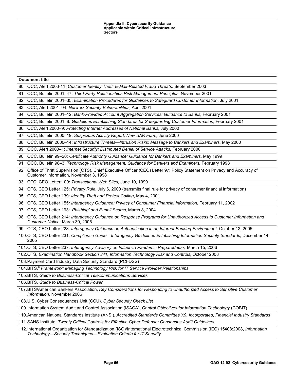80. OCC, Alert 2003-11: *Customer Identity Theft: E-Mail-Related Fraud Threats,* September 2003

81. OCC, Bulletin 2001–47: *Third-Party Relationships Risk Management Principles*, November 2001

82. OCC, Bulletin 2001–35: *Examination Procedures for Guidelines to Safeguard Customer Information*, July 2001

83. OCC, Alert 2001–04: *Network Security Vulnerabilities,* April 2001

84. OCC, Bulletin 2001–12: *Bank-Provided Account Aggregation Services: Guidance to Banks,* February 2001

85. OCC, Bulletin 2001–8: *Guidelines Establishing Standards for Safeguarding Customer Information,* February 2001

86. OCC, Alert 2000–9*: Protecting Internet Addresses of National Banks,* July 2000

87. OCC, Bulletin 2000–19: *Suspicious Activity Report: New SAR Form,* June 2000

88. OCC, Bulletin 2000–14: *Infrastructure Threats—Intrusion Risks: Message to Bankers and Examiners,* May 2000

89. OCC, Alert 2000–1: *Internet Security: Distributed Denial of Service Attacks,* February 2000

90. OCC, Bulletin 99–20: *Certificate Authority Guidance: Guidance for Bankers and Examiners,* May 1999

91. OCC, Bulletin 98–3: *Technology Risk Management: Guidance for Bankers and Examiners,* February 1998

92. Office of Thrift Supervision (OTS), Chief Executive Officer (CEO) Letter 97: Policy Statement on Privacy and Accuracy of Customer Information, November 3, 1998

93. OTC, CEO Letter 109: *Transactional Web Sites,* June 10, 1999

94. OTS, CEO Letter 125: *Privacy Rule,* July 6, 2000 (transmits final rule for privacy of consumer financial information)

95. OTS, CEO Letter 139: *Identity Theft and Pretext Calling*, May 4, 2001

96. OTS, CEO Letter 155*: Interagency Guidance: Privacy of Consumer Financial Information,* February 11, 2002

97. OTS, CEO Letter 193: *'Phishing' and E-mail Scams,* March 8, 2004

98. OTS, CEO Letter 214: *Interagency Guidance on Response Programs for Unauthorized Access to Customer Information and Customer Notice,* March 30, 2005

99. OTS, CEO Letter 228: *Interagency Guidance on Authentication in an Internet Banking Environment,* October 12, 2005

100.OTS, CEO Letter 231: *Compliance Guide—Interagency Guidelines Establishing Information Security Standards,* December 14, 2005

101.OTS, CEO Letter 237: *Interagency Advisory on Influenza Pandemic Preparedness,* March 15, 2006

102.OTS, *Examination Handbook Section 341, Information Technology Risk and Controls,* October 2008

103.Payment Card Industry Data Security Standard (PCI-DSS)

104. BITS,<sup>a</sup> Framework: Managing Technology Risk for IT Service Provider Relationships

105. BITS, *Guide to Business-Critical Telecommunications Services*

106. BITS, *Guide to Business-Critical Power*

107.BITS/American Bankers Association, *Key Considerations for Responding to Unauthorized Access to Sensitive Customer Information,* November 2006

108.U.S. Cyber Consequences Unit (CCU), *Cyber Security Check List*

109.Information System Audit and Control Association (ISACA), *Control Objectives for Information Technology* (COBIT)

110.American National Standards Institute (ANSI), *Accredited Standards Committee X9, Incorporated, Financial Industry Standards*

111.SANS Institute, *Twenty Critical Controls for Effective Cyber Defense: Consensus Audit Guidelines*

112.International Organization for Standardization (ISO)/International Electrotechnical Commission (IEC) 15408:2008, *Information Technology—Security Techniques—Evaluation Criteria for IT Security*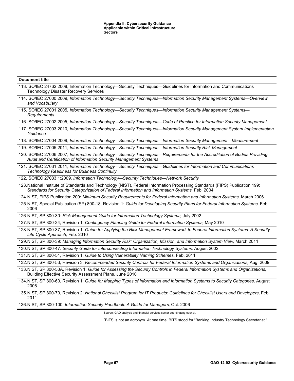| <b>Document title</b>                                                                                                                                                                                                           |
|---------------------------------------------------------------------------------------------------------------------------------------------------------------------------------------------------------------------------------|
| 113.ISO/IEC 24762:2008, Information Technology-Security Techniques-Guidelines for Information and Communications<br><b>Technology Disaster Recovery Services</b>                                                                |
| 114.ISO/IEC 27000:2009, Information Technology-Security Techniques-Information Security Management Systems-Overview<br>and Vocabulary                                                                                           |
| 115.ISO/IEC 27001:2005, Information Technology-Security Techniques-Information Security Management Systems-<br>Requirements                                                                                                     |
| 116.ISO/IEC 27002:2005, Information Technology-Security Techniques-Code of Practice for Information Security Management                                                                                                         |
| 117.ISO/IEC 27003:2010, Information Technology-Security Techniques-Information Security Management System Implementation<br>Guidance                                                                                            |
| 118.ISO/IEC 27004:2009, Information Technology-Security Techniques-Information Security Management-Measurement                                                                                                                  |
| 119.ISO/IEC 27005:2011, Information Technology-Security Techniques-Information Security Risk Management                                                                                                                         |
| 120.ISO/IEC 27006:2007, Information Technology-Security Techniques-Requirements for the Accreditation of Bodies Providing<br>Audit and Certification of Information Security Management Systems                                 |
| 121.ISO/IEC 27031:2011, Information Technology-Security Techniques-Guidelines for Information and Communications<br><b>Technology Readiness for Business Continuity</b>                                                         |
| 122.ISO/IEC 27033 1:2009, Information Technology-Security Techniques-Network Security                                                                                                                                           |
| 123. National Institute of Standards and Technology (NIST), Federal Information Processing Standards (FIPS) Publication 199:<br>Standards for Security Categorization of Federal Information and Information Systems, Feb. 2004 |
| 124.NIST, FIPS Publication 200: Minimum Security Requirements for Federal Information and Information Systems, March 2006                                                                                                       |
| 125.NIST, Special Publication (SP) 800-18, Revision 1: Guide for Developing Security Plans for Federal Information Systems, Feb.<br>2006                                                                                        |
| 126.NIST, SP 800-30: Risk Management Guide for Information Technology Systems, July 2002                                                                                                                                        |
| 127.NIST, SP 800-34, Revision 1: Contingency Planning Guide for Federal Information Systems, May 2010                                                                                                                           |
| 128.NIST, SP 800-37, Revision 1: Guide for Applying the Risk Management Framework to Federal Information Systems: A Security<br>Life Cycle Approach, Feb. 2010                                                                  |
| 129.NIST, SP 800-39: Managing Information Security Risk: Organization, Mission, and Information System View, March 2011                                                                                                         |
| 130.NIST, SP 800-47: Security Guide for Interconnecting Information Technology Systems, August 2002                                                                                                                             |
| 131.NIST, SP 800-51, Revision 1: Guide to Using Vulnerability Naming Schemes, Feb. 2011                                                                                                                                         |
| 132.NIST, SP 800-53, Revision 3: Recommended Security Controls for Federal Information Systems and Organizations, Aug. 2009                                                                                                     |
| 133. NIST, SP 800-53A, Revision 1: Guide for Assessing the Security Controls in Federal Information Systems and Organizations,<br>Building Effective Security Assessment Plans, June 2010                                       |
| 134.NIST, SP 800-60, Revision 1: Guide for Mapping Types of Information and Information Systems to Security Categories, August<br>2008                                                                                          |
| 135.NIST, SP 800-70, Revision 2: National Checklist Program for IT Products: Guidelines for Checklist Users and Developers, Feb.<br>2011                                                                                        |

136.NIST, SP 800-100*: Information Security Handbook: A Guide for Managers,* Oct. 2006

Source: GAO analysis and financial services sector coordinating council.

<sup>a</sup>BITS is not an acronym. At one time, BITS stood for "Banking Industry Technology Secretariat."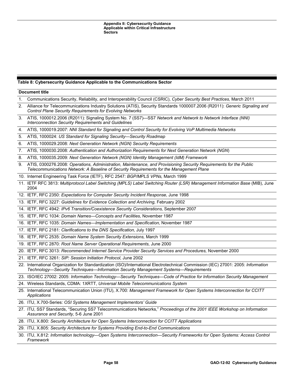# **Table 8: Cybersecurity Guidance Applicable to the Communications Sector**

|    | <b>Document title</b>                                                                                                                                                                                                    |
|----|--------------------------------------------------------------------------------------------------------------------------------------------------------------------------------------------------------------------------|
| 1. | Communications Security, Reliability, and Interoperability Council (CSRIC), Cyber Security Best Practices, March 2011                                                                                                    |
| 2. | Alliance for Telecommunications Industry Solutions (ATIS), Security Standards 1000007.2006 (R2011): Generic Signaling and<br>Control Plane Security Requirements for Evolving Networks                                   |
| 3. | ATIS, 1000012.2006 (R2011): Signaling System No. 7 (SS7)-SS7 Network and Network to Network Interface (NNI)<br><b>Interconnection Security Requirements and Guidelines</b>                                               |
| 4. | ATIS, 1000019.2007: NNI Standard for Signaling and Control Security for Evolving VoP Multimedia Networks                                                                                                                 |
| 5. | ATIS, 1000024: US Standard for Signaling Security-Security Roadmap                                                                                                                                                       |
| 6. | ATIS, 1000029.2008: Next Generation Network (NGN) Security Requirements                                                                                                                                                  |
| 7. | ATIS, 1000030.2008: Authentication and Authorization Requirements for Next Generation Network (NGN)                                                                                                                      |
| 8. | ATIS, 1000035.2009: Next Generation Network (NGN) Identity Management (IdM) Framework                                                                                                                                    |
| 9. | ATIS, 0300276.2008: Operations, Administration, Maintenance, and Provisioning Security Requirements for the Public<br>Telecommunications Network: A Baseline of Security Requirements for the Management Plane           |
|    | 10. Internet Engineering Task Force (IETF), RFC 2547: BGP/MPLS VPNs, March 1999                                                                                                                                          |
|    | 11. IETF RFC 3813: Multiprotocol Label Switching (MPLS) Label Switching Router (LSR) Management Information Base (MIB), June<br>2004                                                                                     |
|    | 12. IETF, RFC 2350: Expectations for Computer Security Incident Response, June 1998                                                                                                                                      |
|    | 13. IETF, RFC 3227: Guidelines for Evidence Collection and Archiving, February 2002                                                                                                                                      |
|    | 14. IETF, RFC 4942: IPv6 Transition/Coexistence Security Considerations, September 2007                                                                                                                                  |
|    | 15. IETF, RFC 1034: Domain Names-Concepts and Facilities, November 1987                                                                                                                                                  |
|    | 16. IETF, RFC 1035: Domain Names-Implementation and Specification, November 1987                                                                                                                                         |
|    | 17. IETF, RFC 2181: Clarifications to the DNS Specification, July 1997                                                                                                                                                   |
|    | 18. IETF, RFC 2535: Domain Name System Security Extensions, March 1999                                                                                                                                                   |
|    | 19. IETF, RFC 2870: Root Name Server Operational Requirements, June 2000                                                                                                                                                 |
|    | 20. IETF, RFC 3013: Recommended Internet Service Provider Security Services and Procedures, November 2000                                                                                                                |
|    | 21. IETF, RFC 3261: SIP: Session Initiation Protocol, June 2002                                                                                                                                                          |
|    | 22. International Organization for Standardization (ISO)/International Electrotechnical Commission (IEC) 27001: 2005: Information<br>Technology—Security Techniques—Information Security Management Systems—Requirements |
|    | 23. ISO/IEC 27002: 2005: Information Technology-Security Techniques-Code of Practice for Information Security Management                                                                                                 |
|    | 24. Wireless Standards, CDMA: 1XRTT, Universal Mobile Telecommunications System                                                                                                                                          |
|    | 25. International Telecommunication Union (ITU), X.700: Management Framework for Open Systems Interconnection for CCITT<br>Applications                                                                                  |
|    | 26. ITU, X.700-Series: OSI Systems Management Implementors' Guide                                                                                                                                                        |
|    | 27. ITU, SS7 Standards, "Securing SS7 Telecommunications Networks," Proceedings of the 2001 IEEE Workshop on Information<br>Assurance and Security, 5-6 June 2001                                                        |
|    | 28. ITU, X.800: Security Architecture for Open Systems Interconnection for CCITT Applications                                                                                                                            |
|    | 29. ITU, X.805: Security Architecture for Systems Providing End-to-End Communications                                                                                                                                    |
|    | 30. ITU, X.812: Information technology-Open Systems Interconnection-Security Frameworks for Open Systems: Access Control<br>Framework                                                                                    |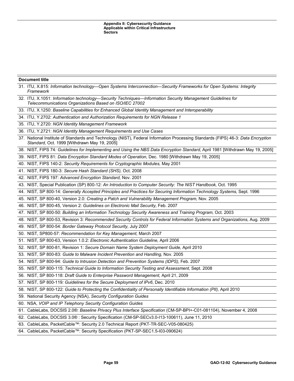| <b>Document title</b>                                                                                                                                                            |  |  |
|----------------------------------------------------------------------------------------------------------------------------------------------------------------------------------|--|--|
| 31. ITU, X.815: Information technology-Open Systems Interconnection-Security Frameworks for Open Systems: Integrity<br>Framework                                                 |  |  |
| 32. ITU, X.1051: Information technology-Security Techniques-Information Security Management Guidelines for<br>Telecommunications Organizations Based on ISO/IEC 27002            |  |  |
| 33. ITU, X.1250: Baseline Capabilities for Enhanced Global Identity Management and Interoperability                                                                              |  |  |
| 34. ITU, Y.2702: Authentication and Authorization Requirements for NGN Release 1                                                                                                 |  |  |
| 35. ITU, Y.2720: NGN Identity Management Framework                                                                                                                               |  |  |
| 36. ITU, Y.2721: NGN Identity Management Requirements and Use Cases                                                                                                              |  |  |
| 37. National Institute of Standards and Technology (NIST), Federal Information Processing Standards (FIPS) 46-3: Data Encryption<br>Standard, Oct. 1999 [Withdrawn May 19, 2005] |  |  |
| 38. NIST, FIPS 74: Guidelines for Implementing and Using the NBS Data Encryption Standard, April 1981 [Withdrawn May 19, 2005]                                                   |  |  |
| 39. NIST, FIPS 81: Data Encryption Standard Modes of Operation, Dec. 1980 [Withdrawn May 19, 2005]                                                                               |  |  |
| 40. NIST, FIPS 140-2: Security Requirements for Cryptographic Modules, May 2001                                                                                                  |  |  |
| 41. NIST, FIPS 180-3: Secure Hash Standard (SHS), Oct. 2008                                                                                                                      |  |  |
| 42. NIST, FIPS 197: Advanced Encryption Standard, Nov. 2001                                                                                                                      |  |  |
| 43. NIST, Special Publication (SP) 800-12: An Introduction to Computer Security: The NIST Handbook, Oct. 1995                                                                    |  |  |
| 44. NIST, SP 800-14: Generally Accepted Principles and Practices for Securing Information Technology Systems, Sept. 1996                                                         |  |  |
| 45. NIST, SP 800-40, Version 2.0: Creating a Patch and Vulnerability Management Program, Nov. 2005                                                                               |  |  |
| 46. NIST, SP 800-45, Version 2: Guidelines on Electronic Mail Security, Feb. 2007                                                                                                |  |  |
| 47. NIST, SP 800-50: Building an Information Technology Security Awareness and Training Program, Oct. 2003                                                                       |  |  |
| 48. NIST, SP 800-53, Revision 3: Recommended Security Controls for Federal Information Systems and Organizations, Aug. 2009                                                      |  |  |
| 49. NIST, SP 800-54: Border Gateway Protocol Security, July 2007                                                                                                                 |  |  |
| 50. NIST, SP800-57: Recommendation for Key Management, March 2007                                                                                                                |  |  |
| 51. NIST, SP 800-63, Version 1.0.2: Electronic Authentication Guideline, April 2006                                                                                              |  |  |
| 52. NIST, SP 800-81, Revision 1: Secure Domain Name System Deployment Guide, April 2010                                                                                          |  |  |
| 53. NIST, SP 800-83: Guide to Malware Incident Prevention and Handling, Nov. 2005                                                                                                |  |  |
| 54. NIST, SP 800-94: Guide to Intrusion Detection and Prevention Systems (IDPS), Feb. 2007                                                                                       |  |  |
| 55. NIST, SP 800-115: Technical Guide to Information Security Testing and Assessment, Sept. 2008                                                                                 |  |  |
| 56. NIST, SP 800-118: Draft Guide to Enterprise Password Management, April 21, 2009                                                                                              |  |  |
| 57. NIST, SP 800-119: Guidelines for the Secure Deployment of IPv6, Dec. 2010                                                                                                    |  |  |
| 58. NIST, SP 800-122: Guide to Protecting the Confidentiality of Personally Identifiable Information (PII), April 2010                                                           |  |  |
| 59. National Security Agency (NSA), Security Configuration Guides                                                                                                                |  |  |
| 60. NSA, VOIP and IP Telephony Security Configuration Guides                                                                                                                     |  |  |
| 61. CableLabs, DOCSIS 2.0®: Baseline Privacy Plus Interface Specification (CM-SP-BPI+-C01-081104), November 4, 2008                                                              |  |  |
| 62. CableLabs, DOCSIS 3.0® : Security Specification (CM-SP-SECv3.0-I13-100611), June 11, 2010                                                                                    |  |  |
| 63. CableLabs, PacketCable™: Security 2.0 Technical Report (PKT-TR-SEC-V05-080425)                                                                                               |  |  |
| 64. CableLabs, PacketCable™: Security Specification (PKT-SP-SEC1.5-I03-090624)                                                                                                   |  |  |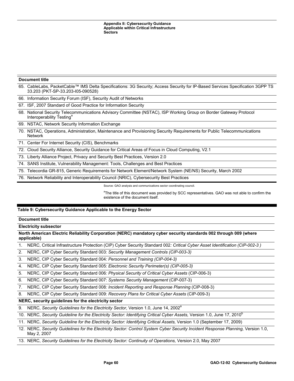65. CableLabs, [PacketCable™ IMS Delta Specifications: 3G Security; Access Security for IP-Based Services Specification 3GPP TS](http://www.cablelabs.com/specifications/PKT-SP-33.203-I05-090528.pdf)  [33.203](http://www.cablelabs.com/specifications/PKT-SP-33.203-I05-090528.pdf) (PKT-SP-33.203-I05-090528)

66. Information Security Forum (ISF), Security Audit of Networks

67. ISF, 2007 Standard of Good Practice for Information Security

68. National Security Telecommunications Advisory Committee (NSTAC), ISP Working Group on Border Gateway Protocol Interoperability Testing<sup>®</sup>

69. NSTAC, Network Security Information Exchange

70. NSTAC, Operations, Administration, Maintenance and Provisioning Security Requirements for Public Telecommunications Network

71. Center For Internet Security (CIS), Benchmarks

72. Cloud Security Alliance, Security Guidance for Critical Areas of Focus in Cloud Computing, V2.1

73. Liberty Alliance Project, Privacy and Security Best Practices, Version 2.0

74. SANS Institute, Vulnerability Management: Tools, Challenges and Best Practices

75. Telecordia GR-815, Generic Requirements for Network Element/Network System (NE/NS) Security, March 2002

76. Network Reliability and Interoperability Council (NRIC), Cybersecurity Best Practices

Source: GAO analysis and communications sector coordinating council.

<sup>a</sup>The title of this document was provided by SCC representatives. GAO was not able to confirm the existence of the document itself.

# **Table 9: Cybersecurity Guidance Applicable to the Energy Sector**

#### **Document title**

**Electricity subsector**

**North American Electric Reliability Corporation (NERC) mandatory cyber security standards 002 through 009 (where applicable)**

1. NERC, Critical Infrastructure Protection (CIP) Cyber Security Standard 002*: [Critical Cyber Asset Identification](http://www.nerc.com/files/CIP-002-3.pdf) (CIP-002-3 )*

2. NERC, CIP Cyber Security Standard 003: *[Security Management Controls](http://www.nerc.com/files/CIP-003-3.pdf) (CIP-003-3)*

3. NERC, CIP Cyber Security Standard 004*: Personnel and Training (CIP-004-3)*

4. NERC, CIP Cyber Security Standard 005: *Electronic Security Perimeter(s) (CIP-005-3)*

5. NERC, CIP Cyber Security Standard 006*: Physical Security of Critical Cyber Assets* (CIP-006-3)

6. NERC, CIP Cyber Security Standard 007: *Systems Security Management* (CIP-007-3)

7. NERC, CIP Cyber Security Standard 008*: Incident Reporting and Response Planning* (CIP-008-3)

8. NERC, CIP Cyber Security Standard 009: *Recovery Plans for Critical Cyber Assets* (CIP-009-3)

# **NERC, security guidelines for the electricity sector**

9. NERC, *Security Guidelines for the Electricity Sector*, Version 1.0, June 14, 2002<sup>a</sup>

10. NERC, Security Guideline for the Electricity Sector: Identifying Critical Cyber Assets, Version 1.0, June 17, 2010<sup>b</sup>

11. NERC, *Security Guideline for the Electricity Sector: Identifying Critical Assets,* Version 1.0 (September 17, 2009)

12. NERC, *Security Guidelines for the Electricity Sector: Control System Cyber Security Incident Response Planning,* Version 1.0, May 2, 2007

13. NERC, *Security Guidelines for the Electricity Sector: Continuity of Operations,* Version 2.0, May 2007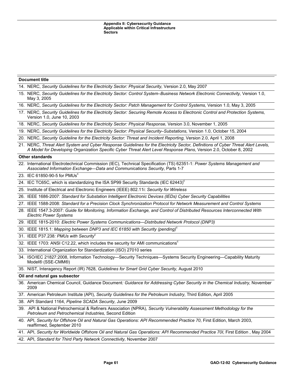| <b>Document title</b> |                                                                                                                                                                                                                                                         |  |
|-----------------------|---------------------------------------------------------------------------------------------------------------------------------------------------------------------------------------------------------------------------------------------------------|--|
|                       | 14. NERC, Security Guidelines for the Electricity Sector: Physical Security, Version 2.0, May 2007                                                                                                                                                      |  |
|                       | 15. NERC, Security Guidelines for the Electricity Sector: Control System-Business Network Electronic Connectivity, Version 1.0,<br>May 3, 2005                                                                                                          |  |
|                       | 16. NERC, Security Guidelines for the Electricity Sector: Patch Management for Control Systems, Version 1.0, May 3, 2005                                                                                                                                |  |
|                       | 17. NERC, Security Guidelines for the Electricity Sector: Securing Remote Access to Electronic Control and Protection Systems,<br>Version 1.0, June 10, 2003                                                                                            |  |
|                       | 18. NERC, Security Guidelines for the Electricity Sector: Physical Response, Version 3.0, November 1, 2005                                                                                                                                              |  |
|                       | 19. NERC, Security Guidelines for the Electricity Sector: Physical Security-Substations, Version 1.0, October 15, 2004                                                                                                                                  |  |
|                       | 20. NERC, Security Guideline for the Electricity Sector: Threat and Incident Reporting, Version 2.0, April 1, 2008                                                                                                                                      |  |
|                       | 21. NERC, Threat Alert System and Cyber Response Guidelines for the Electricity Sector, Definitions of Cyber Threat Alert Levels,<br>A Model for Developing Organization Specific Cyber Threat Alert Level Response Plans, Version 2.0, October 8, 2002 |  |
|                       | <b>Other standards</b>                                                                                                                                                                                                                                  |  |
|                       | 22. International Electrotechnical Commission (IEC), Technical Specification (TS) 62351-1: Power Systems Management and<br>Associated Information Exchange-Data and Communications Security, Parts 1-7                                                  |  |
|                       | 23. IEC 61850-90-5 for PMUs <sup>c</sup>                                                                                                                                                                                                                |  |
|                       | 24. IEC TC65C, which is standardizing the ISA SP99 Security Standards (IEC 62443) <sup>c</sup>                                                                                                                                                          |  |
|                       | 25. Institute of Electrical and Electronic Engineers (IEEE) 802.11i: Security for Wireless                                                                                                                                                              |  |
|                       | 26. IEEE 1686-2007: Standard for Substation Intelligent Electronic Devices (IEDs) Cyber Security Capabilities                                                                                                                                           |  |
|                       | 27. IEEE 1588-2008: Standard for a Precision Clock Synchronization Protocol for Network Measurement and Control Systems                                                                                                                                 |  |
|                       | 28. IEEE 1547.3-2007: Guide for Monitoring, Information Exchange, and Control of Distributed Resources Interconnected With<br><b>Electric Power Systems</b>                                                                                             |  |
|                       | 29. IEEE 1815-2010: Electric Power Systems Communications--- Distributed Network Protocol (DNP3)                                                                                                                                                        |  |
|                       | 30. IEEE 1815.1: Mapping between DNP3 and IEC 61850 with Security (pending) <sup>c</sup>                                                                                                                                                                |  |
|                       | 31. IEEE P37.238: PMUs with Security <sup>c</sup>                                                                                                                                                                                                       |  |
|                       | 32. IEEE 1703: ANSI C12.22, which includes the security for AMI communications <sup>c</sup>                                                                                                                                                             |  |
|                       | 33. International Organization for Standardization (ISO) 27010 series                                                                                                                                                                                   |  |
|                       | 34. ISO/IEC 21827:2008, Information Technology-Security Techniques-Systems Security Engineering-Capability Maturity<br>Model® (SSE-CMM®)                                                                                                                |  |
|                       | 35. NIST, Interagency Report (IR) 7628, Guidelines for Smart Grid Cyber Security, August 2010                                                                                                                                                           |  |
|                       | Oil and natural gas subsector                                                                                                                                                                                                                           |  |
|                       | 36. American Chemical Council, Guidance Document: Guidance for Addressing Cyber Security in the Chemical Industry, November<br>2009                                                                                                                     |  |
|                       | 37. American Petroleum Institute (API), Security Guidelines for the Petroleum Industry, Third Edition, April 2005                                                                                                                                       |  |
|                       | 38. API Standard 1164, Pipeline SCADA Security, June 2009                                                                                                                                                                                               |  |
|                       | 39. API & National Petrochemical & Refiners Association (NPRA), Security Vulnerability Assessment Methodology for the<br>Petroleum and Petrochemical Industries, Second Edition                                                                         |  |
|                       | 40. API, Security for Offshore Oil and Natural Gas Operations: API Recommended Practice 70, First Edition, March 2003,<br>reaffirmed, September 2010                                                                                                    |  |
|                       | 41. API, Security for Worldwide Offshore Oil and Natural Gas Operations: API Recommended Practice 70I, First Edition, May 2004                                                                                                                          |  |
|                       | 42. API, Standard for Third Party Network Connectivity, November 2007                                                                                                                                                                                   |  |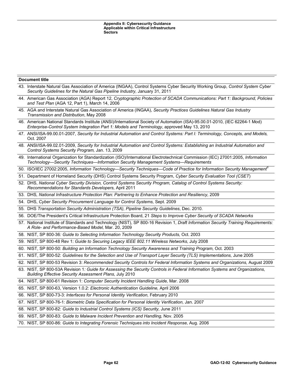| <b>Document title</b> |                                                                                                                                                                                                                            |
|-----------------------|----------------------------------------------------------------------------------------------------------------------------------------------------------------------------------------------------------------------------|
|                       | 43. Interstate Natural Gas Association of America (INGAA), Control Systems Cyber Security Working Group, Control System Cyber<br>Security Guidelines for the Natural Gas Pipeline Industry, January 31, 2011               |
|                       | 44. American Gas Association (AGA) Report 12, Cryptographic Protection of SCADA Communications: Part 1: Background, Policies<br>and Test Plan (AGA 12, Part 1), March 14, 2006                                             |
|                       | 45. AGA and Interstate Natural Gas Association of America (INGAA), Security Practices Guidelines Natural Gas Industry<br>Transmission and Distribution, May 2008                                                           |
|                       | 46. American National Standards Institute (ANSI)/International Society of Automation (ISA)-95.00.01-2010, (IEC 62264-1 Mod)<br>Enterprise-Control System Integration Part 1: Models and Terminology, approved May 13, 2010 |
|                       | 47. ANSI/ISA-99.00.01-2007, Security for Industrial Automation and Control Systems: Part I: Terminology, Concepts, and Models,<br>Oct. 2007                                                                                |
|                       | 48. ANSI/ISA-99.02.01-2009, Security for Industrial Automation and Control Systems: Establishing an Industrial Automation and<br>Control Systems Security Program, Jan. 13, 2009                                           |
|                       | 49. International Organization for Standardization (ISO)/International Electrotechnical Commission (IEC) 27001:2005, Information<br>Technology—Security Techniques—Information Security Management Systems—Requirements    |
|                       | 50. ISO/IEC 27002:2005, Information Technology—Security Techniques—Code of Practice for Information Security Management <sup>a</sup>                                                                                       |
|                       | 51. Department of Homeland Security (DHS) Control Systems Security Program, Cyber Security Evaluation Tool (CSET)                                                                                                          |
|                       | 52. DHS, National Cyber Security Division, Control Systems Security Program, Catalog of Control Systems Security:<br>Recommendations for Standards Developers, April 2011                                                  |
|                       | 53. DHS, National Infrastructure Protection Plan: Partnering to Enhance Protection and Resiliency, 2009                                                                                                                    |
|                       | 54. DHS, Cyber Security Procurement Language for Control Systems, Sept. 2009                                                                                                                                               |
|                       | 55. DHS Transportation Security Administration (TSA), Pipeline Security Guidelines, Dec. 2010.                                                                                                                             |
|                       | 56. DOE/The President's Critical Infrastructure Protection Board, 21 Steps to Improve Cyber Security of SCADA Networks                                                                                                     |
|                       | 57. National Institute of Standards and Technology (NIST), SP 800-16 Revision 1, Draft Information Security Training Requirements:<br>A Role- and Performance-Based Model, Mar. 20, 2009                                   |
|                       | 58. NIST, SP 800-36: Guide to Selecting Information Technology Security Products, Oct. 2003                                                                                                                                |
|                       | 59. NIST, SP 800-48 Rev 1: Guide to Securing Legacy IEEE 802.11 Wireless Networks, July 2008                                                                                                                               |
|                       | 60. NIST, SP 800-50: Building an Information Technology Security Awareness and Training Program, Oct. 2003                                                                                                                 |
|                       | 61. NIST, SP 800-52: Guidelines for the Selection and Use of Transport Layer Security (TLS) Implementations, June 2005                                                                                                     |
|                       | 62. NIST, SP 800-53 Revision 3: Recommended Security Controls for Federal Information Systems and Organizations, August 2009                                                                                               |
|                       | 63. NIST, SP 800-53A Revision 1: Guide for Assessing the Security Controls in Federal Information Systems and Organizations,<br>Building Effective Security Assessment Plans, July 2010                                    |
|                       | 64. NIST, SP 800-61 Revision 1: Computer Security Incident Handling Guide, Mar. 2008                                                                                                                                       |
|                       | 65. NIST, SP 800-63, Version 1.0.2: Electronic Authentication Guideline, April 2006                                                                                                                                        |
|                       | 66. NIST, SP 800-73-3: Interfaces for Personal Identity Verification, February 2010                                                                                                                                        |
|                       | 67. NIST, SP 800-76-1: Biometric Data Specification for Personal Identity Verification, Jan. 2007                                                                                                                          |
|                       | 68. NIST, SP 800-82: Guide to Industrial Control Systems (ICS) Security, June 2011                                                                                                                                         |
|                       | 69. NIST, SP 800-83: Guide to Malware Incident Prevention and Handling, Nov. 2005                                                                                                                                          |

70. NIST, SP 800-86: *Guide to Integrating Forensic Techniques into Incident Response,* Aug. 2006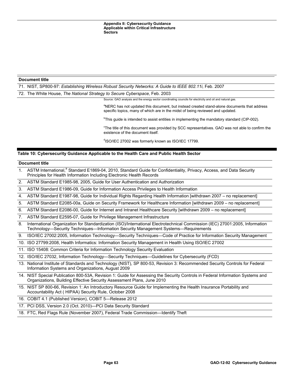71. NIST, SP800-97: *Establishing Wireless Robust Security Networks: A Guide to IEEE 802.11i,* Feb. 2007

72. The White House, *The National Strategy to Secure Cyberspace,* Feb. 2003

Source: GAO analysis and the energy sector coordinating councils for electricity and oil and natural gas.

<sup>a</sup>NERC has not updated this document, but instead created stand-alone documents that address specific topics, many of which are in the midst of being reviewed and updated.

<sup>b</sup>This guide is intended to assist entities in implementing the mandatory standard (CIP-002).

<sup>c</sup>The title of this document was provided by SCC representatives. GAO was not able to confirm the existence of the document itself.

<sup>d</sup>ISO/IEC 27002 was formerly known as ISO/IEC 17799.

# **Table 10: Cybersecurity Guidance Applicable to the Health Care and Public Health Sector**

#### **Document title**

- 1. ASTM International,<sup>a</sup> Standard E1869-04, 2010, Standard Guide for Confidentiality, Privacy, Access, and Data Security Principles for Health Information Including Electronic Health Records
- 2. ASTM Standard E1985-98, 2005, Guide for User Authentication and Authorization
- 3. ASTM Standard E1986-09, Guide for Information Access Privileges to Health Information

4. ASTM Standard E1987-98, Guide for Individual Rights Regarding Health Information [withdrawn 2007 – no replacement]

- 5. ASTM Standard E2085-00a, Guide on Security Framework for Healthcare Information [withdrawn 2009 no replacement]
- 6. ASTM Standard E2086-00, Guide for Internet and Intranet Healthcare Security [withdrawn 2009 no replacement]
- 7. ASTM Standard E2595-07, Guide for Privilege Management Infrastructure
- 8. International Organization for Standardization (ISO)/International Electrotechnical Commission (IEC) 27001:2005, Information Technology—Security Techniques—Information Security Management Systems—Requirements
- 9. ISO/IEC 27002:2005, Information Technology—Security Techniques—Code of Practice for Information Security Management
- 10. ISO 27799:2008, Health Informatics: Information Security Management in Health Using ISO/IEC 27002
- 11. ISO 15408: Common Criteria for Information Technology Security Evaluation

12. ISO/IEC 27032, Information Technology—Security Techniques—Guidelines for Cybersecurity (FCD)

- 13. National Institute of Standards and Technology (NIST), SP 800-53, Revision 3: Recommended Security Controls for Federal Information Systems and Organizations, August 2009
- NIST Special Publication 800-53A, Revision 1: Guide for Assessing the Security Controls in Federal Information Systems and Organizations, Building Effective Security Assessment Plans, June 2010
- 15. NIST SP 800-66, Revision 1: An Introductory Resource Guide for Implementing the Health Insurance Portability and Accountability Act ( HIPAA) Security Rule, October 2008

16. COBIT 4.1 (Published Version), COBIT 5—Release 2012

17. PCI DSS, Version 2.0 (Oct. 2010)—PCI Data Security Standard

18. FTC, Red Flags Rule (November 2007), Federal Trade Commission—Identify Theft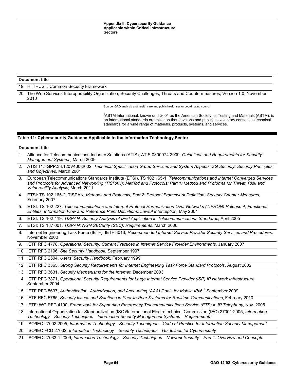#### 19. HI TRUST, Common Security Framework

20. The Web Services-Interoperability Organization, Security Challenges, Threats and Countermeasures, Version 1.0, November 2010

Source: GAO analysis and health care and public health sector coordinating council

<sup>a</sup>ASTM International, known until 2001 as the American Society for Testing and Materials (ASTM), is an international standards organization that develops and publishes voluntary consensus technical standards for a wide range of materials, products, systems, and services.

#### **Table 11: Cybersecurity Guidance Applicable to the Information Technology Sector**

#### **Document title**

- 1. Alliance for Telecommunications Industry Solutions (ATIS), ATIS 0300074.2009, *Guidelines and Requirements for Security Management Systems,* March 2009
- 2. ATIS T1.3GPP.33.120V400-2002, *Technical Specification Group Services and System Aspects; 3G Security; Security Principles and Objectives,* March 2001
- 3. European Telecommunications Standards Institute (ETSI), TS 102 165-1, *Telecommunications and Internet Converged Services and Protocols for Advanced Networking (TISPAN): Method and Protocols; Part 1: Method and Proforma for Threat, Risk and Vulnerability Analysis,* March 2011
- 4. ETSI: TS 102 165-2, TISPAN; *Methods and Protocols, Part 2: Protocol Framework Definition; Security Counter Measures,* February 2007
- 5. ETSI: TS 102 227, *Telecommunications and Internet Protocol Harmonization Over Networks (TIPHON) Release 4; Functional Entities, Information Flow and Reference Point Definitions; Lawful Interception,* May 2004
- 6. ETSI: TS 102 419, *TISPAN; Security Analysis of IPv6 Application in Telecommunications Standards,* April 2005
- 7. ETSI: TS 187 001, *TISPAN; NGN SECurity (SEC); Requirements*, March 2006
- 8. Internet Engineering Task Force (IETF), IETF 3013, *Recommended Internet Service Provider Security Services and Procedures,* November 2000
- 9. IETF RFC 4778, *Operational Security: Current Practices in Internet Service Provider Environments,* January 2007
- 10. IETF RFC 2196*, Site Security Handbook,* September 1997
- 11. IETF RFC 2504, *Users' Security Handbook,* February 1999

12. IETF RFC 3365, *Strong Security Requirements for Internet Engineering Task Force Standard Protocols*, August 2002

- 13. IETF RFC 3631, *Security Mechanisms for the Internet,* December 2003
- 14. IETF RFC 3871, *Operational Security Requirements for Large Internet Service Provider (ISP) IP Network Infrastructure,* September 2004
- 15. IETF RFC 5637, Authentication, Authorization, and Accounting (AAA) Goals for Mobile IPv6,<sup>a</sup> September 2009
- 16. IETF RFC 5765, *Security Issues and Solutions in Peer-to-Peer Systems for Realtime Communications*, February 2010
- 17. IETF: WG RFC 4190, *Framework for Supporting Emergency Telecommunications Service (ETS) in IP Telephony,* Nov. 2005
- 18. International Organization for Standardization (ISO)/International Electrotechnical Commission (IEC) 27001:2005, *Information Technology—Security Techniques—Information Security Management Systems—Requirements*

19. ISO/IEC 27002:2005, *Information Technology—Security Techniques—Code of Practice for Information Security Management*

- 20. ISO/IEC FCD 27032, *Information Technology—Security Techniques—Guidelines for Cybersecurity*
- 21. ISO/IEC 27033-1:2009, *Information Technology—Security Techniques—Network Security—Part 1: Overview and Concepts*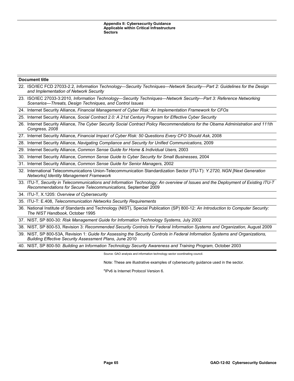- 22. ISO/IEC FCD 27033-2.2, *Information Technology—Security Techniques—Network Security—Part 2: Guidelines for the Design and Implementation of Network Security*
- 23. ISO/IEC 27033-3:2010, *Information Technology—Security Techniques—Network Security—Part 3: Reference Networking Scenarios—Threats, Design Techniques, and Control Issues*
- 24. Internet Security Alliance, *Financial Management of Cyber Risk: An Implementation Framework for CFOs*

25. Internet Security Alliance*, Social Contract 2.0: A 21st Century Program for Effective Cyber Security*

- 26. Internet Security Alliance, *The Cyber Security Social Contract Policy Recommendations for the Obama Administration and 111th Congress, 2008*
- 27. Internet Security Alliance, *Financial Impact of Cyber Risk: 50 Questions Every CFO Should Ask,* 2008
- 28. Internet Security Alliance, *Navigating Compliance and Security for Unified Communications,* 2009
- 29. Internet Security Alliance, *Common Sense Guide for Home & Individual Users,* 2003
- 30. Internet Security Alliance, *Common Sense Guide to Cyber Security for Small Businesses,* 2004
- 31. Internet Security Alliance, *Common Sense Guide for Senior Managers,* 2002
- 32. International Telecommunications Union-Telecommunication Standardization Sector (ITU-T): *Y.2720, NGN [Next Generation Networks] Identity Management Framework*
- 33. ITU-T, *Security in Telecommunications and Information Technology: An overview of Issues and the Deployment of Existing ITU-T Recommendations for Secure Telecommunications,* September 2009

34. ITU-T, X.1205: *Overview of Cybersecurity*

35. ITU-T: E.408, *Telecommunication Networks Security Requirements*

- 36. National Institute of Standards and Technology (NIST), Special Publication (SP) 800-12: *An Introduction to Computer Security: The NIST Handbook,* October 1995
- 37. NIST, SP 800-30: *Risk Management Guide for Information Technology Systems,* July 2002
- 38. NIST, SP 800-53, Revision 3: *Recommended Security Controls for Federal Information Systems and Organization,* August 2009
- 39. NIST, SP 800-53A, Revision 1: *Guide for Assessing the Security Controls in Federal Information Systems and Organizations, Building Effective Security Assessment Plans,* June 2010

40. NIST, SP 800-50: *Building an Information Technology Security Awareness and Training Program,* October 2003

Source: GAO analysis and information technology sector coordinating council.

Note: These are illustrative examples of cybersecurity guidance used in the sector.

a IPv6 is Internet Protocol Version 6.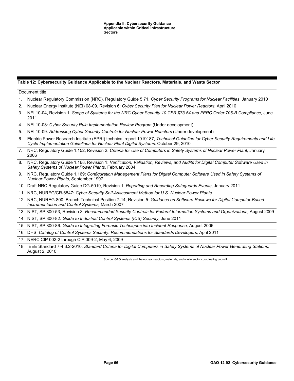# **Table 12: Cybersecurity Guidance Applicable to the Nuclear Reactors, Materials, and Waste Sector**

| Document title |                                                                                                                                                                                                                        |
|----------------|------------------------------------------------------------------------------------------------------------------------------------------------------------------------------------------------------------------------|
| 1.             | Nuclear Regulatory Commission (NRC), Regulatory Guide 5.71, Cyber Security Programs for Nuclear Facilities, January 2010                                                                                               |
| 2.             | Nuclear Energy Institute (NEI) 08-09, Revision 6: Cyber Security Plan for Nuclear Power Reactors, April 2010                                                                                                           |
| 3.             | NEI 10-04, Revision 1: Scope of Systems for the NRC Cyber Security 10 CFR §73.54 and FERC Order 706-B Compliance, June<br>2011                                                                                         |
| 4.             | NEI 10-08: Cyber Security Rule Implementation Review Program (Under development)                                                                                                                                       |
| 5.             | NEI 10-09: Addressing Cyber Security Controls for Nuclear Power Reactors (Under development)                                                                                                                           |
| 6.             | Electric Power Research Institute (EPRI) technical report 1019187, Technical Guideline for Cyber Security Requirements and Life<br>Cycle Implementation Guidelines for Nuclear Plant Digital Systems, October 29, 2010 |
| 7.             | NRC, Regulatory Guide 1.152, Revision 2: Criteria for Use of Computers in Safety Systems of Nuclear Power Plant, January<br>2006                                                                                       |
| 8.             | NRC, Regulatory Guide 1.168, Revision 1: Verification, Validation, Reviews, and Audits for Digital Computer Software Used in<br>Safety Systems of Nuclear Power Plants, February 2004                                  |
| 9.             | NRC, Regulatory Guide 1.169: Configuration Management Plans for Digital Computer Software Used in Safety Systems of<br><b>Nuclear Power Plants, September 1997</b>                                                     |
|                | 10. Draft NRC Regulatory Guide DG-5019, Revision 1: Reporting and Recording Safeguards Events, January 2011                                                                                                            |
|                | 11. NRC, NUREG/CR-6847: Cyber Security Self-Assessment Method for U.S. Nuclear Power Plants                                                                                                                            |
|                | 12. NRC, NUREG-800, Branch Technical Position 7-14, Revision 5: Guidance on Software Reviews for Digital Computer-Based<br>Instrumentation and Control Systems, March 2007                                             |
|                | 13. NIST, SP 800-53, Revision 3: Recommended Security Controls for Federal Information Systems and Organizations, August 2009                                                                                          |
|                | 14. NIST, SP 800-82: Guide to Industrial Control Systems (ICS) Security, June 2011                                                                                                                                     |
|                | 15. NIST, SP 800-86: Guide to Integrating Forensic Techniques into Incident Response, August 2006                                                                                                                      |
|                | 16. DHS, Catalog of Control Systems Security: Recommendations for Standards Developers, April 2011                                                                                                                     |
|                | 17. NERC CIP 002-2 through CIP 009-2, May 6, 2009                                                                                                                                                                      |
|                | 10 IEEE Stondard 7 4 2 2 2010, Stondard Critorio for Digital Computero in Sofoty Systems of Nuglear Power Conorating Stotions                                                                                          |

18. IEEE Standard 7-4.3.2-2010, *Standard Criteria for Digital Computers in Safety Systems of Nuclear Power Generating Stations,* August 2, 2010

Source: GAO analysis and the nuclear reactors, materials, and waste sector coordinating council.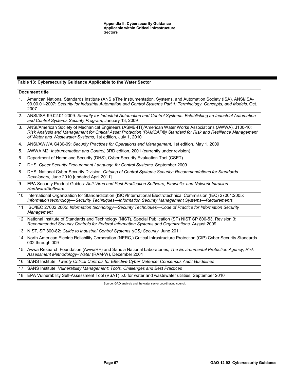### **Table 13: Cybersecurity Guidance Applicable to the Water Sector**

#### **Document title**

- 1. American National Standards Institute (ANSI)/The Instrumentation, Systems, and Automation Society (ISA), ANSI/ISA-99.00.01-2007: *Security for Industrial Automation and Control Systems Part 1: Terminology, Concepts, and Models,* Oct. 2007
- 2. ANSI/ISA-99.02.01-2009*: Security for Industrial Automation and Control Systems: Establishing an Industrial Automation and Control Systems Security Program,* January 13, 2009
- 3. ANSI/American Society of Mechanical Engineers (ASME-ITI)/American Water Works Associations (AWWA), J100-10: *Risk Analysis and Management for Critical Asset Protection (RAMCAP®) Standard for Risk and Resilience Management of Water and Wastewater Systems,* 1st edition, July 1, 2010
- 4. ANSI/AWWA G430-09: *Security Practices for Operations and Management,* 1st edition, May 1, 2009
- 5. AWWA M2: *Instrumentation and Control,* 3RD edition, 2001 (currently under revision)
- 6. Department of Homeland Security (DHS), Cyber Security Evaluation Tool (CSET)
- 7. DHS, *Cyber Security Procurement Language for Control Systems,* September 2009
- 8. DHS, National Cyber Security Division, *Catalog of Control Systems Security: Recommendations for Standards Developers,* June 2010 [updated April 2011]
- 9. EPA Security Product Guides: *Anti-Virus and Pest Eradication Software; Firewalls; and Network Intrusion Hardware/Software*
- 10. International Organization for Standardization (ISO)/International Electrotechnical Commission (IEC) 27001:2005: *Information technology—Security Techniques—Information Security Management Systems—Requirements*
- 11. ISO/IEC 27002:2005: *Information technology—Security Techniques—Code of Practice for Information Security Management*
- 12. National Institute of Standards and Technology (NIST), Special Publication (SP) NIST SP 800-53, Revision 3: *Recommended Security Controls for Federal Information Systems and Organizations,* August 2009
- 13. NIST, SP 800-82: *Guide to Industrial Control Systems (ICS) Security,* June 2011
- 14. North American Electric Reliability Corporation (NERC,) Critical Infrastructure Protection (CIP) Cyber Security Standards 002 through 009
- 15. Awwa Research Foundation (AwwaRF) and Sandia National Laboratories, *The Environmental Protection Agency, Risk Assessment Methodology–Water* (RAM-W), December 2001
- 16. SANS Institute, *Twenty Critical Controls for Effective Cyber Defense: Consensus Audit Guidelines*
- 17. SANS Institute, *Vulnerability Management: Tools, Challenges and Best Practices*
- 18. EPA Vulnerability Self-Assessment Tool (VSAT) 5.0 for water and wastewater utilities, September 2010

Source: GAO analysis and the water sector coordinating council.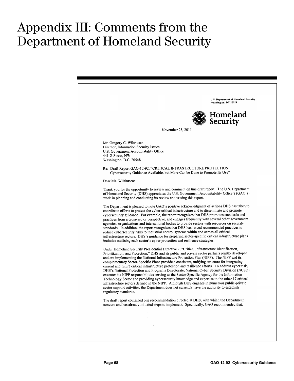## $\sim$   $\sim$   $\sim$   $\sim$   $\sim$   $\sim$   $\sim$   $\sim$ Appendix III: Comments from the Department of Homeland Security

|                                                                                                                                                                                                                                                                                                                                                                                                                                                                                                                                                                                                                                                                                                                                                                                                                                                                                                                                                                                                                               | U.S. Department of Homeland Security<br>Washington, DC 20528 |
|-------------------------------------------------------------------------------------------------------------------------------------------------------------------------------------------------------------------------------------------------------------------------------------------------------------------------------------------------------------------------------------------------------------------------------------------------------------------------------------------------------------------------------------------------------------------------------------------------------------------------------------------------------------------------------------------------------------------------------------------------------------------------------------------------------------------------------------------------------------------------------------------------------------------------------------------------------------------------------------------------------------------------------|--------------------------------------------------------------|
|                                                                                                                                                                                                                                                                                                                                                                                                                                                                                                                                                                                                                                                                                                                                                                                                                                                                                                                                                                                                                               | Homeland<br>Security                                         |
| November 23, 2011                                                                                                                                                                                                                                                                                                                                                                                                                                                                                                                                                                                                                                                                                                                                                                                                                                                                                                                                                                                                             |                                                              |
|                                                                                                                                                                                                                                                                                                                                                                                                                                                                                                                                                                                                                                                                                                                                                                                                                                                                                                                                                                                                                               |                                                              |
| Mr. Gregory C. Wilshusen<br>Director, Information Security Issues                                                                                                                                                                                                                                                                                                                                                                                                                                                                                                                                                                                                                                                                                                                                                                                                                                                                                                                                                             |                                                              |
| U.S. Government Accountability Office                                                                                                                                                                                                                                                                                                                                                                                                                                                                                                                                                                                                                                                                                                                                                                                                                                                                                                                                                                                         |                                                              |
| 441 G Street, NW<br>Washington, D.C. 20548                                                                                                                                                                                                                                                                                                                                                                                                                                                                                                                                                                                                                                                                                                                                                                                                                                                                                                                                                                                    |                                                              |
|                                                                                                                                                                                                                                                                                                                                                                                                                                                                                                                                                                                                                                                                                                                                                                                                                                                                                                                                                                                                                               |                                                              |
| Re: Draft Report GAO-12-92, "CRITICAL INFRASTRUCTURE PROTECTION:<br>Cybersecurity Guidance Available, but More Can be Done to Promote Its Use"                                                                                                                                                                                                                                                                                                                                                                                                                                                                                                                                                                                                                                                                                                                                                                                                                                                                                |                                                              |
| Dear Mr. Wilshusen:                                                                                                                                                                                                                                                                                                                                                                                                                                                                                                                                                                                                                                                                                                                                                                                                                                                                                                                                                                                                           |                                                              |
| Thank you for the opportunity to review and comment on this draft report. The U.S. Department<br>of Homeland Security (DHS) appreciates the U.S. Government Accountability Office's (GAO's)<br>work in planning and conducting its review and issuing this report.                                                                                                                                                                                                                                                                                                                                                                                                                                                                                                                                                                                                                                                                                                                                                            |                                                              |
| The Department is pleased to note GAO's positive acknowledgment of actions DHS has taken to<br>coordinate efforts to protect the cyber critical infrastructure and to disseminate and promote<br>cybersecurity guidance. For example, the report recognizes that DHS promotes standards and<br>practices from a cross-sector perspective, and engages frequently with several other government<br>agencies, organizations and international bodies to provide sectors with resources on security<br>standards. In addition, the report recognizes that DHS has issued recommended practices to<br>reduce cybersecurity risks to industrial control systems within and across all critical<br>infrastructure sectors. DHS's guidance for preparing sector-specific critical infrastructure plans<br>includes outlining each sector's cyber protection and resilience strategies.                                                                                                                                               |                                                              |
| Under Homeland Security Presidential Directive 7, "Critical Infrastructure Identification,<br>Prioritization, and Protection," DHS and its public and private sector partners jointly developed<br>and are implementing the National Infrastructure Protection Plan (NIPP). The NIPP and its<br>complementary Sector-Specific Plans provide a consistent, unifying structure for integrating<br>current and future critical infrastructure protection and resilience efforts. To address cyber risk,<br>DHS's National Protection and Programs Directorate, National Cyber Security Division (NCSD)<br>executes its NIPP responsibilities serving as the Sector-Specific Agency for the Information<br>Technology Sector and providing cybersecurity knowledge and expertise to the other 17 critical<br>infrastructure sectors defined in the NIPP. Although DHS engages in numerous public-private<br>sector support activities, the Department does not currently have the authority to establish<br>regulatory standards. |                                                              |
| The draft report contained one recommendation directed at DHS, with which the Department<br>concurs and has already initiated steps to implement. Specifically, GAO recommended that:                                                                                                                                                                                                                                                                                                                                                                                                                                                                                                                                                                                                                                                                                                                                                                                                                                         |                                                              |
|                                                                                                                                                                                                                                                                                                                                                                                                                                                                                                                                                                                                                                                                                                                                                                                                                                                                                                                                                                                                                               |                                                              |
|                                                                                                                                                                                                                                                                                                                                                                                                                                                                                                                                                                                                                                                                                                                                                                                                                                                                                                                                                                                                                               |                                                              |
| $5.0\pm0.1$                                                                                                                                                                                                                                                                                                                                                                                                                                                                                                                                                                                                                                                                                                                                                                                                                                                                                                                                                                                                                   |                                                              |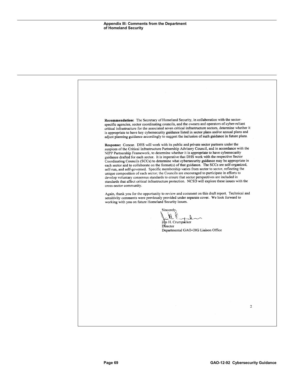Recommendation: The Secretary of Homeland Security, in collaboration with the sectorspecific agencies, sector coordinating councils, and the owners and operators of cyber-reliant critical infrastructure for the associated seven critical infrastructure sectors, determine whether it is appropriate to have key cybersecurity guidance listed in sector plans and/or annual plans and adjust planning guidance accordingly to suggest the inclusion of such guidance in future plans. Response: Concur. DHS will work with its public and private sector partners under the auspices of the Critical Infrastructure Partnership Advisory Council, and in accordance with the NIPP Partnership Framework, to determine whether it is appropriate to have cybersecurity guidance drafted for each sector. It is imperative that DHS work with the respective Sector Coordinating Councils (SCCs) to determine what cybersecurity guidance may be appropriate in each sector and to collaborate on the format(s) of that guidance. The SCCs are self-organized, self-run, and self-governed. Specific membership varies from sector to sector, reflecting the unique composition of each sector; the Councils are encouraged to participate in efforts to develop voluntary consensus standards to ensure that sector perspectives are included in standards that affect critical infrastructure protection. NCSD will explore these issues with the cross-sector community. Again, thank you for the opportunity to review and comment on this draft report. Technical and sensitivity comments were previously provided under separate cover. We look forward to working with you on future Homeland Security issues. Sincerely. Um H. Crumpacker Director Departmental GAO-OIG Liaison Office  $\overline{2}$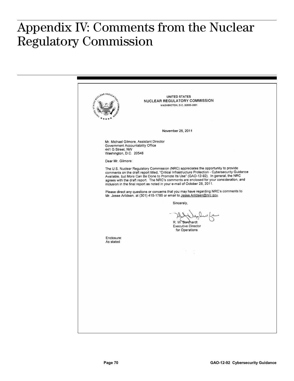## **Appendix IV: Comments from the Nuclear**  Appendix IV: Comments from the Nuclear Regulatory Commission

CLEAR REGULA **UNITED STATES** NUCLEAR REGULATORY COMMISSION WASHINGTON, D.C. 20555-0001 November 25, 2011 Mr. Michael Gilmore, Assistant Director Government Accountability Office 441 G Street, NW Washington, D.C. 20548 Dear Mr. Gilmore: The U.S. Nuclear Regulatory Commission (NRC) appreciates the opportunity to provide<br>comments on the draft report titled, "Critical Infrastructure Protection - Cybersecurity Guidance Available, but More Can Be Done to Promote Its Use" (GAO-12-92). In general, the NRC agrees with the draft report. The NRC's comments are enclosed for your consideration, and inclusion in the final report as noted in your e-mail of October 28, 2011. Please direct any questions or concerns that you may have regarding NRC's comments to Mr. Jesse Arildsen, at (301) 415-1785 or email to Jesse Arildsen@nrc.gov. Sincerely, R. W. Borchardt **Executive Director** for Operations Enclosure As stated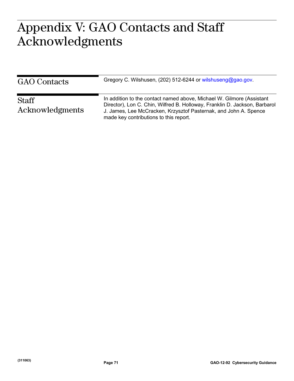## $\bigcap$   $\bigcap$  custo at  $\sim$ Appendix V: GAO Contacts and Staff Acknowledgments

| <b>GAO</b> Contacts             | Gregory C. Wilshusen, (202) 512-6244 or wilshuseng@gao.gov.                                                                                                                                                                                                       |
|---------------------------------|-------------------------------------------------------------------------------------------------------------------------------------------------------------------------------------------------------------------------------------------------------------------|
| <b>Staff</b><br>Acknowledgments | In addition to the contact named above, Michael W. Gilmore (Assistant<br>Director), Lon C. Chin, Wilfred B. Holloway, Franklin D. Jackson, Barbarol<br>J. James, Lee McCracken, Krzysztof Pasternak, and John A. Spence<br>made key contributions to this report. |